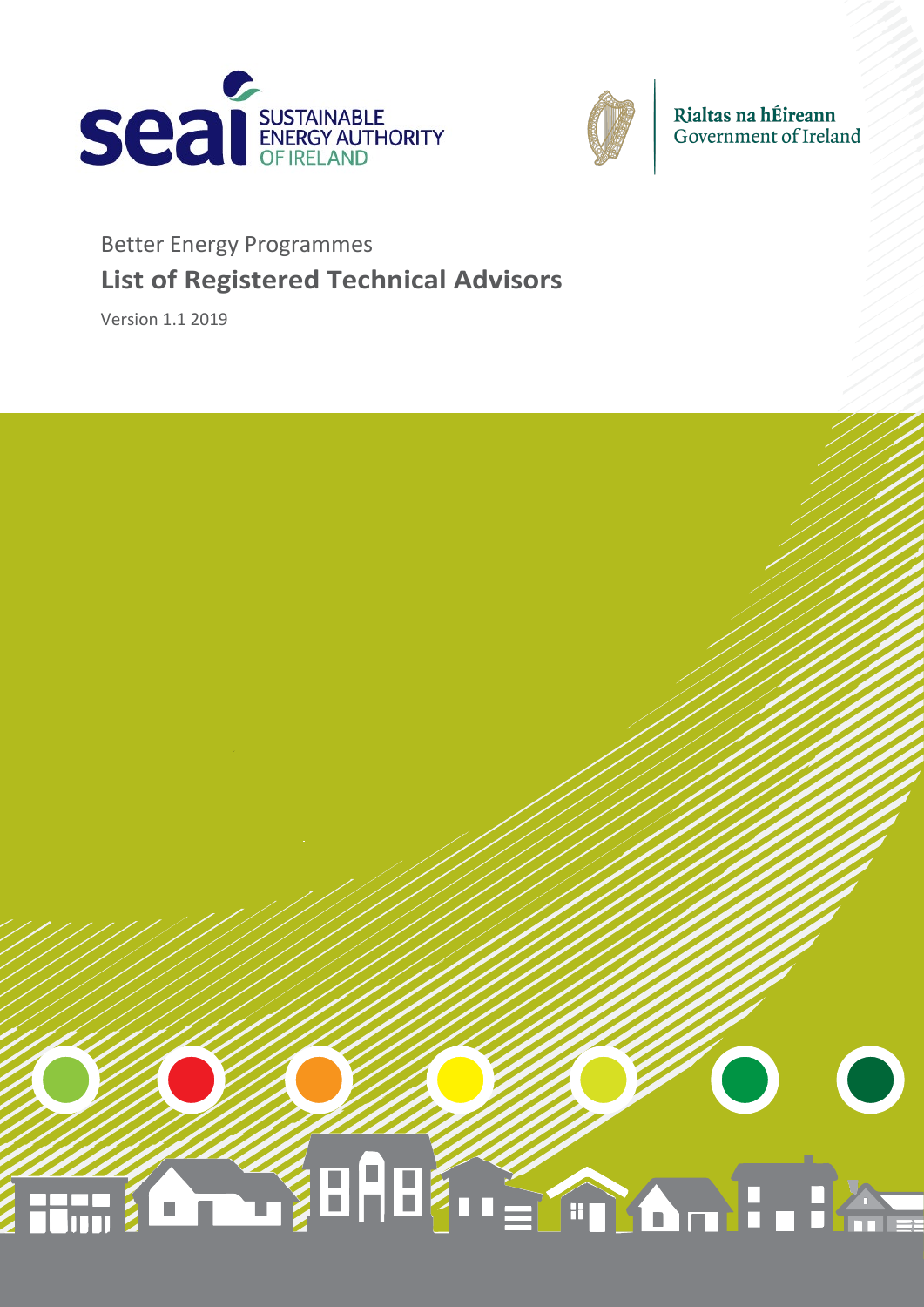



Rialtas na hÉireann<br>Government of Ireland

# Better Energy Programmes **List of Registered Technical Advisors**

Version 1.1 2019

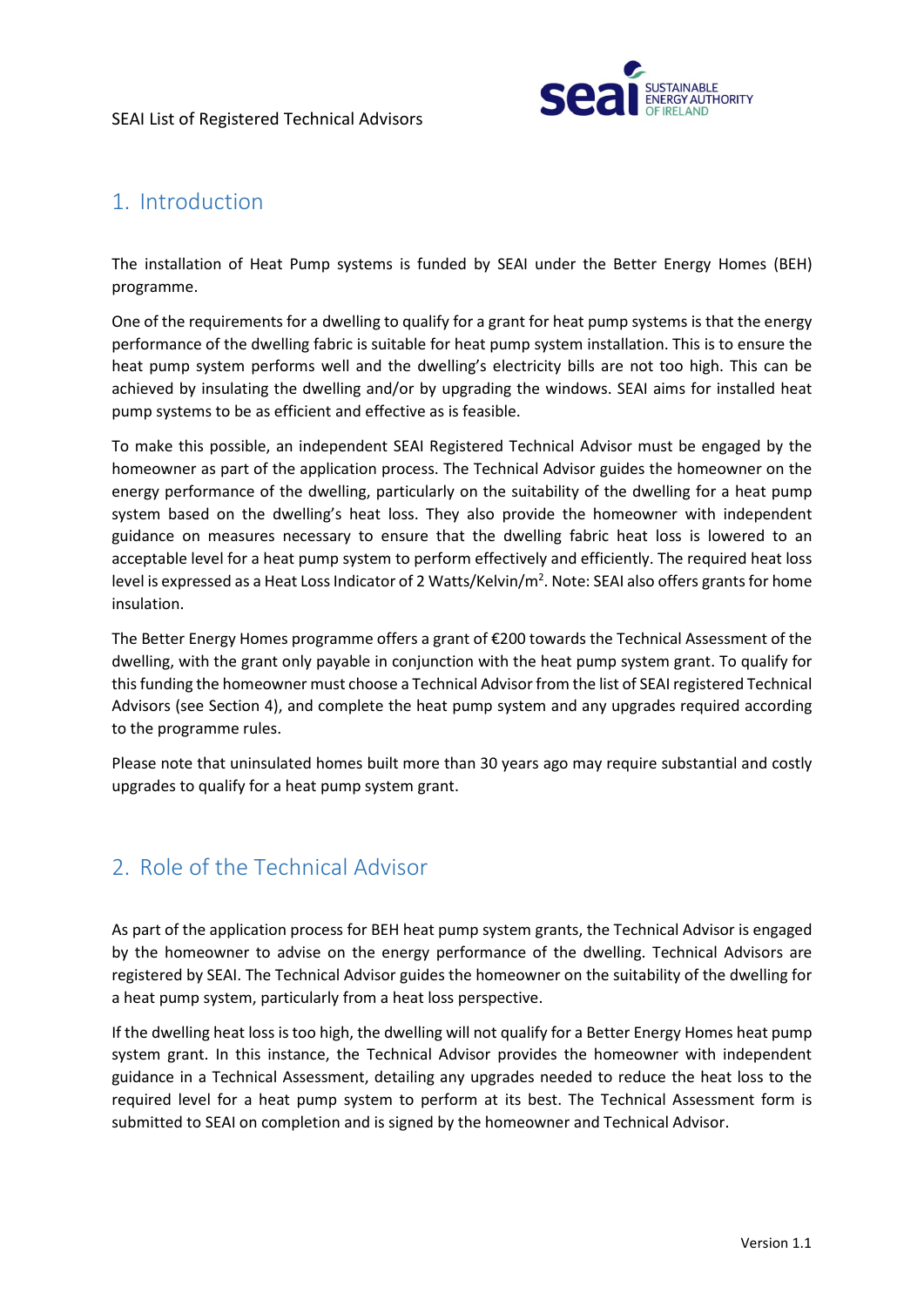

## 1. Introduction

The installation of Heat Pump systems is funded by SEAI under the Better Energy Homes (BEH) programme.

One of the requirements for a dwelling to qualify for a grant for heat pump systems is that the energy performance of the dwelling fabric is suitable for heat pump system installation. This is to ensure the heat pump system performs well and the dwelling's electricity bills are not too high. This can be achieved by insulating the dwelling and/or by upgrading the windows. SEAI aims for installed heat pump systems to be as efficient and effective as is feasible.

To make this possible, an independent SEAI Registered Technical Advisor must be engaged by the homeowner as part of the application process. The Technical Advisor guides the homeowner on the energy performance of the dwelling, particularly on the suitability of the dwelling for a heat pump system based on the dwelling's heat loss. They also provide the homeowner with independent guidance on measures necessary to ensure that the dwelling fabric heat loss is lowered to an acceptable level for a heat pump system to perform effectively and efficiently. The required heat loss level is expressed as a Heat Loss Indicator of 2 Watts/Kelvin/m<sup>2</sup>. Note: SEAI also offers grants for home insulation.

The Better Energy Homes programme offers a grant of €200 towards the Technical Assessment of the dwelling, with the grant only payable in conjunction with the heat pump system grant. To qualify for this funding the homeowner must choose a Technical Advisorfrom the list of SEAI registered Technical Advisors (see Section 4), and complete the heat pump system and any upgrades required according to the programme rules.

Please note that uninsulated homes built more than 30 years ago may require substantial and costly upgrades to qualify for a heat pump system grant.

### 2. Role of the Technical Advisor

As part of the application process for BEH heat pump system grants, the Technical Advisor is engaged by the homeowner to advise on the energy performance of the dwelling. Technical Advisors are registered by SEAI. The Technical Advisor guides the homeowner on the suitability of the dwelling for a heat pump system, particularly from a heat loss perspective.

If the dwelling heat loss is too high, the dwelling will not qualify for a Better Energy Homes heat pump system grant. In this instance, the Technical Advisor provides the homeowner with independent guidance in a Technical Assessment, detailing any upgrades needed to reduce the heat loss to the required level for a heat pump system to perform at its best. The Technical Assessment form is submitted to SEAI on completion and is signed by the homeowner and Technical Advisor.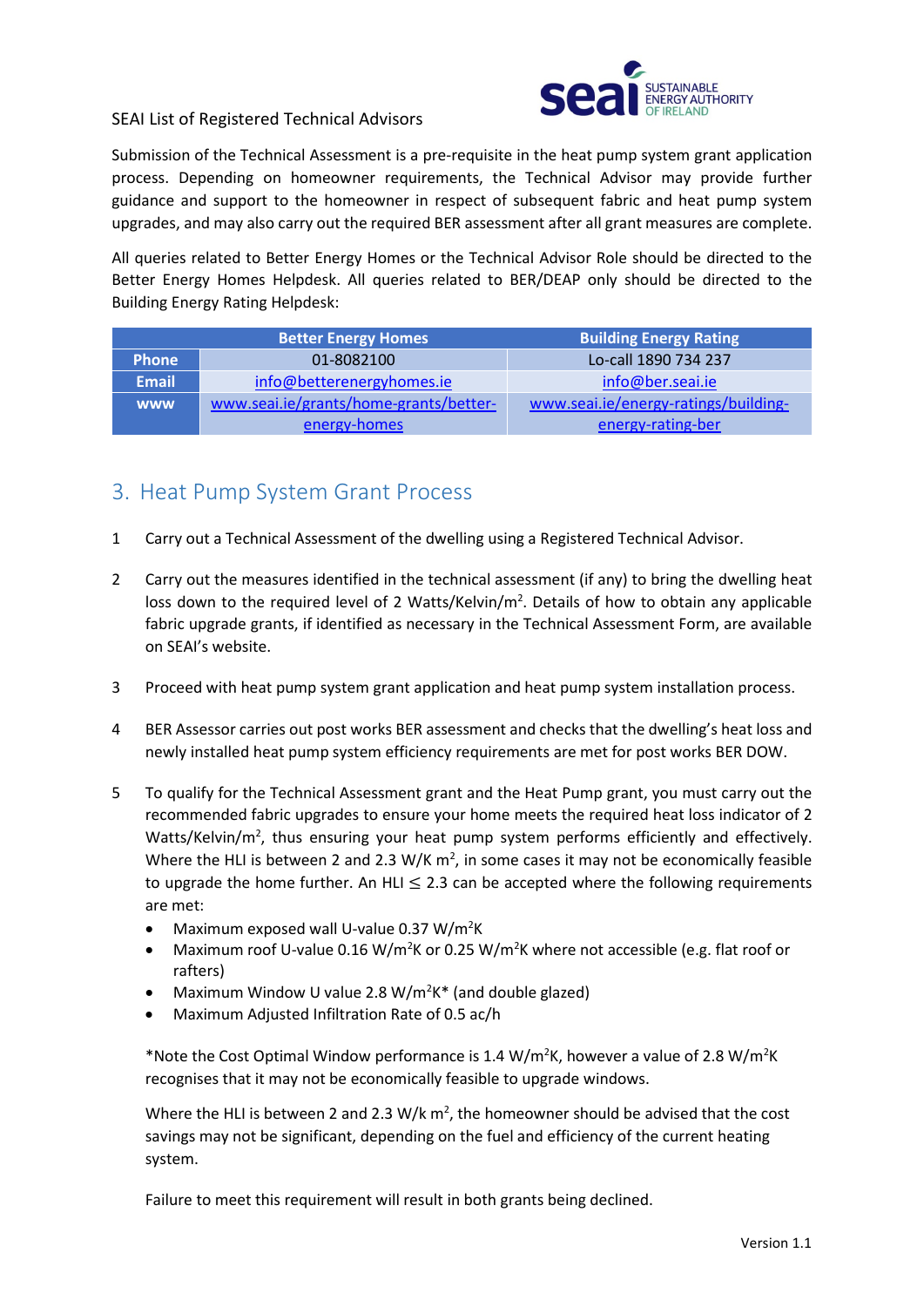

#### SEAI List of Registered Technical Advisors

Submission of the Technical Assessment is a pre-requisite in the heat pump system grant application process. Depending on homeowner requirements, the Technical Advisor may provide further guidance and support to the homeowner in respect of subsequent fabric and heat pump system upgrades, and may also carry out the required BER assessment after all grant measures are complete.

All queries related to Better Energy Homes or the Technical Advisor Role should be directed to the Better Energy Homes Helpdesk. All queries related to BER/DEAP only should be directed to the Building Energy Rating Helpdesk:

|              | <b>Better Energy Homes</b>             | <b>Building Energy Rating</b>        |  |  |  |
|--------------|----------------------------------------|--------------------------------------|--|--|--|
| <b>Phone</b> | 01-8082100                             | Lo-call 1890 734 237                 |  |  |  |
| <b>Email</b> | info@betterenergyhomes.ie              | info@ber.seai.ie                     |  |  |  |
| <b>WWW</b>   | www.seai.ie/grants/home-grants/better- | www.seai.ie/energy-ratings/building- |  |  |  |
|              | energy-homes                           | energy-rating-ber                    |  |  |  |

#### 3. Heat Pump System Grant Process

- 1 Carry out a Technical Assessment of the dwelling using a Registered Technical Advisor.
- 2 Carry out the measures identified in the technical assessment (if any) to bring the dwelling heat loss down to the required level of 2 Watts/Kelvin/ $m^2$ . Details of how to obtain any applicable fabric upgrade grants, if identified as necessary in the Technical Assessment Form, are available on SEAI's website.
- 3 Proceed with heat pump system grant application and heat pump system installation process.
- 4 BER Assessor carries out post works BER assessment and checks that the dwelling's heat loss and newly installed heat pump system efficiency requirements are met for post works BER DOW.
- 5 To qualify for the Technical Assessment grant and the Heat Pump grant, you must carry out the recommended fabric upgrades to ensure your home meets the required heat loss indicator of 2 Watts/Kelvin/m<sup>2</sup>, thus ensuring your heat pump system performs efficiently and effectively. Where the HLI is between 2 and 2.3 W/K  $m^2$ , in some cases it may not be economically feasible to upgrade the home further. An HLI  $\leq$  2.3 can be accepted where the following requirements are met:
	- Maximum exposed wall U-value 0.37 W/m<sup>2</sup>K
	- Maximum roof U-value 0.16 W/m<sup>2</sup>K or 0.25 W/m<sup>2</sup>K where not accessible (e.g. flat roof or rafters)
	- Maximum Window U value 2.8 W/m<sup>2</sup>K\* (and double glazed)
	- Maximum Adjusted Infiltration Rate of 0.5 ac/h

\*Note the Cost Optimal Window performance is 1.4 W/m<sup>2</sup>K, however a value of 2.8 W/m<sup>2</sup>K recognises that it may not be economically feasible to upgrade windows.

Where the HLI is between 2 and 2.3 W/k  $m^2$ , the homeowner should be advised that the cost savings may not be significant, depending on the fuel and efficiency of the current heating system.

Failure to meet this requirement will result in both grants being declined.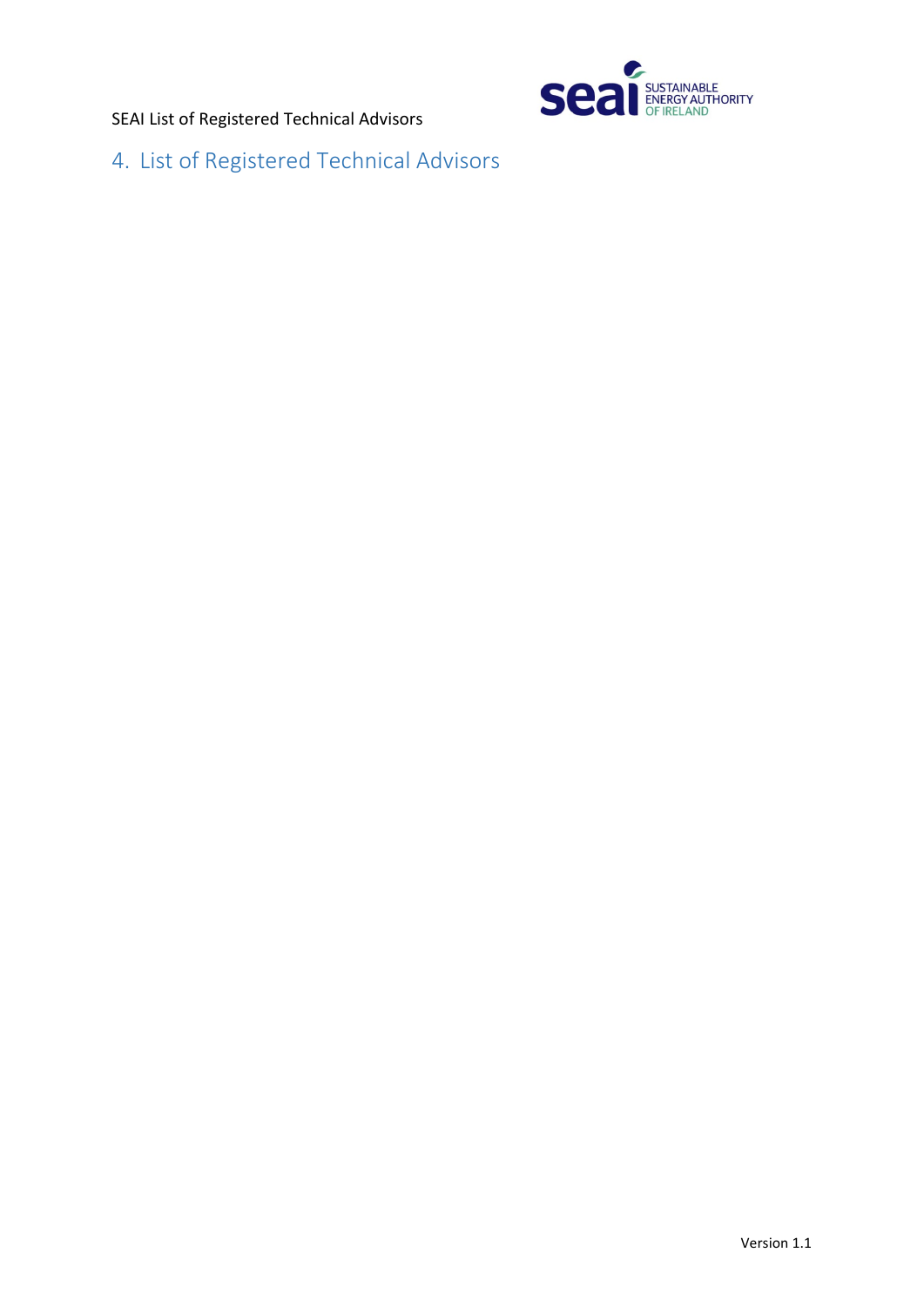SEAI List of Registered Technical Advisors



4. List of Registered Technical Advisors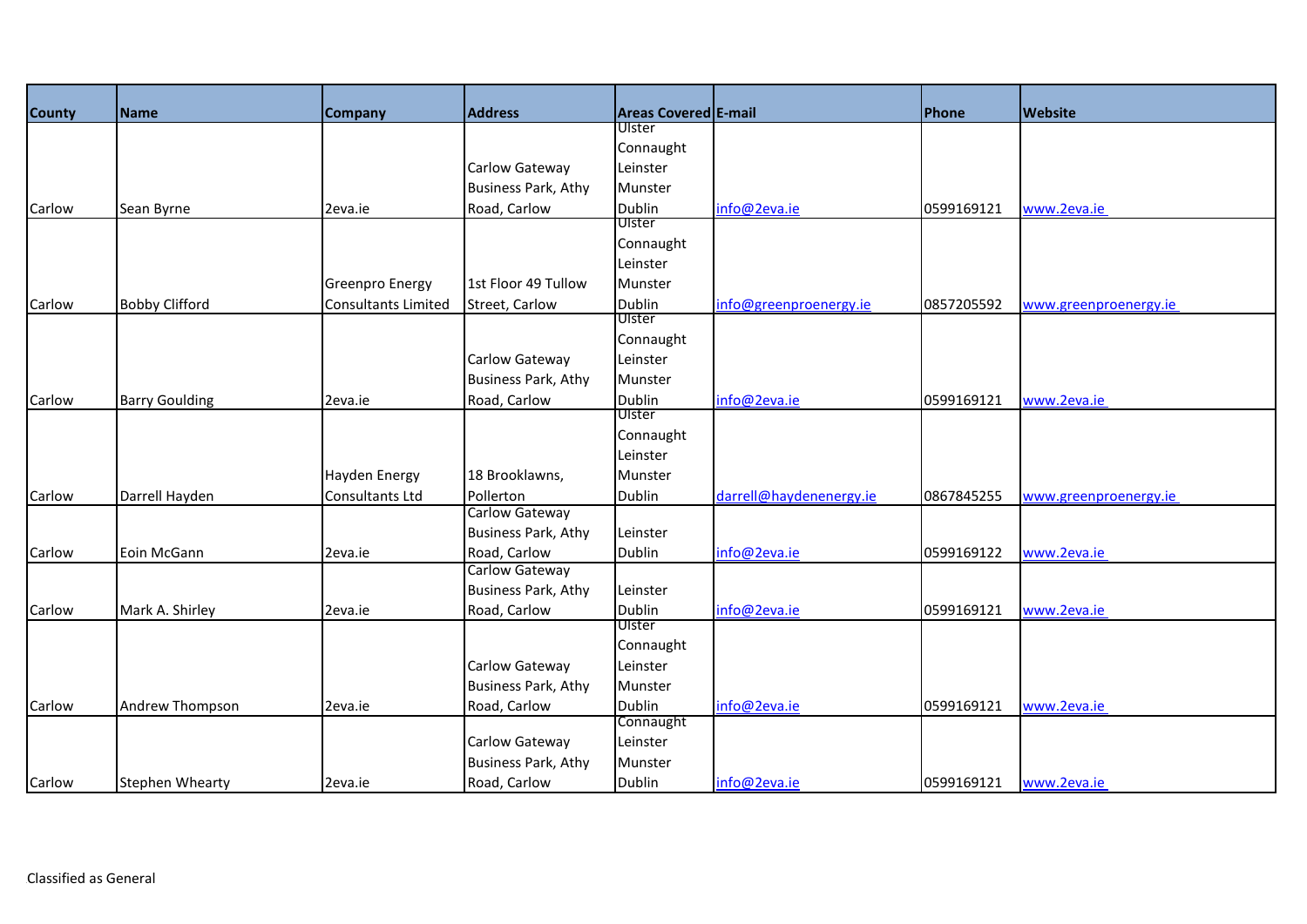| <b>County</b> | Name                   | <b>Company</b>             | <b>Address</b>             | Areas Covered E-mail    |                         | Phone      | <b>Website</b>        |
|---------------|------------------------|----------------------------|----------------------------|-------------------------|-------------------------|------------|-----------------------|
|               |                        |                            |                            | Ulster                  |                         |            |                       |
|               |                        |                            |                            | Connaught               |                         |            |                       |
|               |                        |                            | Carlow Gateway             | Leinster                |                         |            |                       |
|               |                        |                            | <b>Business Park, Athy</b> | Munster                 |                         |            |                       |
| Carlow        | Sean Byrne             | 2eva.ie                    | Road, Carlow               | <b>Dublin</b>           | info@2eva.ie            | 0599169121 | www.2eva.ie           |
|               |                        |                            |                            | Ulster                  |                         |            |                       |
|               |                        |                            |                            | Connaught               |                         |            |                       |
|               |                        |                            |                            | Leinster                |                         |            |                       |
|               |                        | <b>Greenpro Energy</b>     | 1st Floor 49 Tullow        | Munster                 |                         |            |                       |
| Carlow        | <b>Bobby Clifford</b>  | <b>Consultants Limited</b> | Street, Carlow             | <b>Dublin</b>           | info@greenproenergy.ie  | 0857205592 | www.greenproenergy.ie |
|               |                        |                            |                            | Ulster                  |                         |            |                       |
|               |                        |                            |                            | Connaught               |                         |            |                       |
|               |                        |                            | Carlow Gateway             | Leinster                |                         |            |                       |
|               |                        |                            | <b>Business Park, Athy</b> | Munster                 |                         |            |                       |
| Carlow        | <b>Barry Goulding</b>  | 2eva.ie                    | Road, Carlow               | <b>Dublin</b><br>Ulster | info@2eva.ie            | 0599169121 | www.2eva.ie           |
|               |                        |                            |                            | Connaught               |                         |            |                       |
|               |                        |                            |                            | Leinster                |                         |            |                       |
|               |                        | <b>Hayden Energy</b>       | 18 Brooklawns,             | Munster                 |                         |            |                       |
| Carlow        | Darrell Hayden         | Consultants Ltd            | Pollerton                  | Dublin                  | darrell@haydenenergy.ie | 0867845255 |                       |
|               |                        |                            | Carlow Gateway             |                         |                         |            | www.greenproenergy.ie |
|               |                        |                            | <b>Business Park, Athy</b> | Leinster                |                         |            |                       |
| Carlow        | Eoin McGann            | 2eva.ie                    | Road, Carlow               | Dublin                  | info@2eva.ie            | 0599169122 | www.2eva.ie           |
|               |                        |                            | Carlow Gateway             |                         |                         |            |                       |
|               |                        |                            | <b>Business Park, Athy</b> | Leinster                |                         |            |                       |
| Carlow        | Mark A. Shirley        | 2eva.ie                    | Road, Carlow               | Dublin                  | info@2eva.ie            | 0599169121 | www.2eva.ie           |
|               |                        |                            |                            | Ulster                  |                         |            |                       |
|               |                        |                            |                            | Connaught               |                         |            |                       |
|               |                        |                            | Carlow Gateway             | Leinster                |                         |            |                       |
|               |                        |                            | <b>Business Park, Athy</b> | Munster                 |                         |            |                       |
| Carlow        | Andrew Thompson        | 2eva.ie                    | Road, Carlow               | <b>Dublin</b>           | info@2eva.ie            | 0599169121 | www.2eva.ie           |
|               |                        |                            |                            | Connaught               |                         |            |                       |
|               |                        |                            | Carlow Gateway             | Leinster                |                         |            |                       |
|               |                        |                            | <b>Business Park, Athy</b> | Munster                 |                         |            |                       |
| Carlow        | <b>Stephen Whearty</b> | 2eva.ie                    | Road, Carlow               | <b>Dublin</b>           | info@2eva.ie            | 0599169121 | www.2eva.ie           |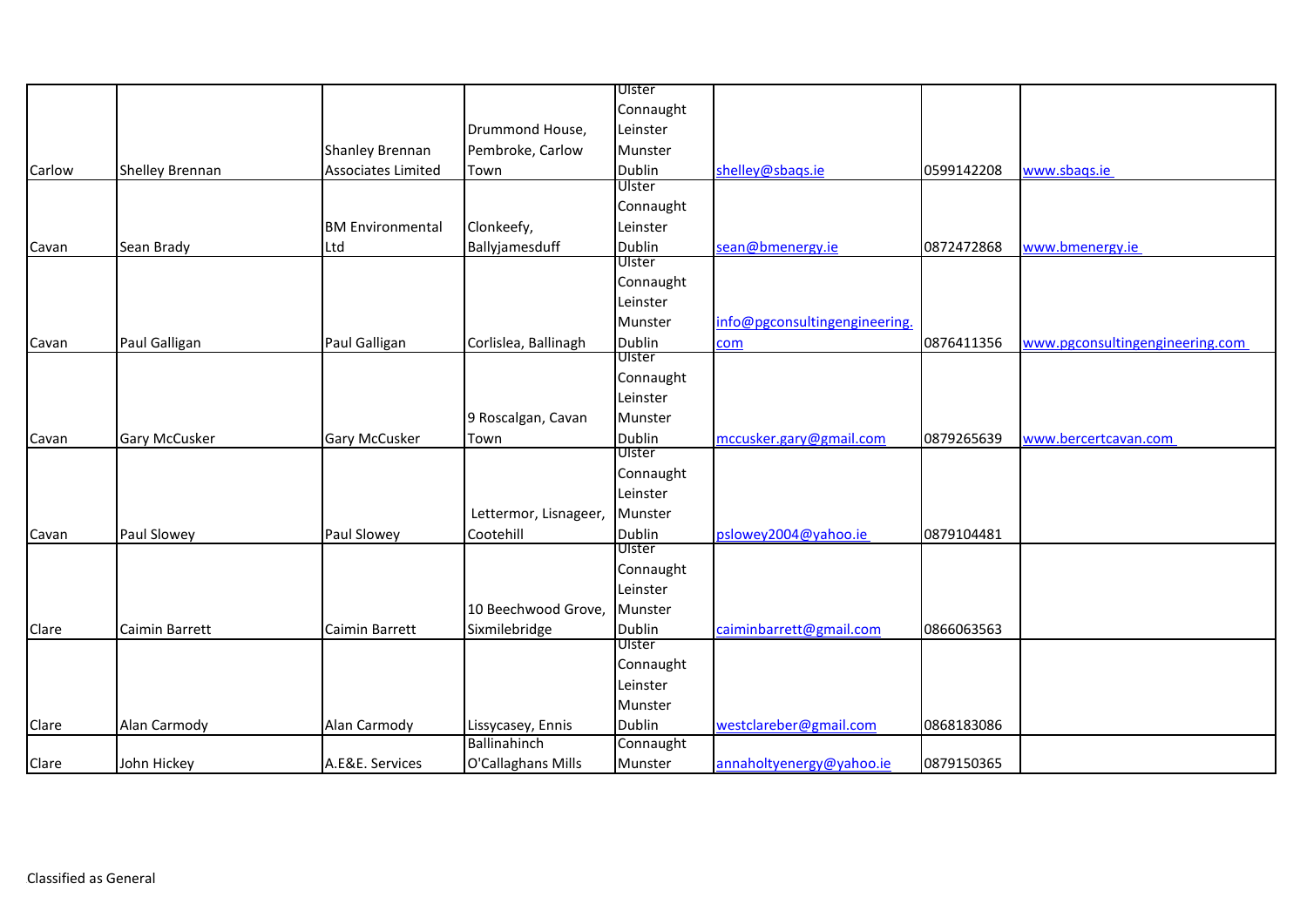|        |                      |                           |                       | Ulster        |                               |            |                                 |
|--------|----------------------|---------------------------|-----------------------|---------------|-------------------------------|------------|---------------------------------|
|        |                      |                           |                       | Connaught     |                               |            |                                 |
|        |                      |                           | Drummond House,       | Leinster      |                               |            |                                 |
|        |                      | Shanley Brennan           | Pembroke, Carlow      | Munster       |                               |            |                                 |
| Carlow | Shelley Brennan      | <b>Associates Limited</b> | Town                  | Dublin        | shelley@sbags.ie              | 0599142208 | www.sbags.ie                    |
|        |                      |                           |                       | Ulster        |                               |            |                                 |
|        |                      |                           |                       | Connaught     |                               |            |                                 |
|        |                      | <b>BM Environmental</b>   | Clonkeefy,            | Leinster      |                               |            |                                 |
| Cavan  | Sean Brady           | Ltd                       | Ballyjamesduff        | <b>Dublin</b> | sean@bmenergy.ie              | 0872472868 | www.bmenergy.ie                 |
|        |                      |                           |                       | Ulster        |                               |            |                                 |
|        |                      |                           |                       | Connaught     |                               |            |                                 |
|        |                      |                           |                       | Leinster      |                               |            |                                 |
|        |                      |                           |                       | Munster       | info@pgconsultingengineering. |            |                                 |
| Cavan  | Paul Galligan        | Paul Galligan             | Corlislea, Ballinagh  | <b>Dublin</b> | com                           | 0876411356 | www.pgconsultingengineering.com |
|        |                      |                           |                       | Ulster        |                               |            |                                 |
|        |                      |                           |                       | Connaught     |                               |            |                                 |
|        |                      |                           |                       | Leinster      |                               |            |                                 |
|        |                      |                           | 9 Roscalgan, Cavan    | Munster       |                               |            |                                 |
| Cavan  | <b>Gary McCusker</b> | <b>Gary McCusker</b>      | Town                  | <b>Dublin</b> | mccusker.gary@gmail.com       | 0879265639 | www.bercertcavan.com            |
|        |                      |                           |                       | Ulster        |                               |            |                                 |
|        |                      |                           |                       | Connaught     |                               |            |                                 |
|        |                      |                           |                       | Leinster      |                               |            |                                 |
|        |                      |                           | Lettermor, Lisnageer, | Munster       |                               |            |                                 |
| Cavan  | Paul Slowey          | Paul Slowey               | Cootehill             | Dublin        | pslowey2004@yahoo.ie          | 0879104481 |                                 |
|        |                      |                           |                       | Ulster        |                               |            |                                 |
|        |                      |                           |                       | Connaught     |                               |            |                                 |
|        |                      |                           |                       | Leinster      |                               |            |                                 |
|        |                      |                           | 10 Beechwood Grove,   | Munster       |                               |            |                                 |
| Clare  | Caimin Barrett       | Caimin Barrett            | Sixmilebridge         | <b>Dublin</b> | caiminbarrett@gmail.com       | 0866063563 |                                 |
|        |                      |                           |                       | Ulster        |                               |            |                                 |
|        |                      |                           |                       | Connaught     |                               |            |                                 |
|        |                      |                           |                       | Leinster      |                               |            |                                 |
|        |                      |                           |                       | Munster       |                               |            |                                 |
| Clare  | Alan Carmody         | Alan Carmody              | Lissycasey, Ennis     | <b>Dublin</b> | westclareber@gmail.com        | 0868183086 |                                 |
|        |                      |                           | Ballinahinch          | Connaught     |                               |            |                                 |
| Clare  | John Hickey          | A.E&E. Services           | O'Callaghans Mills    | Munster       | annaholtyenergy@yahoo.ie      | 0879150365 |                                 |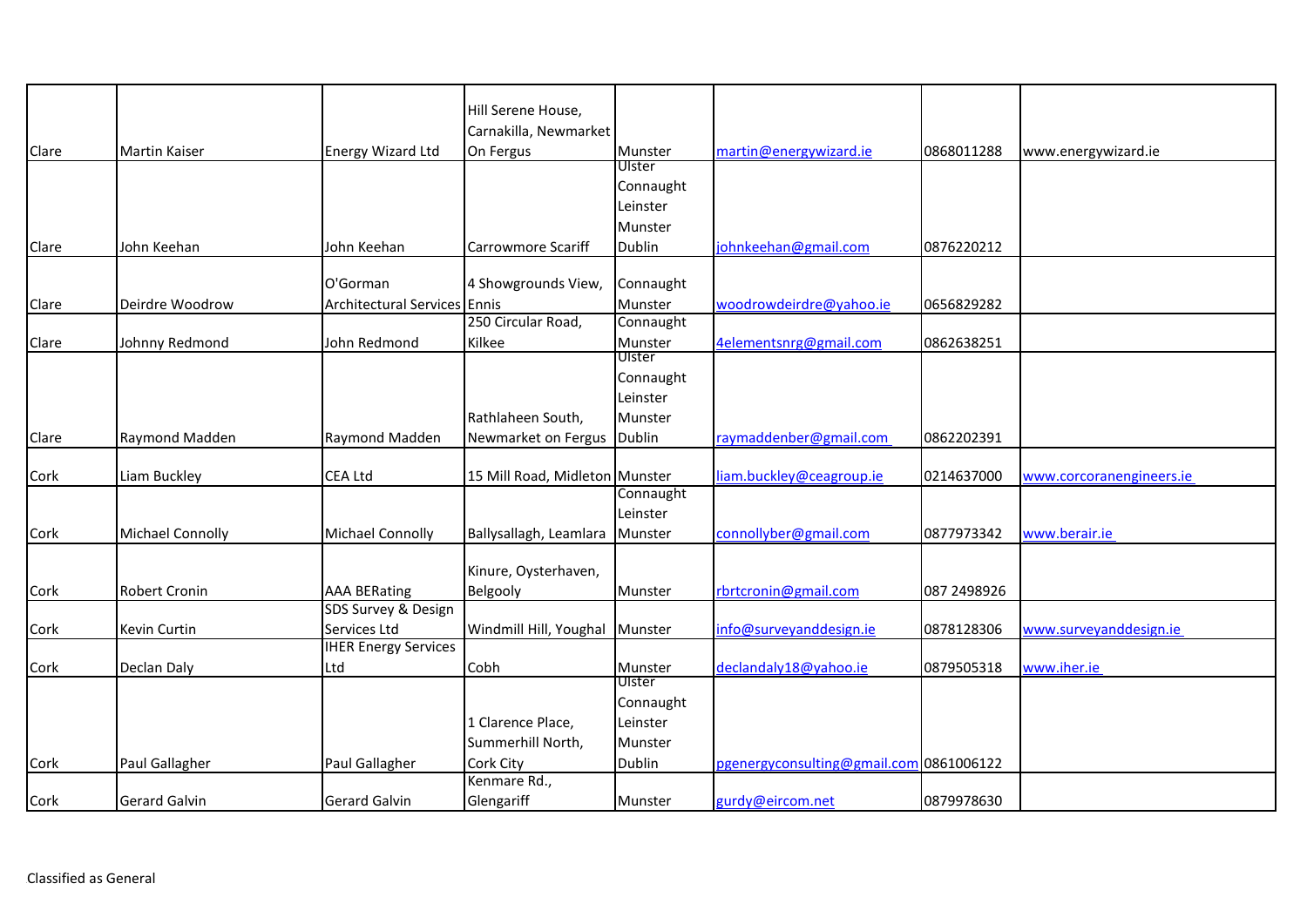|       |                         |                              | Hill Serene House,             |               |                                         |             |                          |
|-------|-------------------------|------------------------------|--------------------------------|---------------|-----------------------------------------|-------------|--------------------------|
|       |                         |                              | Carnakilla, Newmarket          |               |                                         |             |                          |
|       | <b>Martin Kaiser</b>    |                              |                                | Munster       | martin@energywizard.ie                  | 0868011288  |                          |
| Clare |                         | <b>Energy Wizard Ltd</b>     | On Fergus                      | Ulster        |                                         |             | www.energywizard.ie      |
|       |                         |                              |                                | Connaught     |                                         |             |                          |
|       |                         |                              |                                | Leinster      |                                         |             |                          |
|       |                         |                              |                                |               |                                         |             |                          |
|       |                         |                              |                                | Munster       |                                         |             |                          |
| Clare | John Keehan             | John Keehan                  | Carrowmore Scariff             | <b>Dublin</b> | johnkeehan@gmail.com                    | 0876220212  |                          |
|       |                         |                              |                                |               |                                         |             |                          |
|       |                         | O'Gorman                     | 4 Showgrounds View,            | Connaught     |                                         |             |                          |
| Clare | Deirdre Woodrow         | Architectural Services Ennis |                                | Munster       | woodrowdeirdre@yahoo.ie                 | 0656829282  |                          |
|       |                         |                              | 250 Circular Road,             | Connaught     |                                         |             |                          |
| Clare | Johnny Redmond          | John Redmond                 | Kilkee                         | Munster       | 4elementsnrg@gmail.com                  | 0862638251  |                          |
|       |                         |                              |                                | Ulster        |                                         |             |                          |
|       |                         |                              |                                | Connaught     |                                         |             |                          |
|       |                         |                              |                                | Leinster      |                                         |             |                          |
|       |                         |                              | Rathlaheen South,              | Munster       |                                         |             |                          |
| Clare | Raymond Madden          | Raymond Madden               | Newmarket on Fergus Dublin     |               | raymaddenber@gmail.com                  | 0862202391  |                          |
|       |                         |                              |                                |               |                                         |             |                          |
| Cork  | Liam Buckley            | <b>CEA Ltd</b>               | 15 Mill Road, Midleton Munster |               | liam.buckley@ceagroup.ie                | 0214637000  | www.corcoranengineers.ie |
|       |                         |                              |                                | Connaught     |                                         |             |                          |
|       |                         |                              |                                | Leinster      |                                         |             |                          |
| Cork  | <b>Michael Connolly</b> | <b>Michael Connolly</b>      | Ballysallagh, Leamlara         | Munster       | connollyber@gmail.com                   | 0877973342  | www.berair.ie            |
|       |                         |                              |                                |               |                                         |             |                          |
|       |                         |                              | Kinure, Oysterhaven,           |               |                                         |             |                          |
| Cork  | <b>Robert Cronin</b>    | <b>AAA BERating</b>          | Belgooly                       | Munster       | rbrtcronin@gmail.com                    | 087 2498926 |                          |
|       |                         | SDS Survey & Design          |                                |               |                                         |             |                          |
| Cork  | Kevin Curtin            | Services Ltd                 | Windmill Hill, Youghal         | Munster       | info@surveyanddesign.ie                 | 0878128306  | www.surveyanddesign.ie   |
|       |                         | <b>IHER Energy Services</b>  |                                |               |                                         |             |                          |
| Cork  | Declan Daly             | Ltd                          | Cobh                           | Munster       | declandaly18@yahoo.ie                   | 0879505318  | www.iher.ie              |
|       |                         |                              |                                | Ulster        |                                         |             |                          |
|       |                         |                              |                                | Connaught     |                                         |             |                          |
|       |                         |                              | 1 Clarence Place,              | Leinster      |                                         |             |                          |
|       |                         |                              |                                |               |                                         |             |                          |
|       |                         |                              | Summerhill North,              | Munster       |                                         |             |                          |
| Cork  | Paul Gallagher          | Paul Gallagher               | Cork City                      | Dublin        | pgenergyconsulting@gmail.com 0861006122 |             |                          |
|       |                         |                              | Kenmare Rd.,                   |               |                                         |             |                          |
| Cork  | <b>Gerard Galvin</b>    | <b>Gerard Galvin</b>         | Glengariff                     | Munster       | gurdy@eircom.net                        | 0879978630  |                          |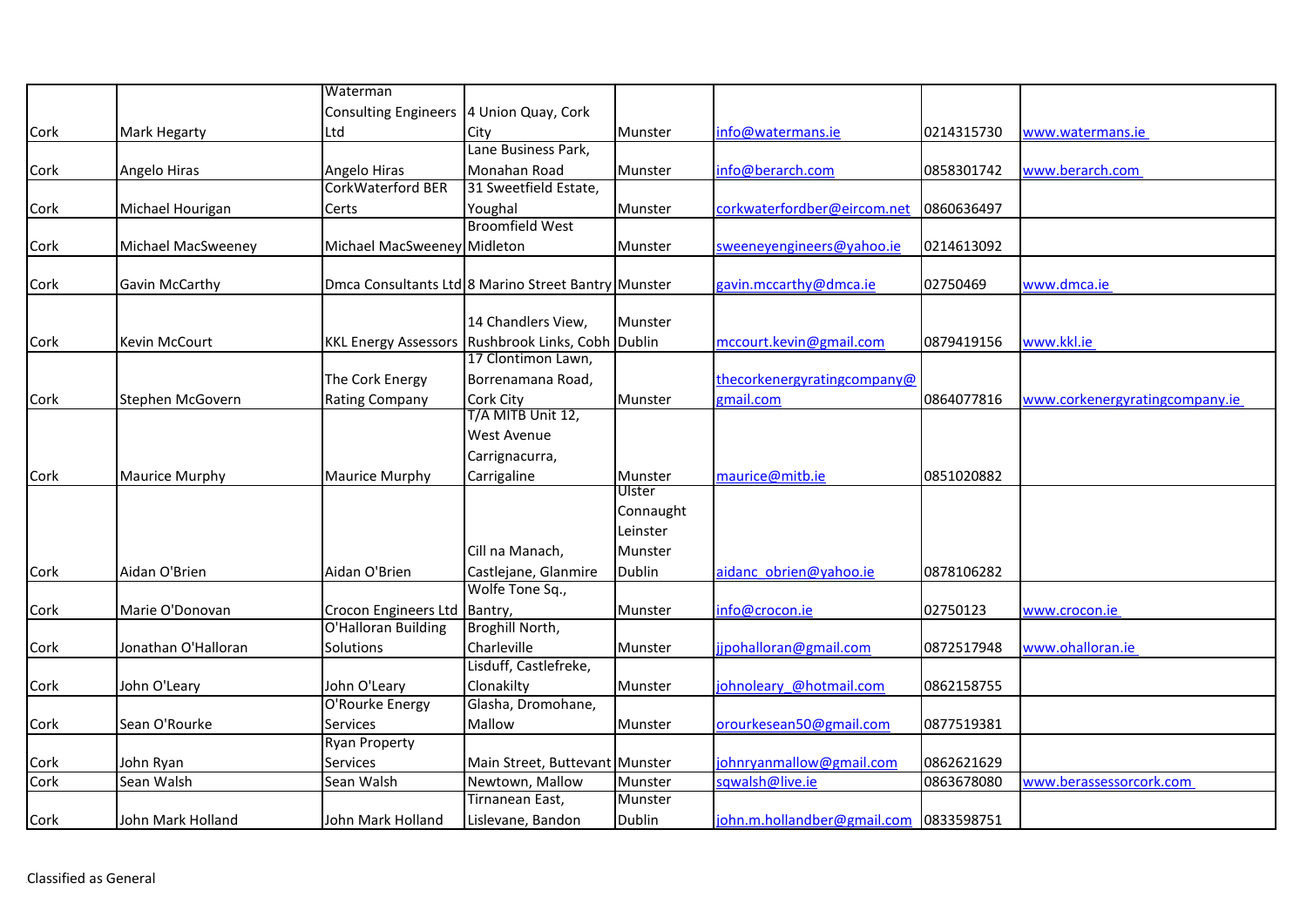|              |                       | Waterman                                  |                                                     |               |                                        |            |                                |
|--------------|-----------------------|-------------------------------------------|-----------------------------------------------------|---------------|----------------------------------------|------------|--------------------------------|
|              |                       | Consulting Engineers   4 Union Quay, Cork |                                                     |               |                                        |            |                                |
| Cork         | <b>Mark Hegarty</b>   | Ltd                                       | City                                                | Munster       | info@watermans.ie                      | 0214315730 | www.watermans.ie               |
|              |                       |                                           | Lane Business Park,                                 |               |                                        |            |                                |
| Cork         | Angelo Hiras          | Angelo Hiras                              | Monahan Road                                        | Munster       | info@berarch.com                       | 0858301742 | www.berarch.com                |
|              |                       | <b>CorkWaterford BER</b>                  | 31 Sweetfield Estate,                               |               |                                        |            |                                |
| Cork         | Michael Hourigan      | Certs                                     | Youghal                                             | Munster       | corkwaterfordber@eircom.net            | 0860636497 |                                |
|              |                       |                                           | <b>Broomfield West</b>                              |               |                                        |            |                                |
| Cork         | Michael MacSweeney    | Michael MacSweeney Midleton               |                                                     | Munster       | sweeneyengineers@yahoo.ie              | 0214613092 |                                |
|              |                       |                                           |                                                     |               |                                        |            |                                |
| Cork         | Gavin McCarthy        |                                           | Dmca Consultants Ltd 8 Marino Street Bantry Munster |               | gavin.mccarthy@dmca.ie                 | 02750469   | www.dmca.ie                    |
|              |                       |                                           |                                                     |               |                                        |            |                                |
|              |                       |                                           | 14 Chandlers View,                                  | Munster       |                                        |            |                                |
| Cork         | Kevin McCourt         |                                           | KKL Energy Assessors Rushbrook Links, Cobh Dublin   |               | mccourt.kevin@gmail.com                | 0879419156 | www.kkl.ie                     |
|              |                       |                                           | 17 Clontimon Lawn,                                  |               |                                        |            |                                |
|              |                       | The Cork Energy                           | Borrenamana Road,                                   |               | thecorkenergyratingcompany@            |            |                                |
| Cork         | Stephen McGovern      | <b>Rating Company</b>                     | Cork City                                           | Munster       | gmail.com                              | 0864077816 | www.corkenergyratingcompany.ie |
|              |                       |                                           | T/A MITB Unit 12,                                   |               |                                        |            |                                |
|              |                       |                                           | West Avenue                                         |               |                                        |            |                                |
|              |                       |                                           | Carrignacurra,                                      |               |                                        |            |                                |
| Cork         | <b>Maurice Murphy</b> | <b>Maurice Murphy</b>                     | Carrigaline                                         | Munster       | maurice@mitb.ie                        | 0851020882 |                                |
|              |                       |                                           |                                                     | Ulster        |                                        |            |                                |
|              |                       |                                           |                                                     | Connaught     |                                        |            |                                |
|              |                       |                                           |                                                     | Leinster      |                                        |            |                                |
|              |                       |                                           | Cill na Manach,                                     | Munster       |                                        |            |                                |
| Cork         | Aidan O'Brien         | Aidan O'Brien                             | Castlejane, Glanmire                                | <b>Dublin</b> | aidanc obrien@yahoo.ie                 | 0878106282 |                                |
|              |                       |                                           | Wolfe Tone Sq.,                                     |               |                                        |            |                                |
| Cork         | Marie O'Donovan       | Crocon Engineers Ltd Bantry,              |                                                     | Munster       | info@crocon.ie                         | 02750123   | www.crocon.ie                  |
|              |                       | O'Halloran Building                       | Broghill North,                                     |               |                                        |            |                                |
| Cork         | Jonathan O'Halloran   | Solutions                                 | Charleville                                         | Munster       | jjpohalloran@gmail.com                 | 0872517948 | www.ohalloran.ie               |
|              |                       |                                           | Lisduff, Castlefreke,                               |               |                                        |            |                                |
| Cork         | John O'Leary          | John O'Leary                              | Clonakilty                                          | Munster       | johnoleary @hotmail.com                | 0862158755 |                                |
|              |                       | O'Rourke Energy                           | Glasha, Dromohane,                                  |               |                                        |            |                                |
| Cork         | Sean O'Rourke         | Services                                  | Mallow                                              | Munster       | orourkesean50@gmail.com                | 0877519381 |                                |
|              |                       | Ryan Property                             |                                                     |               |                                        |            |                                |
|              | John Ryan             | Services                                  | Main Street, Buttevant Munster                      |               | johnryanmallow@gmail.com               | 0862621629 |                                |
| Cork<br>Cork | Sean Walsh            | Sean Walsh                                | Newtown, Mallow                                     | Munster       | sqwalsh@live.ie                        | 0863678080 | www.berassessorcork.com        |
|              |                       |                                           | Tirnanean East,                                     | Munster       |                                        |            |                                |
| Cork         | John Mark Holland     | John Mark Holland                         | Lislevane, Bandon                                   | Dublin        | john.m.hollandber@gmail.com 0833598751 |            |                                |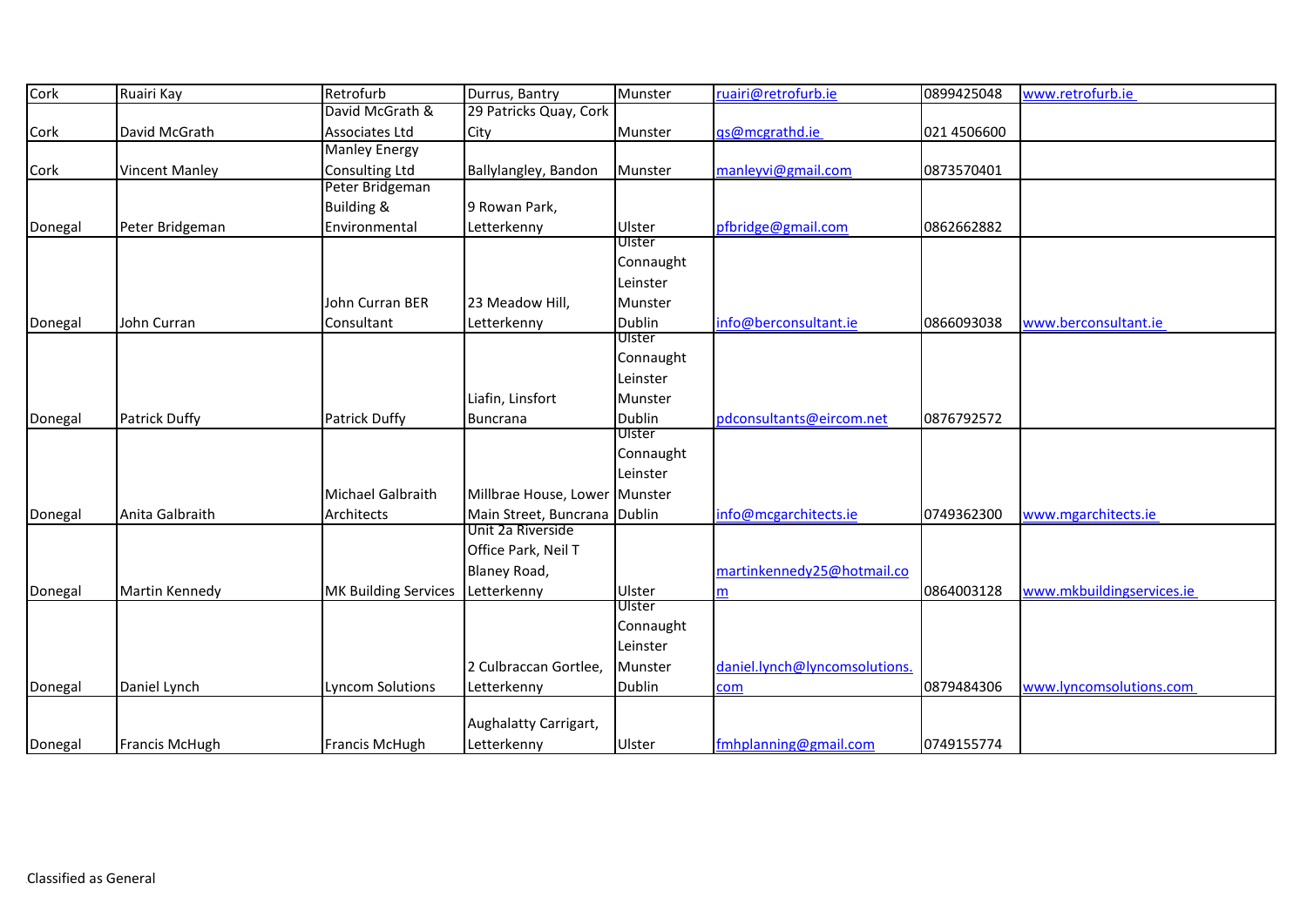| Cork    | Ruairi Kay            | Retrofurb                   | Durrus, Bantry                | Munster       | ruairi@retrofurb.ie           | 0899425048  | www.retrofurb.ie          |
|---------|-----------------------|-----------------------------|-------------------------------|---------------|-------------------------------|-------------|---------------------------|
|         |                       | David McGrath &             | 29 Patricks Quay, Cork        |               |                               |             |                           |
| Cork    | David McGrath         | Associates Ltd              | City                          | Munster       | gs@mcgrathd.ie                | 021 4506600 |                           |
|         |                       | <b>Manley Energy</b>        |                               |               |                               |             |                           |
| Cork    | <b>Vincent Manley</b> | Consulting Ltd              | Ballylangley, Bandon          | Munster       | manleyvi@gmail.com            | 0873570401  |                           |
|         |                       | Peter Bridgeman             |                               |               |                               |             |                           |
|         |                       | <b>Building &amp;</b>       | 9 Rowan Park,                 |               |                               |             |                           |
| Donegal | Peter Bridgeman       | Environmental               | Letterkenny                   | Ulster        | pfbridge@gmail.com            | 0862662882  |                           |
|         |                       |                             |                               | Ulster        |                               |             |                           |
|         |                       |                             |                               | Connaught     |                               |             |                           |
|         |                       |                             |                               | Leinster      |                               |             |                           |
|         |                       | John Curran BER             | 23 Meadow Hill,               | Munster       |                               |             |                           |
| Donegal | John Curran           | Consultant                  | Letterkenny                   | <b>Dublin</b> | info@berconsultant.ie         | 0866093038  | www.berconsultant.ie      |
|         |                       |                             |                               | Ulster        |                               |             |                           |
|         |                       |                             |                               | Connaught     |                               |             |                           |
|         |                       |                             |                               | Leinster      |                               |             |                           |
|         |                       |                             | Liafin, Linsfort              | Munster       |                               |             |                           |
| Donegal | Patrick Duffy         | <b>Patrick Duffy</b>        | <b>Buncrana</b>               | Dublin        | pdconsultants@eircom.net      | 0876792572  |                           |
|         |                       |                             |                               | Ulster        |                               |             |                           |
|         |                       |                             |                               | Connaught     |                               |             |                           |
|         |                       |                             |                               | Leinster      |                               |             |                           |
|         |                       | Michael Galbraith           | Millbrae House, Lower Munster |               |                               |             |                           |
| Donegal | Anita Galbraith       | Architects                  | Main Street, Buncrana Dublin  |               | info@mcgarchitects.ie         | 0749362300  | www.mgarchitects.ie       |
|         |                       |                             | Unit 2a Riverside             |               |                               |             |                           |
|         |                       |                             | Office Park, Neil T           |               |                               |             |                           |
|         |                       |                             | Blaney Road,                  |               | martinkennedy25@hotmail.co    |             |                           |
| Donegal | Martin Kennedy        | <b>MK Building Services</b> | Letterkenny                   | Ulster        |                               | 0864003128  | www.mkbuildingservices.ie |
|         |                       |                             |                               | Ulster        |                               |             |                           |
|         |                       |                             |                               | Connaught     |                               |             |                           |
|         |                       |                             |                               | Leinster      |                               |             |                           |
|         |                       |                             | 2 Culbraccan Gortlee,         | Munster       | daniel.lynch@lyncomsolutions. |             |                           |
| Donegal | Daniel Lynch          | <b>Lyncom Solutions</b>     | Letterkenny                   | <b>Dublin</b> | com                           | 0879484306  | www.lyncomsolutions.com   |
|         |                       |                             |                               |               |                               |             |                           |
|         |                       |                             | Aughalatty Carrigart,         |               |                               |             |                           |
| Donegal | Francis McHugh        | <b>Francis McHugh</b>       | Letterkenny                   | Ulster        | fmhplanning@gmail.com         | 0749155774  |                           |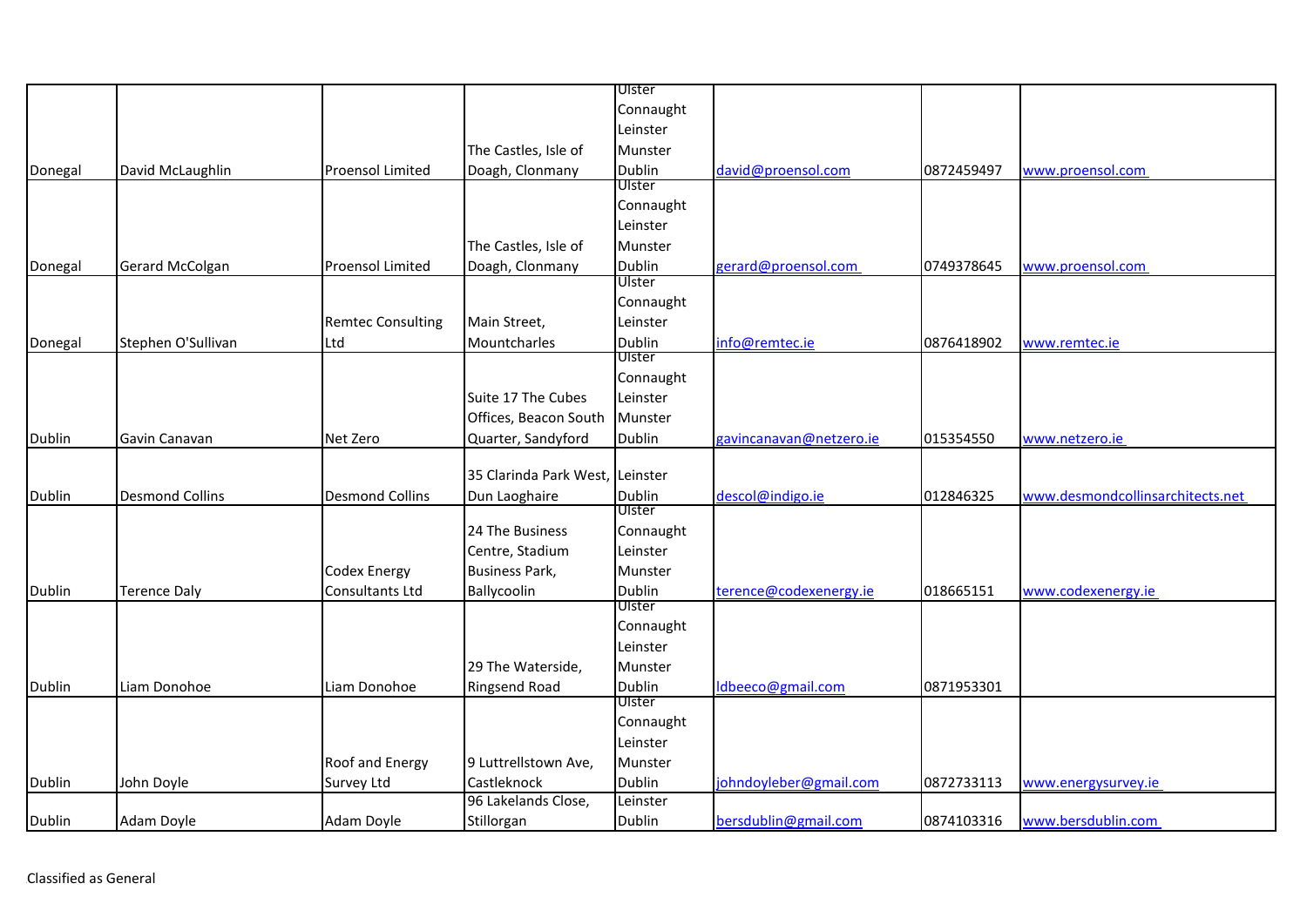|               |                        |                          |                                 | Ulster        |                         |            |                                  |
|---------------|------------------------|--------------------------|---------------------------------|---------------|-------------------------|------------|----------------------------------|
|               |                        |                          |                                 | Connaught     |                         |            |                                  |
|               |                        |                          |                                 | Leinster      |                         |            |                                  |
|               |                        |                          | The Castles, Isle of            | Munster       |                         |            |                                  |
| Donegal       | David McLaughlin       | <b>Proensol Limited</b>  | Doagh, Clonmany                 | <b>Dublin</b> | david@proensol.com      | 0872459497 | www.proensol.com                 |
|               |                        |                          |                                 | Ulster        |                         |            |                                  |
|               |                        |                          |                                 | Connaught     |                         |            |                                  |
|               |                        |                          |                                 | Leinster      |                         |            |                                  |
|               |                        |                          | The Castles, Isle of            | Munster       |                         |            |                                  |
| Donegal       | Gerard McColgan        | <b>Proensol Limited</b>  | Doagh, Clonmany                 | Dublin        | gerard@proensol.com     | 0749378645 | www.proensol.com                 |
|               |                        |                          |                                 | Ulster        |                         |            |                                  |
|               |                        |                          |                                 | Connaught     |                         |            |                                  |
|               |                        | <b>Remtec Consulting</b> | Main Street,                    | Leinster      |                         |            |                                  |
| Donegal       | Stephen O'Sullivan     | Ltd                      | Mountcharles                    | Dublin        | info@remtec.ie          | 0876418902 | www.remtec.ie                    |
|               |                        |                          |                                 | Ulster        |                         |            |                                  |
|               |                        |                          |                                 | Connaught     |                         |            |                                  |
|               |                        |                          | Suite 17 The Cubes              | Leinster      |                         |            |                                  |
|               |                        |                          | Offices, Beacon South           | Munster       |                         |            |                                  |
| Dublin        | Gavin Canavan          | Net Zero                 | Quarter, Sandyford              | <b>Dublin</b> | gavincanavan@netzero.ie | 015354550  | www.netzero.ie                   |
|               |                        |                          | 35 Clarinda Park West, Leinster |               |                         |            |                                  |
| <b>Dublin</b> | <b>Desmond Collins</b> | <b>Desmond Collins</b>   |                                 | <b>Dublin</b> | descol@indigo.ie        | 012846325  | www.desmondcollinsarchitects.net |
|               |                        |                          | Dun Laoghaire                   | Ulster        |                         |            |                                  |
|               |                        |                          | 24 The Business                 | Connaught     |                         |            |                                  |
|               |                        |                          | Centre, Stadium                 | Leinster      |                         |            |                                  |
|               |                        | Codex Energy             | <b>Business Park,</b>           | Munster       |                         |            |                                  |
| <b>Dublin</b> | <b>Terence Daly</b>    | Consultants Ltd          | Ballycoolin                     | <b>Dublin</b> | terence@codexenergy.ie  | 018665151  | www.codexenergy.ie               |
|               |                        |                          |                                 | Ulster        |                         |            |                                  |
|               |                        |                          |                                 | Connaught     |                         |            |                                  |
|               |                        |                          |                                 | Leinster      |                         |            |                                  |
|               |                        |                          | 29 The Waterside,               | Munster       |                         |            |                                  |
| Dublin        | Liam Donohoe           | Liam Donohoe             | <b>Ringsend Road</b>            | Dublin        | Idbeeco@gmail.com       | 0871953301 |                                  |
|               |                        |                          |                                 | Ulster        |                         |            |                                  |
|               |                        |                          |                                 | Connaught     |                         |            |                                  |
|               |                        |                          |                                 | Leinster      |                         |            |                                  |
|               |                        | Roof and Energy          | 9 Luttrellstown Ave,            | Munster       |                         |            |                                  |
| Dublin        | John Doyle             | Survey Ltd               | Castleknock                     | <b>Dublin</b> | johndoyleber@gmail.com  | 0872733113 | www.energysurvey.ie              |
|               |                        |                          | 96 Lakelands Close,             | Leinster      |                         |            |                                  |
| Dublin        | Adam Doyle             | Adam Doyle               | Stillorgan                      | Dublin        | bersdublin@gmail.com    | 0874103316 | www.bersdublin.com               |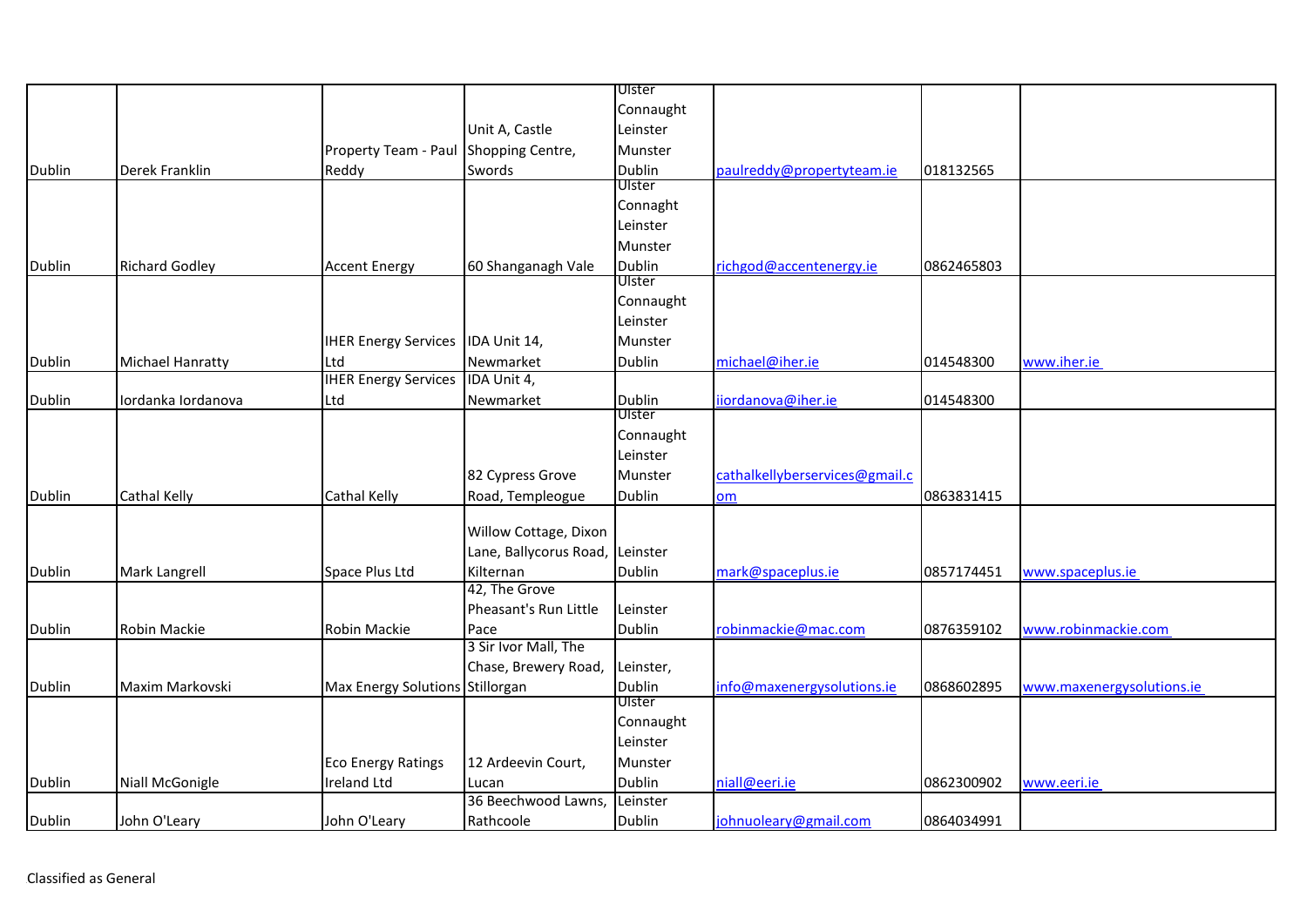|               |                         |                                 |                        | Ulster        |                                |            |                           |
|---------------|-------------------------|---------------------------------|------------------------|---------------|--------------------------------|------------|---------------------------|
|               |                         |                                 |                        | Connaught     |                                |            |                           |
|               |                         |                                 | Unit A, Castle         | Leinster      |                                |            |                           |
|               |                         | Property Team - Paul            | Shopping Centre,       | Munster       |                                |            |                           |
| Dublin        | Derek Franklin          | Reddy                           | Swords                 | Dublin        | paulreddy@propertyteam.ie      | 018132565  |                           |
|               |                         |                                 |                        | Ulster        |                                |            |                           |
|               |                         |                                 |                        | Connaght      |                                |            |                           |
|               |                         |                                 |                        | Leinster      |                                |            |                           |
|               |                         |                                 |                        | Munster       |                                |            |                           |
| Dublin        | <b>Richard Godley</b>   | <b>Accent Energy</b>            | 60 Shanganagh Vale     | <b>Dublin</b> | richgod@accentenergy.ie        | 0862465803 |                           |
|               |                         |                                 |                        | Ulster        |                                |            |                           |
|               |                         |                                 |                        | Connaught     |                                |            |                           |
|               |                         |                                 |                        | Leinster      |                                |            |                           |
|               |                         | <b>IHER Energy Services</b>     | IDA Unit 14,           | Munster       |                                |            |                           |
| Dublin        | <b>Michael Hanratty</b> | Ltd                             | Newmarket              | Dublin        | michael@iher.ie                | 014548300  | www.iher.ie               |
|               |                         | <b>IHER Energy Services</b>     | IDA Unit 4,            |               |                                |            |                           |
| <b>Dublin</b> | Iordanka Iordanova      | Ltd                             | Newmarket              | Dublin        | iiordanova@iher.ie             | 014548300  |                           |
|               |                         |                                 |                        | <b>UIster</b> |                                |            |                           |
|               |                         |                                 |                        | Connaught     |                                |            |                           |
|               |                         |                                 |                        | Leinster      |                                |            |                           |
|               |                         |                                 | 82 Cypress Grove       | Munster       | cathalkellyberservices@gmail.c |            |                           |
| <b>Dublin</b> | Cathal Kelly            | Cathal Kelly                    | Road, Templeogue       | <b>Dublin</b> | om                             | 0863831415 |                           |
|               |                         |                                 |                        |               |                                |            |                           |
|               |                         |                                 | Willow Cottage, Dixon  |               |                                |            |                           |
|               |                         |                                 | Lane, Ballycorus Road, | Leinster      |                                |            |                           |
| Dublin        | Mark Langrell           | Space Plus Ltd                  | Kilternan              | Dublin        | mark@spaceplus.ie              | 0857174451 | www.spaceplus.ie          |
|               |                         |                                 | 42, The Grove          |               |                                |            |                           |
|               |                         |                                 | Pheasant's Run Little  | Leinster      |                                |            |                           |
| <b>Dublin</b> | Robin Mackie            | Robin Mackie                    | Pace                   | <b>Dublin</b> | robinmackie@mac.com            | 0876359102 | www.robinmackie.com       |
|               |                         |                                 | 3 Sir Ivor Mall, The   |               |                                |            |                           |
|               |                         |                                 | Chase, Brewery Road,   | Leinster,     |                                |            |                           |
| Dublin        | Maxim Markovski         | Max Energy Solutions Stillorgan |                        | <b>Dublin</b> | info@maxenergysolutions.ie     | 0868602895 | www.maxenergysolutions.ie |
|               |                         |                                 |                        | Ulster        |                                |            |                           |
|               |                         |                                 |                        | Connaught     |                                |            |                           |
|               |                         |                                 |                        | Leinster      |                                |            |                           |
|               |                         | <b>Eco Energy Ratings</b>       | 12 Ardeevin Court,     | Munster       |                                |            |                           |
| Dublin        | Niall McGonigle         | <b>Ireland Ltd</b>              | Lucan                  | <b>Dublin</b> | niall@eeri.ie                  | 0862300902 | www.eeri.ie               |
|               |                         |                                 | 36 Beechwood Lawns,    | Leinster      |                                |            |                           |
| Dublin        | John O'Leary            | John O'Leary                    | Rathcoole              | <b>Dublin</b> | johnuoleary@gmail.com          | 0864034991 |                           |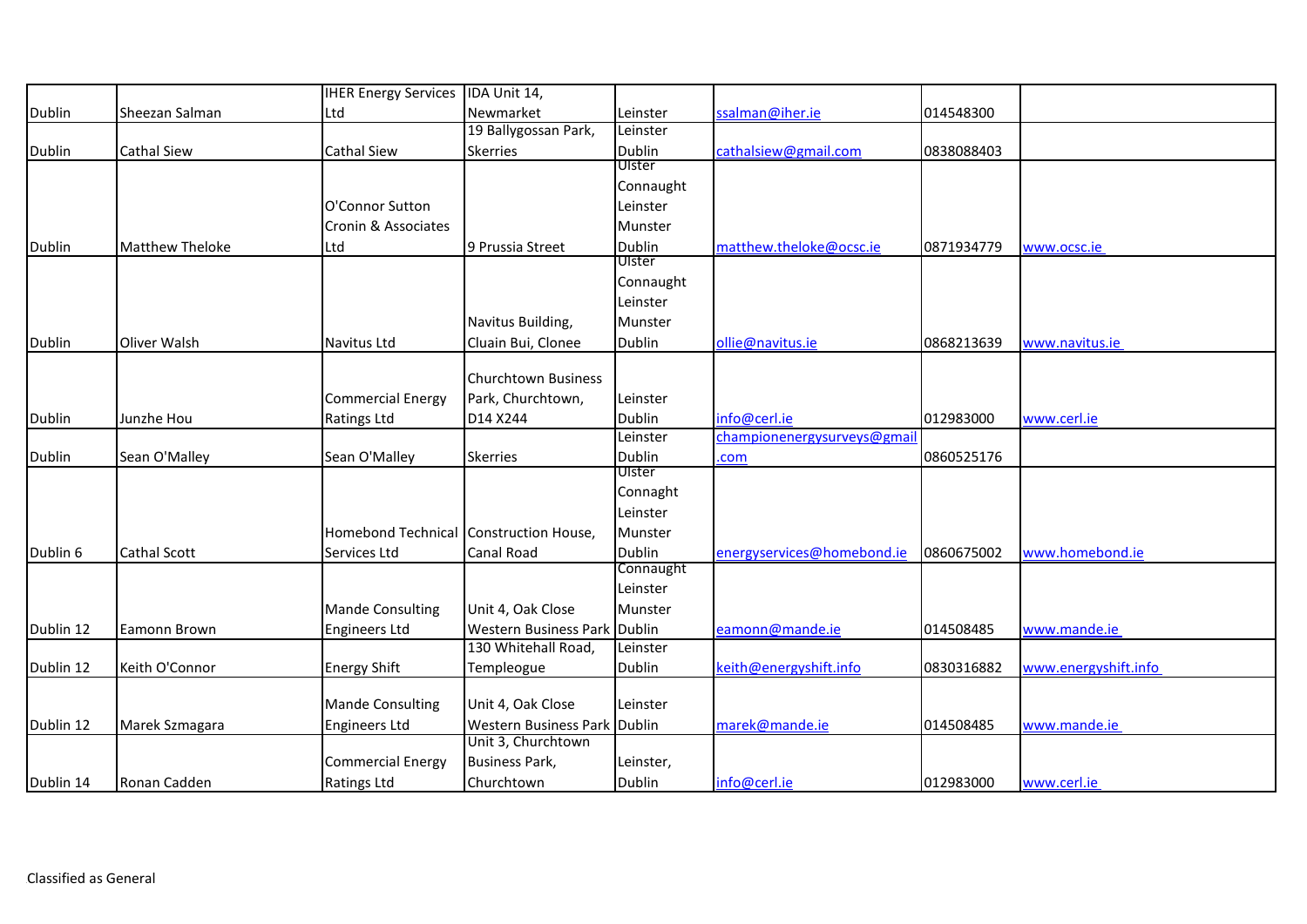|               |                        | <b>IHER Energy Services</b>            | IDA Unit 14,                                       |               |                            |            |                      |
|---------------|------------------------|----------------------------------------|----------------------------------------------------|---------------|----------------------------|------------|----------------------|
| Dublin        | Sheezan Salman         | Ltd                                    | Newmarket                                          | Leinster      | salman@iher.ie             | 014548300  |                      |
|               |                        |                                        | 19 Ballygossan Park,                               | Leinster      |                            |            |                      |
| Dublin        | <b>Cathal Siew</b>     | Cathal Siew                            | <b>Skerries</b>                                    | Dublin        | cathalsiew@gmail.com       | 0838088403 |                      |
|               |                        |                                        |                                                    | Ulster        |                            |            |                      |
|               |                        |                                        |                                                    | Connaught     |                            |            |                      |
|               |                        | O'Connor Sutton                        |                                                    | Leinster      |                            |            |                      |
|               |                        | Cronin & Associates                    |                                                    | Munster       |                            |            |                      |
| <b>Dublin</b> | <b>Matthew Theloke</b> | Ltd                                    | 9 Prussia Street                                   | Dublin        | matthew.theloke@ocsc.ie    | 0871934779 | www.ocsc.ie          |
|               |                        |                                        |                                                    | Ulster        |                            |            |                      |
|               |                        |                                        |                                                    | Connaught     |                            |            |                      |
|               |                        |                                        |                                                    | Leinster      |                            |            |                      |
|               |                        |                                        | Navitus Building,                                  | Munster       |                            |            |                      |
| Dublin        | Oliver Walsh           | Navitus Ltd                            | Cluain Bui, Clonee                                 | Dublin        | ollie@navitus.ie           | 0868213639 | www.navitus.ie       |
|               |                        |                                        |                                                    |               |                            |            |                      |
|               |                        |                                        | <b>Churchtown Business</b>                         |               |                            |            |                      |
|               |                        | <b>Commercial Energy</b>               | Park, Churchtown,                                  | Leinster      |                            |            |                      |
| Dublin        | Junzhe Hou             | <b>Ratings Ltd</b>                     | D14 X244                                           | <b>Dublin</b> | info@cerl.ie               | 012983000  | www.cerl.ie          |
|               |                        |                                        |                                                    | Leinster      | championenergysurveys@gmai |            |                      |
| Dublin        | Sean O'Malley          | Sean O'Malley                          | <b>Skerries</b>                                    | Dublin        | com                        | 0860525176 |                      |
|               |                        |                                        |                                                    | Ulster        |                            |            |                      |
|               |                        |                                        |                                                    | Connaght      |                            |            |                      |
|               |                        |                                        |                                                    | Leinster      |                            |            |                      |
|               |                        | Homebond Technical Construction House, |                                                    | Munster       |                            |            |                      |
| Dublin 6      | <b>Cathal Scott</b>    | Services Ltd                           | Canal Road                                         | Dublin        | energyservices@homebond.ie | 0860675002 | www.homebond.ie      |
|               |                        |                                        |                                                    | Connaught     |                            |            |                      |
|               |                        |                                        |                                                    | Leinster      |                            |            |                      |
|               |                        | <b>Mande Consulting</b>                | Unit 4, Oak Close                                  | Munster       |                            |            |                      |
| Dublin 12     | Eamonn Brown           | <b>Engineers Ltd</b>                   | Western Business Park Dublin                       |               | eamonn@mande.ie            | 014508485  | www.mande.ie         |
|               |                        |                                        | 130 Whitehall Road,                                | Leinster      |                            |            |                      |
| Dublin 12     | Keith O'Connor         | <b>Energy Shift</b>                    | Templeogue                                         | Dublin        | keith@energyshift.info     | 0830316882 | www.energyshift.info |
|               |                        |                                        |                                                    |               |                            |            |                      |
|               |                        | <b>Mande Consulting</b>                | Unit 4, Oak Close                                  | Leinster      |                            |            |                      |
| Dublin 12     | Marek Szmagara         | <b>Engineers Ltd</b>                   | Western Business Park Dublin<br>Unit 3, Churchtown |               | marek@mande.ie             | 014508485  | www.mande.ie         |
|               |                        |                                        |                                                    |               |                            |            |                      |
|               |                        | <b>Commercial Energy</b>               | Business Park,                                     | Leinster,     |                            |            |                      |
| Dublin 14     | Ronan Cadden           | Ratings Ltd                            | Churchtown                                         | Dublin        | info@cerl.ie               | 012983000  | www.cerl.ie          |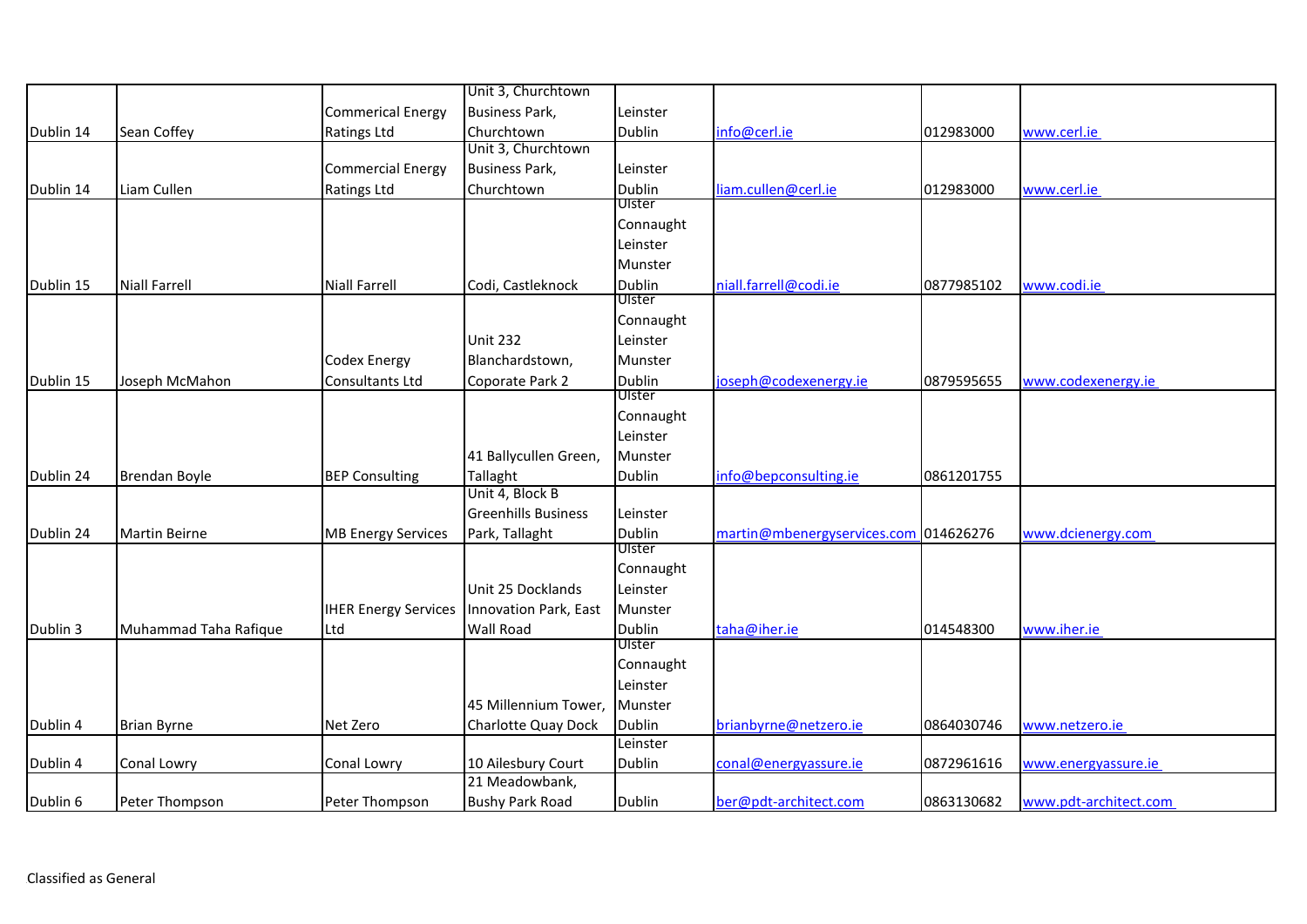|           |                       |                             | Unit 3, Churchtown         |           |                                       |            |                       |
|-----------|-----------------------|-----------------------------|----------------------------|-----------|---------------------------------------|------------|-----------------------|
|           |                       | <b>Commerical Energy</b>    | <b>Business Park,</b>      | Leinster  |                                       |            |                       |
| Dublin 14 | Sean Coffey           | Ratings Ltd                 | Churchtown                 | Dublin    | info@cerl.ie                          | 012983000  | www.cerl.ie           |
|           |                       |                             | Unit 3, Churchtown         |           |                                       |            |                       |
|           |                       | <b>Commercial Energy</b>    | <b>Business Park,</b>      | Leinster  |                                       |            |                       |
| Dublin 14 | Liam Cullen           | <b>Ratings Ltd</b>          | Churchtown                 | Dublin    | liam.cullen@cerl.ie                   | 012983000  | www.cerl.ie           |
|           |                       |                             |                            | Ulster    |                                       |            |                       |
|           |                       |                             |                            | Connaught |                                       |            |                       |
|           |                       |                             |                            | Leinster  |                                       |            |                       |
|           |                       |                             |                            | Munster   |                                       |            |                       |
| Dublin 15 | <b>Niall Farrell</b>  | <b>Niall Farrell</b>        | Codi, Castleknock          | Dublin    | niall.farrell@codi.ie                 | 0877985102 | www.codi.ie           |
|           |                       |                             |                            | Ulster    |                                       |            |                       |
|           |                       |                             |                            | Connaught |                                       |            |                       |
|           |                       |                             | <b>Unit 232</b>            | Leinster  |                                       |            |                       |
|           |                       | Codex Energy                | Blanchardstown,            | Munster   |                                       |            |                       |
| Dublin 15 | Joseph McMahon        | Consultants Ltd             | Coporate Park 2            | Dublin    | joseph@codexenergy.ie                 | 0879595655 | www.codexenergy.ie    |
|           |                       |                             |                            | Ulster    |                                       |            |                       |
|           |                       |                             |                            | Connaught |                                       |            |                       |
|           |                       |                             |                            | Leinster  |                                       |            |                       |
|           |                       |                             | 41 Ballycullen Green,      | Munster   |                                       |            |                       |
| Dublin 24 | Brendan Boyle         | <b>BEP Consulting</b>       | Tallaght                   | Dublin    | info@bepconsulting.ie                 | 0861201755 |                       |
|           |                       |                             | Unit 4, Block B            |           |                                       |            |                       |
|           |                       |                             | <b>Greenhills Business</b> | Leinster  |                                       |            |                       |
| Dublin 24 | <b>Martin Beirne</b>  | <b>MB Energy Services</b>   | Park, Tallaght             | Dublin    | martin@mbenergyservices.com 014626276 |            | www.dcienergy.com     |
|           |                       |                             |                            | Ulster    |                                       |            |                       |
|           |                       |                             |                            | Connaught |                                       |            |                       |
|           |                       |                             | Unit 25 Docklands          | Leinster  |                                       |            |                       |
|           |                       | <b>IHER Energy Services</b> | Innovation Park, East      | Munster   |                                       |            |                       |
| Dublin 3  | Muhammad Taha Rafique | Ltd                         | <b>Wall Road</b>           | Dublin    | taha@iher.ie                          | 014548300  | www.iher.ie           |
|           |                       |                             |                            | Ulster    |                                       |            |                       |
|           |                       |                             |                            | Connaught |                                       |            |                       |
|           |                       |                             |                            | Leinster  |                                       |            |                       |
|           |                       |                             | 45 Millennium Tower,       | Munster   |                                       |            |                       |
| Dublin 4  | <b>Brian Byrne</b>    | Net Zero                    | Charlotte Quay Dock        | Dublin    | brianbyrne@netzero.ie                 | 0864030746 | www.netzero.ie        |
|           |                       |                             |                            | Leinster  |                                       |            |                       |
| Dublin 4  | Conal Lowry           | Conal Lowry                 | 10 Ailesbury Court         | Dublin    | conal@energyassure.ie                 | 0872961616 | www.energyassure.ie   |
|           |                       |                             | 21 Meadowbank,             |           |                                       |            |                       |
| Dublin 6  | Peter Thompson        | Peter Thompson              | <b>Bushy Park Road</b>     | Dublin    | ber@pdt-architect.com                 | 0863130682 | www.pdt-architect.com |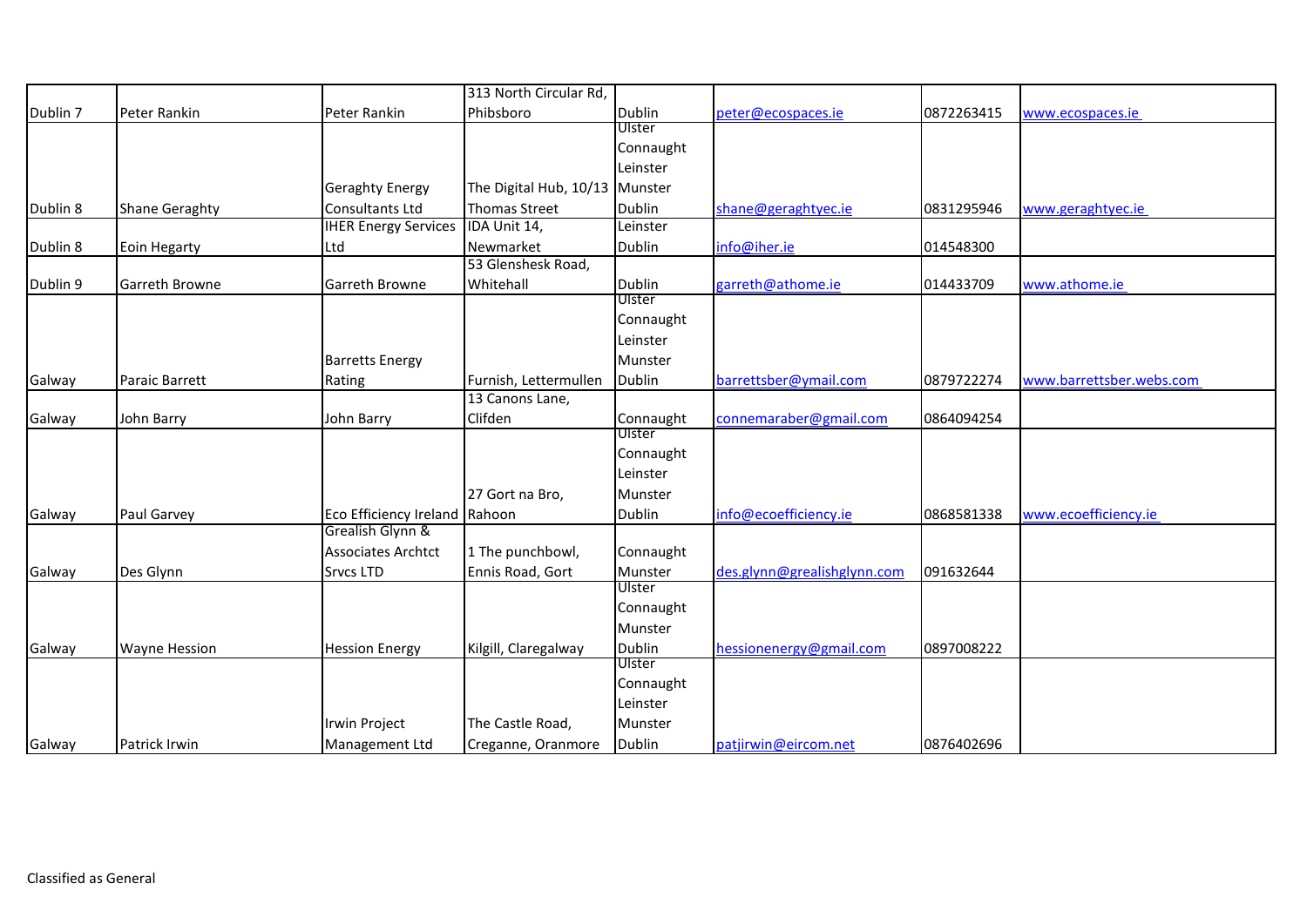|          |                       |                               | 313 North Circular Rd,         |               |                             |            |                          |
|----------|-----------------------|-------------------------------|--------------------------------|---------------|-----------------------------|------------|--------------------------|
| Dublin 7 | Peter Rankin          | Peter Rankin                  | Phibsboro                      | Dublin        | peter@ecospaces.ie          | 0872263415 | www.ecospaces.ie         |
|          |                       |                               |                                | Ulster        |                             |            |                          |
|          |                       |                               |                                | Connaught     |                             |            |                          |
|          |                       |                               |                                | Leinster      |                             |            |                          |
|          |                       | <b>Geraghty Energy</b>        | The Digital Hub, 10/13 Munster |               |                             |            |                          |
| Dublin 8 | <b>Shane Geraghty</b> | Consultants Ltd               | <b>Thomas Street</b>           | <b>Dublin</b> | shane@geraghtyec.ie         | 0831295946 | www.geraghtyec.ie        |
|          |                       | <b>IHER Energy Services</b>   | IDA Unit 14,                   | Leinster      |                             |            |                          |
| Dublin 8 | Eoin Hegarty          | Ltd                           | Newmarket                      | Dublin        | info@iher.ie                | 014548300  |                          |
|          |                       |                               | 53 Glenshesk Road,             |               |                             |            |                          |
| Dublin 9 | Garreth Browne        | Garreth Browne                | Whitehall                      | Dublin        | garreth@athome.ie           | 014433709  | www.athome.ie            |
|          |                       |                               |                                | Ulster        |                             |            |                          |
|          |                       |                               |                                | Connaught     |                             |            |                          |
|          |                       |                               |                                | Leinster      |                             |            |                          |
|          |                       | <b>Barretts Energy</b>        |                                | Munster       |                             |            |                          |
| Galway   | Paraic Barrett        | Rating                        | Furnish, Lettermullen          | Dublin        | barrettsber@ymail.com       | 0879722274 | www.barrettsber.webs.com |
|          |                       |                               | 13 Canons Lane,                |               |                             |            |                          |
| Galway   | John Barry            | John Barry                    | Clifden                        | Connaught     | connemaraber@gmail.com      | 0864094254 |                          |
|          |                       |                               |                                | Ulster        |                             |            |                          |
|          |                       |                               |                                | Connaught     |                             |            |                          |
|          |                       |                               |                                | Leinster      |                             |            |                          |
|          |                       |                               | 27 Gort na Bro,                | Munster       |                             |            |                          |
| Galway   | Paul Garvey           | Eco Efficiency Ireland Rahoon |                                | <b>Dublin</b> | info@ecoefficiency.ie       | 0868581338 | www.ecoefficiency.ie     |
|          |                       | Grealish Glynn &              |                                |               |                             |            |                          |
|          |                       | <b>Associates Archtct</b>     | 1 The punchbowl,               | Connaught     |                             |            |                          |
| Galway   | Des Glynn             | <b>Srvcs LTD</b>              | Ennis Road, Gort               | Munster       | des.glynn@grealishglynn.com | 091632644  |                          |
|          |                       |                               |                                | Ulster        |                             |            |                          |
|          |                       |                               |                                | Connaught     |                             |            |                          |
|          |                       |                               |                                | Munster       |                             |            |                          |
| Galway   | <b>Wayne Hession</b>  | <b>Hession Energy</b>         | Kilgill, Claregalway           | <b>Dublin</b> | hessionenergy@gmail.com     | 0897008222 |                          |
|          |                       |                               |                                | Ulster        |                             |            |                          |
|          |                       |                               |                                | Connaught     |                             |            |                          |
|          |                       |                               |                                | Leinster      |                             |            |                          |
|          |                       | <b>Irwin Project</b>          | The Castle Road,               | Munster       |                             |            |                          |
| Galway   | Patrick Irwin         | Management Ltd                | Creganne, Oranmore             | Dublin        | patjirwin@eircom.net        | 0876402696 |                          |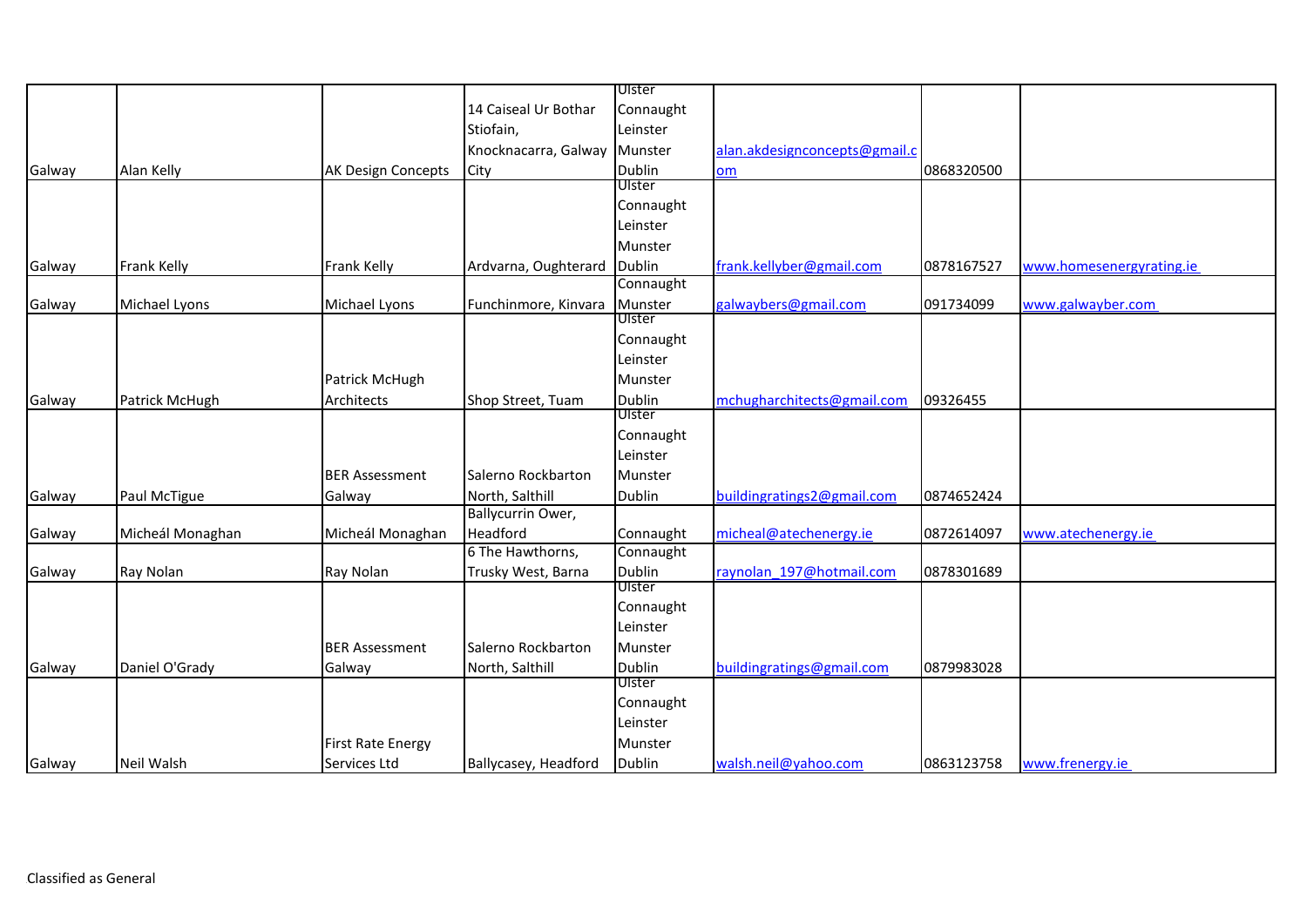|        |                  |                          |                              | Ulster        |                               |            |                          |
|--------|------------------|--------------------------|------------------------------|---------------|-------------------------------|------------|--------------------------|
|        |                  |                          | 14 Caiseal Ur Bothar         | Connaught     |                               |            |                          |
|        |                  |                          | Stiofain,                    | Leinster      |                               |            |                          |
|        |                  |                          | Knocknacarra, Galway Munster |               | alan.akdesignconcepts@gmail.c |            |                          |
| Galway | Alan Kelly       | AK Design Concepts       | City                         | <b>Dublin</b> | om                            | 0868320500 |                          |
|        |                  |                          |                              | Ulster        |                               |            |                          |
|        |                  |                          |                              | Connaught     |                               |            |                          |
|        |                  |                          |                              | Leinster      |                               |            |                          |
|        |                  |                          |                              | Munster       |                               |            |                          |
| Galway | Frank Kelly      | Frank Kelly              | Ardvarna, Oughterard         | Dublin        | frank.kellyber@gmail.com      | 0878167527 | www.homesenergyrating.ie |
|        |                  |                          |                              | Connaught     |                               |            |                          |
| Galway | Michael Lyons    | Michael Lyons            | Funchinmore, Kinvara         | Munster       | galwaybers@gmail.com          | 091734099  | www.galwayber.com        |
|        |                  |                          |                              | Ulster        |                               |            |                          |
|        |                  |                          |                              | Connaught     |                               |            |                          |
|        |                  |                          |                              | Leinster      |                               |            |                          |
|        |                  | Patrick McHugh           |                              | Munster       |                               |            |                          |
| Galway | Patrick McHugh   | Architects               | Shop Street, Tuam            | Dublin        | mchugharchitects@gmail.com    | 09326455   |                          |
|        |                  |                          |                              | Ulster        |                               |            |                          |
|        |                  |                          |                              | Connaught     |                               |            |                          |
|        |                  |                          |                              | Leinster      |                               |            |                          |
|        |                  | <b>BER Assessment</b>    | Salerno Rockbarton           | Munster       |                               |            |                          |
| Galway | Paul McTigue     | Galway                   | North, Salthill              | <b>Dublin</b> | buildingratings2@gmail.com    | 0874652424 |                          |
|        |                  |                          | Ballycurrin Ower,            |               |                               |            |                          |
| Galway | Micheál Monaghan | Micheál Monaghan         | Headford                     | Connaught     | micheal@atechenergy.ie        | 0872614097 | www.atechenergy.ie       |
|        |                  |                          | 6 The Hawthorns,             | Connaught     |                               |            |                          |
| Galway | Ray Nolan        | Ray Nolan                | Trusky West, Barna           | <b>Dublin</b> | raynolan 197@hotmail.com      | 0878301689 |                          |
|        |                  |                          |                              | Ulster        |                               |            |                          |
|        |                  |                          |                              | Connaught     |                               |            |                          |
|        |                  |                          |                              | Leinster      |                               |            |                          |
|        |                  | <b>BER Assessment</b>    | Salerno Rockbarton           | Munster       |                               |            |                          |
| Galway | Daniel O'Grady   | Galway                   | North, Salthill              | Dublin        | buildingratings@gmail.com     | 0879983028 |                          |
|        |                  |                          |                              | Ulster        |                               |            |                          |
|        |                  |                          |                              | Connaught     |                               |            |                          |
|        |                  |                          |                              | Leinster      |                               |            |                          |
|        |                  | <b>First Rate Energy</b> |                              | Munster       |                               |            |                          |
| Galway | Neil Walsh       | Services Ltd             | Ballycasey, Headford         | Dublin        | walsh.neil@yahoo.com          | 0863123758 | www.frenergy.ie          |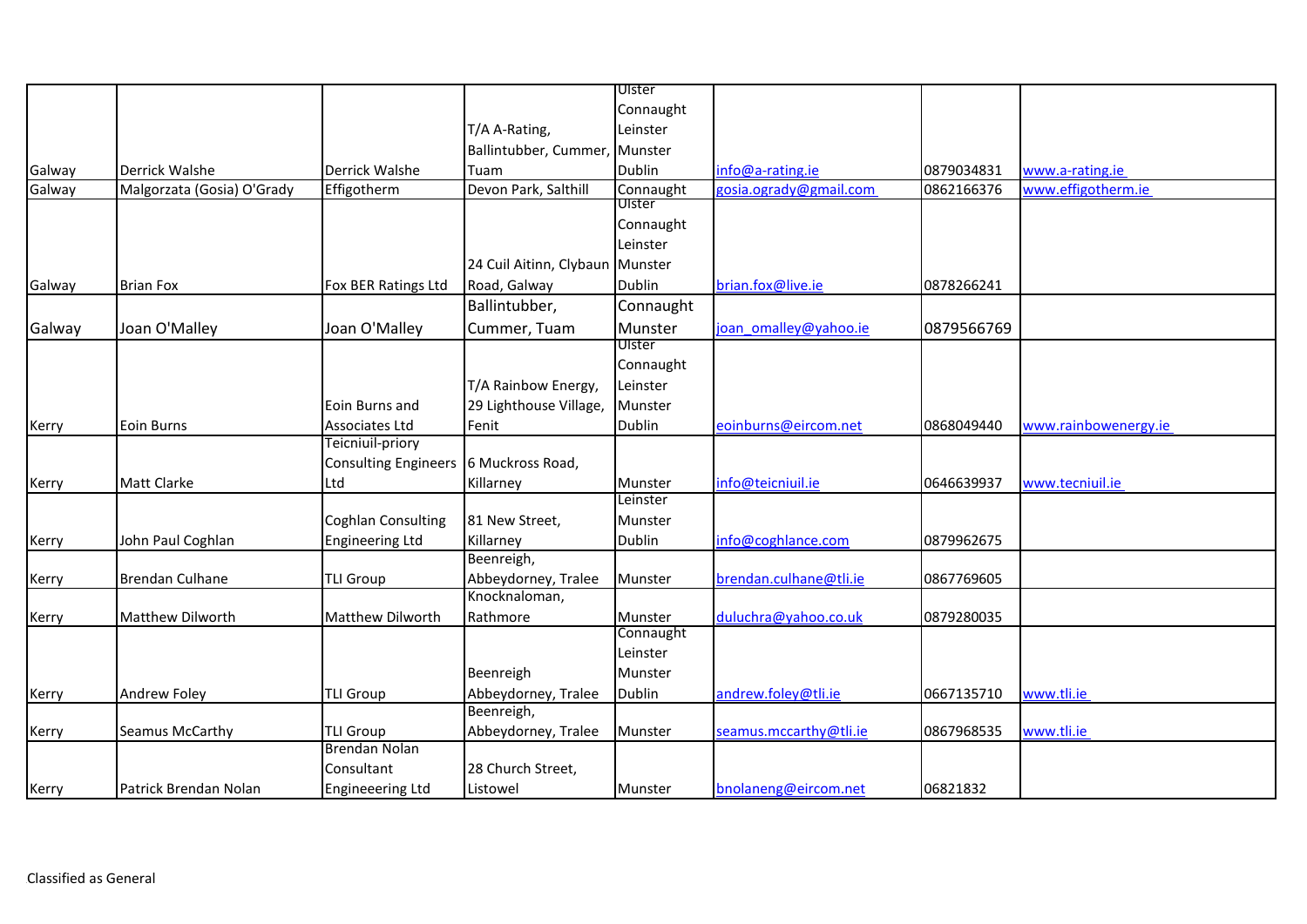|        |                            |                                          |                                   | Ulster    |                        |            |                      |
|--------|----------------------------|------------------------------------------|-----------------------------------|-----------|------------------------|------------|----------------------|
|        |                            |                                          |                                   | Connaught |                        |            |                      |
|        |                            |                                          | T/A A-Rating,                     | Leinster  |                        |            |                      |
|        |                            |                                          | Ballintubber, Cummer, Munster     |           |                        |            |                      |
| Galway | Derrick Walshe             | <b>Derrick Walshe</b>                    | Tuam                              | Dublin    | $info@a$ -rating.ie    | 0879034831 | www.a-rating.ie      |
| Galway | Malgorzata (Gosia) O'Grady | Effigotherm                              | Devon Park, Salthill              | Connaught | gosia.ogrady@gmail.com | 0862166376 | www.effigotherm.ie   |
|        |                            |                                          |                                   | Ulster    |                        |            |                      |
|        |                            |                                          |                                   | Connaught |                        |            |                      |
|        |                            |                                          |                                   | Leinster  |                        |            |                      |
|        |                            |                                          | 24 Cuil Aitinn, Clybaun Munster   |           |                        |            |                      |
| Galway | <b>Brian Fox</b>           | Fox BER Ratings Ltd                      | Road, Galway                      | Dublin    | brian.fox@live.ie      | 0878266241 |                      |
|        |                            |                                          | Ballintubber,                     | Connaught |                        |            |                      |
| Galway | Joan O'Malley              | Joan O'Malley                            | Cummer, Tuam                      | Munster   | joan omalley@yahoo.ie  | 0879566769 |                      |
|        |                            |                                          |                                   | Ulster    |                        |            |                      |
|        |                            |                                          |                                   | Connaught |                        |            |                      |
|        |                            |                                          | T/A Rainbow Energy,               | Leinster  |                        |            |                      |
|        |                            | Eoin Burns and                           | 29 Lighthouse Village,            | Munster   |                        |            |                      |
| Kerry  | Eoin Burns                 | Associates Ltd                           | Fenit                             | Dublin    | eoinburns@eircom.net   | 0868049440 | www.rainbowenergy.ie |
|        |                            | Teicniuil-priory                         |                                   |           |                        |            |                      |
|        |                            | Consulting Engineers 6 Muckross Road,    |                                   |           |                        |            |                      |
| Kerry  | Matt Clarke                | Ltd                                      | Killarney                         | Munster   | info@teicniuil.ie      | 0646639937 | www.tecniuil.ie      |
|        |                            |                                          |                                   | Leinster  |                        |            |                      |
|        |                            | <b>Coghlan Consulting</b>                | 81 New Street,                    | Munster   |                        |            |                      |
| Kerry  | John Paul Coghlan          | <b>Engineering Ltd</b>                   | Killarney                         | Dublin    | info@coghlance.com     | 0879962675 |                      |
|        |                            |                                          | Beenreigh,                        |           |                        |            |                      |
| Kerry  | <b>Brendan Culhane</b>     | <b>TLI Group</b>                         | Abbeydorney, Tralee               | Munster   | brendan.culhane@tli.ie | 0867769605 |                      |
|        |                            |                                          | Knocknaloman,                     |           |                        |            |                      |
| Kerry  | Matthew Dilworth           | Matthew Dilworth                         | Rathmore                          | Munster   | duluchra@yahoo.co.uk   | 0879280035 |                      |
|        |                            |                                          |                                   | Connaught |                        |            |                      |
|        |                            |                                          |                                   | Leinster  |                        |            |                      |
|        |                            |                                          | Beenreigh                         | Munster   |                        |            |                      |
| Kerry  | Andrew Foley               | <b>TLI Group</b>                         | Abbeydorney, Tralee<br>Beenreigh, | Dublin    | andrew.foley@tli.ie    | 0667135710 | www.tli.ie           |
|        |                            |                                          |                                   |           |                        |            |                      |
| Kerry  | Seamus McCarthy            | <b>TLI Group</b><br><b>Brendan Nolan</b> | Abbeydorney, Tralee               | Munster   | seamus.mccarthy@tli.ie | 0867968535 | www.tli.ie           |
|        |                            | Consultant                               | 28 Church Street,                 |           |                        |            |                      |
| Kerry  | Patrick Brendan Nolan      | <b>Engineeering Ltd</b>                  | Listowel                          | Munster   | bnolaneng@eircom.net   | 06821832   |                      |
|        |                            |                                          |                                   |           |                        |            |                      |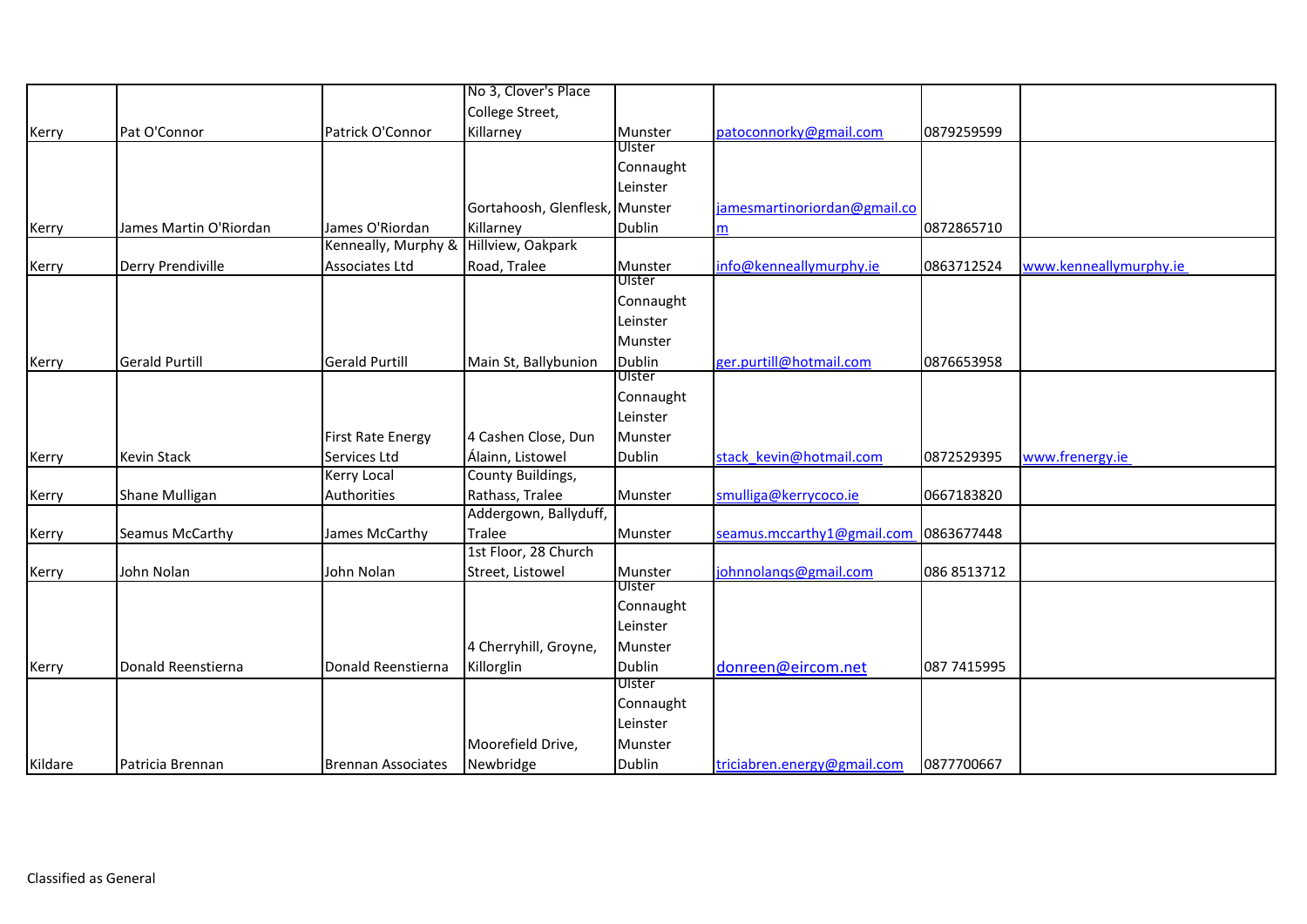|         |                        |                          | No 3, Clover's Place           |               |                                       |             |                        |
|---------|------------------------|--------------------------|--------------------------------|---------------|---------------------------------------|-------------|------------------------|
|         |                        |                          | College Street,                |               |                                       |             |                        |
| Kerry   | Pat O'Connor           | Patrick O'Connor         | Killarney                      | Munster       | patoconnorky@gmail.com                | 0879259599  |                        |
|         |                        |                          |                                | Ulster        |                                       |             |                        |
|         |                        |                          |                                | Connaught     |                                       |             |                        |
|         |                        |                          |                                | Leinster      |                                       |             |                        |
|         |                        |                          | Gortahoosh, Glenflesk, Munster |               | jamesmartinoriordan@gmail.co          |             |                        |
| Kerry   | James Martin O'Riordan | James O'Riordan          | Killarney                      | Dublin        | m                                     | 0872865710  |                        |
|         |                        | Kenneally, Murphy &      | Hillview, Oakpark              |               |                                       |             |                        |
| Kerry   | Derry Prendiville      | Associates Ltd           | Road, Tralee                   | Munster       | info@kenneallymurphy.ie               | 0863712524  | www.kenneallymurphy.ie |
|         |                        |                          |                                | Ulster        |                                       |             |                        |
|         |                        |                          |                                | Connaught     |                                       |             |                        |
|         |                        |                          |                                | Leinster      |                                       |             |                        |
|         |                        |                          |                                | Munster       |                                       |             |                        |
| Kerry   | <b>Gerald Purtill</b>  | <b>Gerald Purtill</b>    | Main St, Ballybunion           | <b>Dublin</b> | ger.purtill@hotmail.com               | 0876653958  |                        |
|         |                        |                          |                                | Ulster        |                                       |             |                        |
|         |                        |                          |                                | Connaught     |                                       |             |                        |
|         |                        |                          |                                | Leinster      |                                       |             |                        |
|         |                        | <b>First Rate Energy</b> | 4 Cashen Close, Dun            | Munster       |                                       |             |                        |
| Kerry   | <b>Kevin Stack</b>     | Services Ltd             | Álainn, Listowel               | Dublin        | stack kevin@hotmail.com               | 0872529395  | www.frenergy.ie        |
|         |                        | Kerry Local              | County Buildings,              |               |                                       |             |                        |
| Kerry   | Shane Mulligan         | Authorities              | Rathass, Tralee                | Munster       | smulliga@kerrycoco.ie                 | 0667183820  |                        |
|         |                        |                          | Addergown, Ballyduff,          |               |                                       |             |                        |
| Kerry   | Seamus McCarthy        | James McCarthy           | Tralee                         | Munster       | seamus.mccarthy1@gmail.com 0863677448 |             |                        |
|         |                        |                          | 1st Floor, 28 Church           |               |                                       |             |                        |
| Kerry   | John Nolan             | John Nolan               | Street, Listowel               | Munster       | johnnolangs@gmail.com                 | 086 8513712 |                        |
|         |                        |                          |                                | Ulster        |                                       |             |                        |
|         |                        |                          |                                | Connaught     |                                       |             |                        |
|         |                        |                          |                                | Leinster      |                                       |             |                        |
|         |                        |                          | 4 Cherryhill, Groyne,          | Munster       |                                       |             |                        |
| Kerry   | Donald Reenstierna     | Donald Reenstierna       | Killorglin                     | <b>Dublin</b> | donreen@eircom.net                    | 087 7415995 |                        |
|         |                        |                          |                                | Ulster        |                                       |             |                        |
|         |                        |                          |                                | Connaught     |                                       |             |                        |
|         |                        |                          |                                | Leinster      |                                       |             |                        |
|         |                        |                          | Moorefield Drive,              | Munster       |                                       |             |                        |
| Kildare | Patricia Brennan       | Brennan Associates       | Newbridge                      | Dublin        | triciabren.energy@gmail.com           | 0877700667  |                        |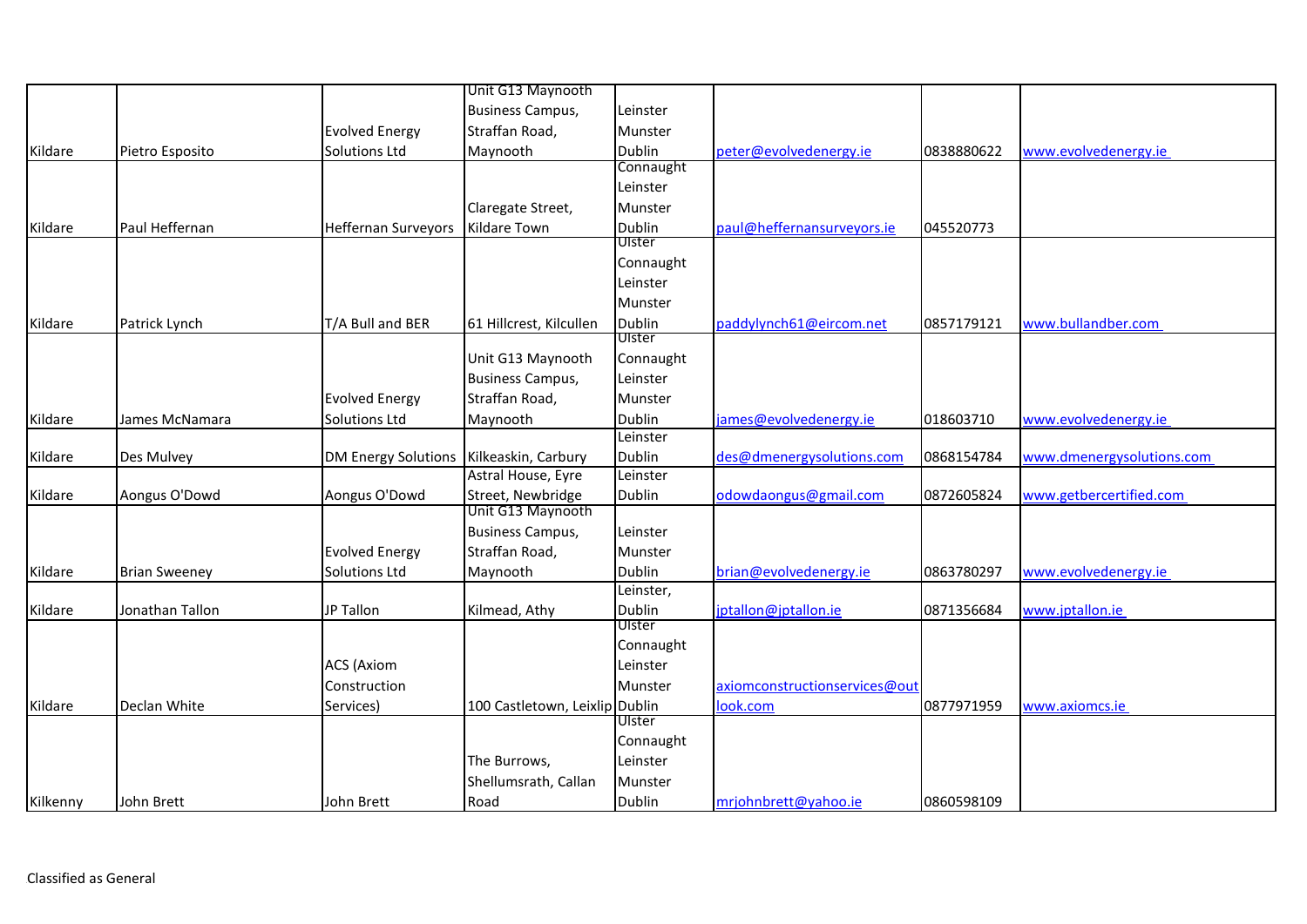|          |                      |                            | Unit G13 Maynooth                         |               |                               |            |                           |
|----------|----------------------|----------------------------|-------------------------------------------|---------------|-------------------------------|------------|---------------------------|
|          |                      |                            | <b>Business Campus,</b>                   | Leinster      |                               |            |                           |
|          |                      | <b>Evolved Energy</b>      | Straffan Road,                            | Munster       |                               |            |                           |
| Kildare  | Pietro Esposito      | <b>Solutions Ltd</b>       | Maynooth                                  | Dublin        | peter@evolvedenergy.ie        | 0838880622 | www.evolvedenergy.ie      |
|          |                      |                            |                                           | Connaught     |                               |            |                           |
|          |                      |                            |                                           | Leinster      |                               |            |                           |
|          |                      |                            | Claregate Street,                         | Munster       |                               |            |                           |
| Kildare  | Paul Heffernan       | Heffernan Surveyors        | Kildare Town                              | <b>Dublin</b> | paul@heffernansurveyors.ie    | 045520773  |                           |
|          |                      |                            |                                           | Ulster        |                               |            |                           |
|          |                      |                            |                                           | Connaught     |                               |            |                           |
|          |                      |                            |                                           | Leinster      |                               |            |                           |
|          |                      |                            |                                           | Munster       |                               |            |                           |
| Kildare  | Patrick Lynch        | T/A Bull and BER           | 61 Hillcrest, Kilcullen                   | Dublin        | paddylynch61@eircom.net       | 0857179121 | www.bullandber.com        |
|          |                      |                            |                                           | Ulster        |                               |            |                           |
|          |                      |                            | Unit G13 Maynooth                         | Connaught     |                               |            |                           |
|          |                      |                            | <b>Business Campus,</b>                   | Leinster      |                               |            |                           |
|          |                      | <b>Evolved Energy</b>      | Straffan Road,                            | Munster       |                               |            |                           |
| Kildare  | James McNamara       | Solutions Ltd              | Maynooth                                  | <b>Dublin</b> | james@evolvedenergy.ie        | 018603710  | www.evolvedenergy.ie      |
|          |                      |                            |                                           | Leinster      |                               |            |                           |
| Kildare  | Des Mulvey           | <b>DM Energy Solutions</b> | Kilkeaskin, Carbury<br>Astral House, Eyre | <b>Dublin</b> | des@dmenergysolutions.com     | 0868154784 | www.dmenergysolutions.com |
|          |                      |                            |                                           | Leinster      |                               |            |                           |
| Kildare  | Aongus O'Dowd        | Aongus O'Dowd              | Street, Newbridge<br>Unit G13 Maynooth    | Dublin        | odowdaongus@gmail.com         | 0872605824 | www.getbercertified.com   |
|          |                      |                            | <b>Business Campus,</b>                   | Leinster      |                               |            |                           |
|          |                      | <b>Evolved Energy</b>      | Straffan Road,                            | Munster       |                               |            |                           |
| Kildare  | <b>Brian Sweeney</b> | Solutions Ltd              | Maynooth                                  | <b>Dublin</b> | brian@evolvedenergy.ie        | 0863780297 | www.evolvedenergy.ie      |
|          |                      |                            |                                           | Leinster,     |                               |            |                           |
| Kildare  | Jonathan Tallon      | JP Tallon                  | Kilmead, Athy                             | <b>Dublin</b> | jptallon@jptallon.ie          | 0871356684 | www.jptallon.ie           |
|          |                      |                            |                                           | Ulster        |                               |            |                           |
|          |                      |                            |                                           | Connaught     |                               |            |                           |
|          |                      | <b>ACS</b> (Axiom          |                                           | Leinster      |                               |            |                           |
|          |                      | Construction               |                                           | Munster       | axiomconstructionservices@out |            |                           |
| Kildare  | Declan White         | Services)                  | 100 Castletown, Leixlip Dublin            |               | look.com                      | 0877971959 | www.axiomcs.ie            |
|          |                      |                            |                                           | Ulster        |                               |            |                           |
|          |                      |                            |                                           | Connaught     |                               |            |                           |
|          |                      |                            | The Burrows,                              | Leinster      |                               |            |                           |
|          |                      |                            | Shellumsrath, Callan                      | Munster       |                               |            |                           |
| Kilkenny | John Brett           | John Brett                 | Road                                      | Dublin        | mrjohnbrett@yahoo.ie          | 0860598109 |                           |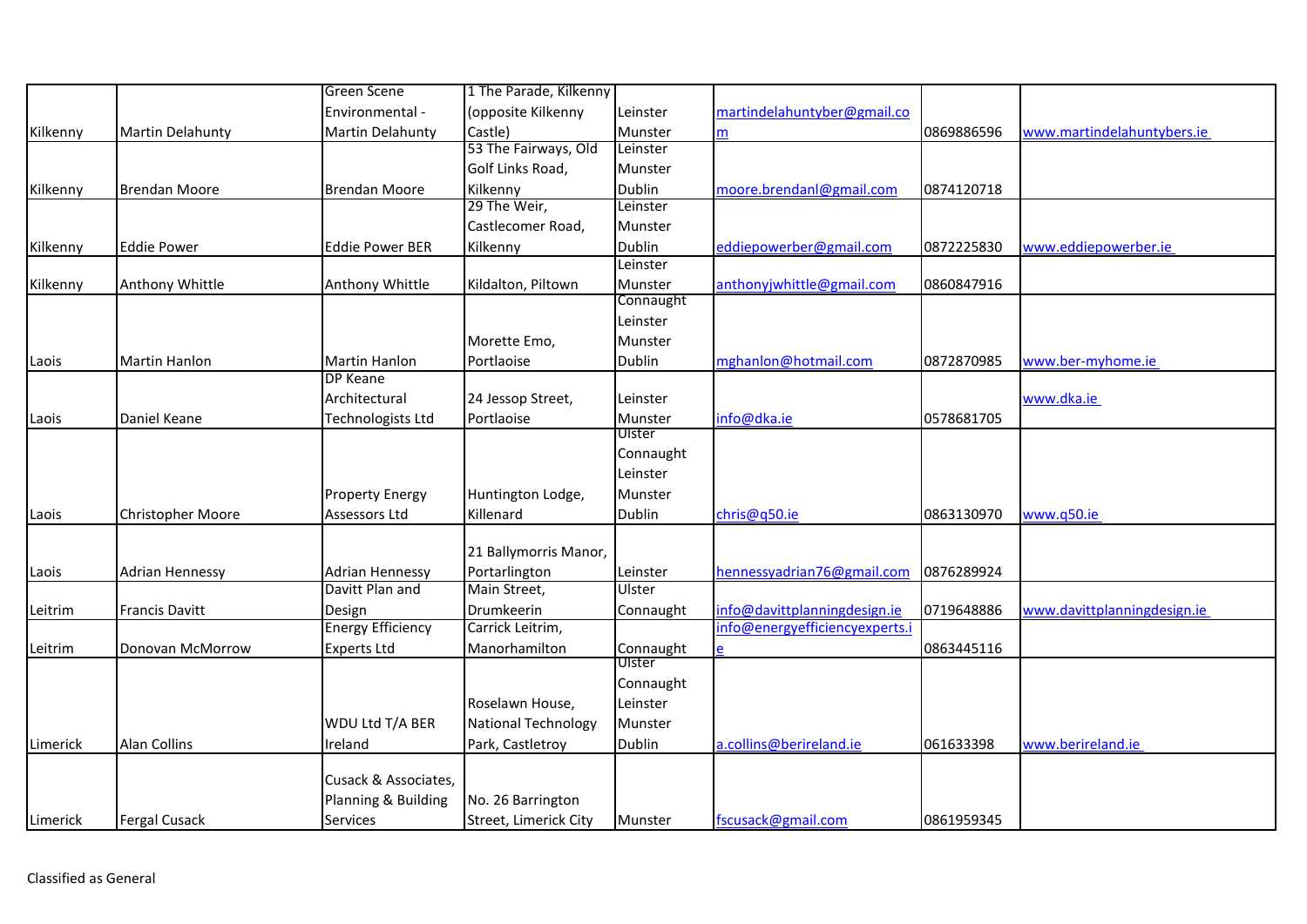|          |                        | <b>Green Scene</b>       | 1 The Parade, Kilkenny     |               |                                |            |                             |
|----------|------------------------|--------------------------|----------------------------|---------------|--------------------------------|------------|-----------------------------|
|          |                        | Environmental -          | (opposite Kilkenny         | Leinster      | martindelahuntyber@gmail.co    |            |                             |
| Kilkenny | Martin Delahunty       | Martin Delahunty         | Castle)                    | Munster       | m                              | 0869886596 | www.martindelahuntybers.ie  |
|          |                        |                          | 53 The Fairways, Old       | Leinster      |                                |            |                             |
|          |                        |                          | Golf Links Road,           | Munster       |                                |            |                             |
| Kilkenny | <b>Brendan Moore</b>   | <b>Brendan Moore</b>     | Kilkenny                   | <b>Dublin</b> | moore.brendanl@gmail.com       | 0874120718 |                             |
|          |                        |                          | 29 The Weir,               | Leinster      |                                |            |                             |
|          |                        |                          | Castlecomer Road,          | Munster       |                                |            |                             |
| Kilkenny | <b>Eddie Power</b>     | <b>Eddie Power BER</b>   | Kilkenny                   | <b>Dublin</b> | eddiepowerber@gmail.com        | 0872225830 | www.eddiepowerber.ie        |
|          |                        |                          |                            | Leinster      |                                |            |                             |
| Kilkenny | Anthony Whittle        | Anthony Whittle          | Kildalton, Piltown         | Munster       | anthonyjwhittle@gmail.com      | 0860847916 |                             |
|          |                        |                          |                            | Connaught     |                                |            |                             |
|          |                        |                          |                            | Leinster      |                                |            |                             |
|          |                        |                          | Morette Emo,               | Munster       |                                |            |                             |
| Laois    | Martin Hanlon          | <b>Martin Hanlon</b>     | Portlaoise                 | Dublin        | mghanlon@hotmail.com           | 0872870985 | www.ber-myhome.ie           |
|          |                        | <b>DP Keane</b>          |                            |               |                                |            |                             |
|          |                        | Architectural            | 24 Jessop Street,          | Leinster      |                                |            | www.dka.ie                  |
| Laois    | Daniel Keane           | <b>Technologists Ltd</b> | Portlaoise                 | Munster       | info@dka.ie                    | 0578681705 |                             |
|          |                        |                          |                            | Ulster        |                                |            |                             |
|          |                        |                          |                            | Connaught     |                                |            |                             |
|          |                        |                          |                            | Leinster      |                                |            |                             |
|          |                        | <b>Property Energy</b>   | Huntington Lodge,          | Munster       |                                |            |                             |
| Laois    | Christopher Moore      | Assessors Ltd            | Killenard                  | <b>Dublin</b> | chris@q50.ie                   | 0863130970 | www.q50.ie                  |
|          |                        |                          |                            |               |                                |            |                             |
|          |                        |                          | 21 Ballymorris Manor,      |               |                                |            |                             |
| Laois    | <b>Adrian Hennessy</b> | <b>Adrian Hennessy</b>   | Portarlington              | Leinster      | hennessyadrian76@gmail.com     | 0876289924 |                             |
|          |                        | Davitt Plan and          | Main Street,               | Ulster        |                                |            |                             |
| Leitrim  | <b>Francis Davitt</b>  | Design                   | Drumkeerin                 | Connaught     | info@davittplanningdesign.ie   | 0719648886 | www.davittplanningdesign.ie |
|          |                        | <b>Energy Efficiency</b> | Carrick Leitrim,           |               | info@energyefficiencyexperts.i |            |                             |
| Leitrim  | Donovan McMorrow       | <b>Experts Ltd</b>       | Manorhamilton              | Connaught     |                                | 0863445116 |                             |
|          |                        |                          |                            | Ulster        |                                |            |                             |
|          |                        |                          |                            | Connaught     |                                |            |                             |
|          |                        |                          | Roselawn House,            | Leinster      |                                |            |                             |
|          |                        | WDU Ltd T/A BER          | <b>National Technology</b> | Munster       |                                |            |                             |
| Limerick | <b>Alan Collins</b>    | Ireland                  | Park, Castletroy           | Dublin        | a.collins@berireland.ie        | 061633398  | www.berireland.ie           |
|          |                        |                          |                            |               |                                |            |                             |
|          |                        | Cusack & Associates,     |                            |               |                                |            |                             |
|          |                        | Planning & Building      | No. 26 Barrington          |               |                                |            |                             |
| Limerick | <b>Fergal Cusack</b>   | <b>Services</b>          | Street, Limerick City      | Munster       | fscusack@gmail.com             | 0861959345 |                             |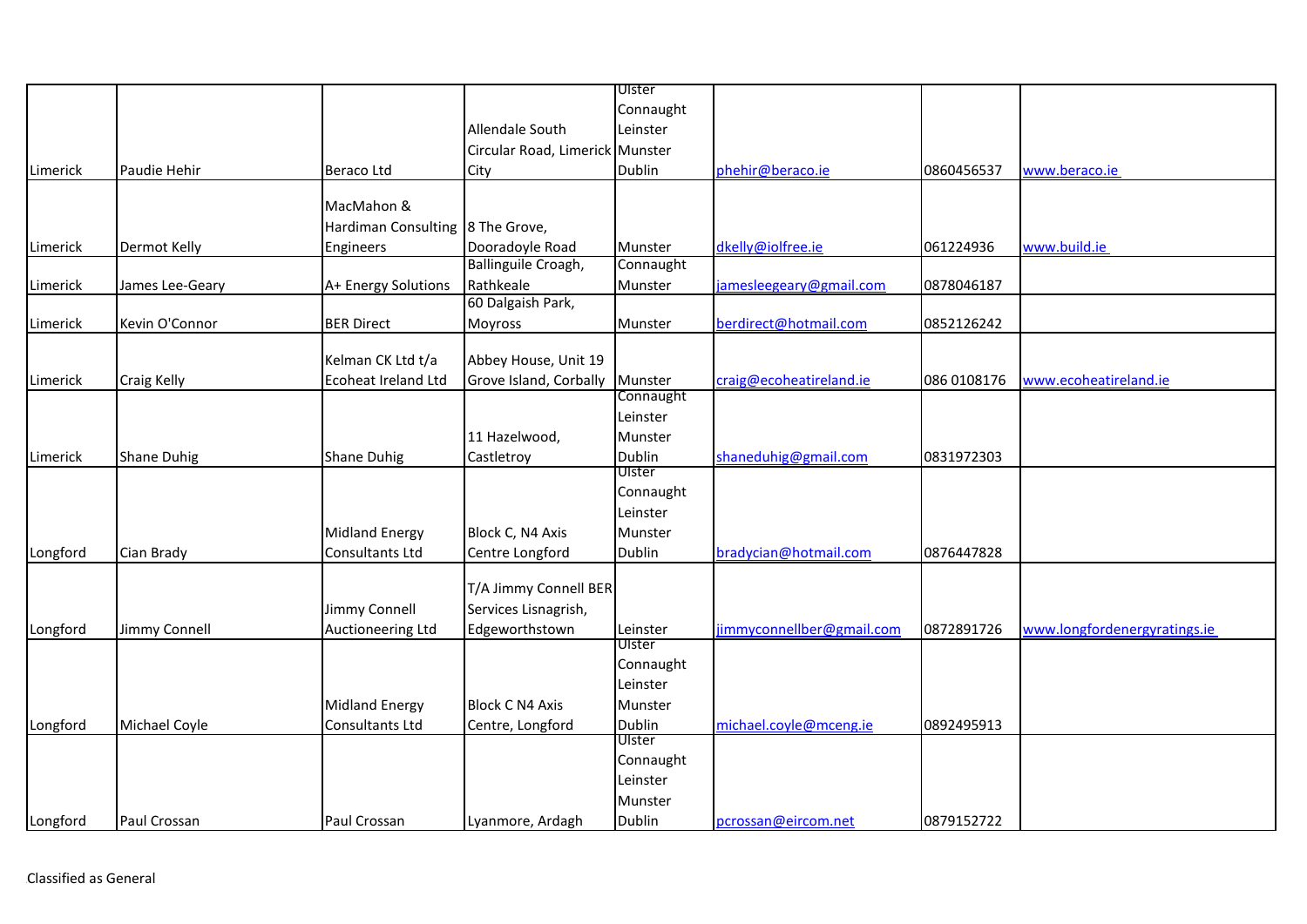|          |                     |                                  |                                 | Ulster    |                           |             |                              |
|----------|---------------------|----------------------------------|---------------------------------|-----------|---------------------------|-------------|------------------------------|
|          |                     |                                  |                                 | Connaught |                           |             |                              |
|          |                     |                                  | <b>Allendale South</b>          | Leinster  |                           |             |                              |
|          |                     |                                  | Circular Road, Limerick Munster |           |                           |             |                              |
| Limerick | Paudie Hehir        | <b>Beraco Ltd</b>                | City                            | Dublin    | phehir@beraco.ie          | 0860456537  | www.beraco.ie                |
|          |                     |                                  |                                 |           |                           |             |                              |
|          |                     | MacMahon &                       |                                 |           |                           |             |                              |
|          |                     | Hardiman Consulting 8 The Grove, |                                 |           |                           |             |                              |
| Limerick | <b>Dermot Kelly</b> | Engineers                        | Dooradoyle Road                 | Munster   | dkelly@iolfree.ie         | 061224936   | www.build.ie                 |
|          |                     |                                  | Ballinguile Croagh,             | Connaught |                           |             |                              |
| Limerick | James Lee-Geary     | A+ Energy Solutions              | Rathkeale                       | Munster   | jamesleegeary@gmail.com   | 0878046187  |                              |
|          |                     |                                  | 60 Dalgaish Park,               |           |                           |             |                              |
| Limerick | Kevin O'Connor      | <b>BER Direct</b>                | Moyross                         | Munster   | berdirect@hotmail.com     | 0852126242  |                              |
|          |                     |                                  |                                 |           |                           |             |                              |
|          |                     | Kelman CK Ltd t/a                | Abbey House, Unit 19            |           |                           |             |                              |
| Limerick | Craig Kelly         | <b>Ecoheat Ireland Ltd</b>       | Grove Island, Corbally          | Munster   | craig@ecoheatireland.ie   | 086 0108176 | www.ecoheatireland.ie        |
|          |                     |                                  |                                 | Connaught |                           |             |                              |
|          |                     |                                  |                                 | Leinster  |                           |             |                              |
|          |                     |                                  | 11 Hazelwood,                   | Munster   |                           |             |                              |
| Limerick | <b>Shane Duhig</b>  | <b>Shane Duhig</b>               | Castletroy                      | Dublin    | shaneduhig@gmail.com      | 0831972303  |                              |
|          |                     |                                  |                                 | Ulster    |                           |             |                              |
|          |                     |                                  |                                 | Connaught |                           |             |                              |
|          |                     |                                  |                                 | Leinster  |                           |             |                              |
|          |                     | <b>Midland Energy</b>            | Block C, N4 Axis                | Munster   |                           |             |                              |
| Longford | Cian Brady          | Consultants Ltd                  | Centre Longford                 | Dublin    | bradycian@hotmail.com     | 0876447828  |                              |
|          |                     |                                  | T/A Jimmy Connell BER           |           |                           |             |                              |
|          |                     | Jimmy Connell                    | Services Lisnagrish,            |           |                           |             |                              |
| Longford | Jimmy Connell       | Auctioneering Ltd                | Edgeworthstown                  | Leinster  | jimmyconnellber@gmail.com | 0872891726  | www.longfordenergyratings.ie |
|          |                     |                                  |                                 | Ulster    |                           |             |                              |
|          |                     |                                  |                                 | Connaught |                           |             |                              |
|          |                     |                                  |                                 | Leinster  |                           |             |                              |
|          |                     | <b>Midland Energy</b>            | <b>Block C N4 Axis</b>          | Munster   |                           |             |                              |
| Longford | Michael Coyle       | Consultants Ltd                  | Centre, Longford                | Dublin    | michael.coyle@mceng.ie    | 0892495913  |                              |
|          |                     |                                  |                                 | Ulster    |                           |             |                              |
|          |                     |                                  |                                 | Connaught |                           |             |                              |
|          |                     |                                  |                                 | Leinster  |                           |             |                              |
|          |                     |                                  |                                 | Munster   |                           |             |                              |
| Longford | Paul Crossan        | Paul Crossan                     | Lyanmore, Ardagh                | Dublin    | pcrossan@eircom.net       | 0879152722  |                              |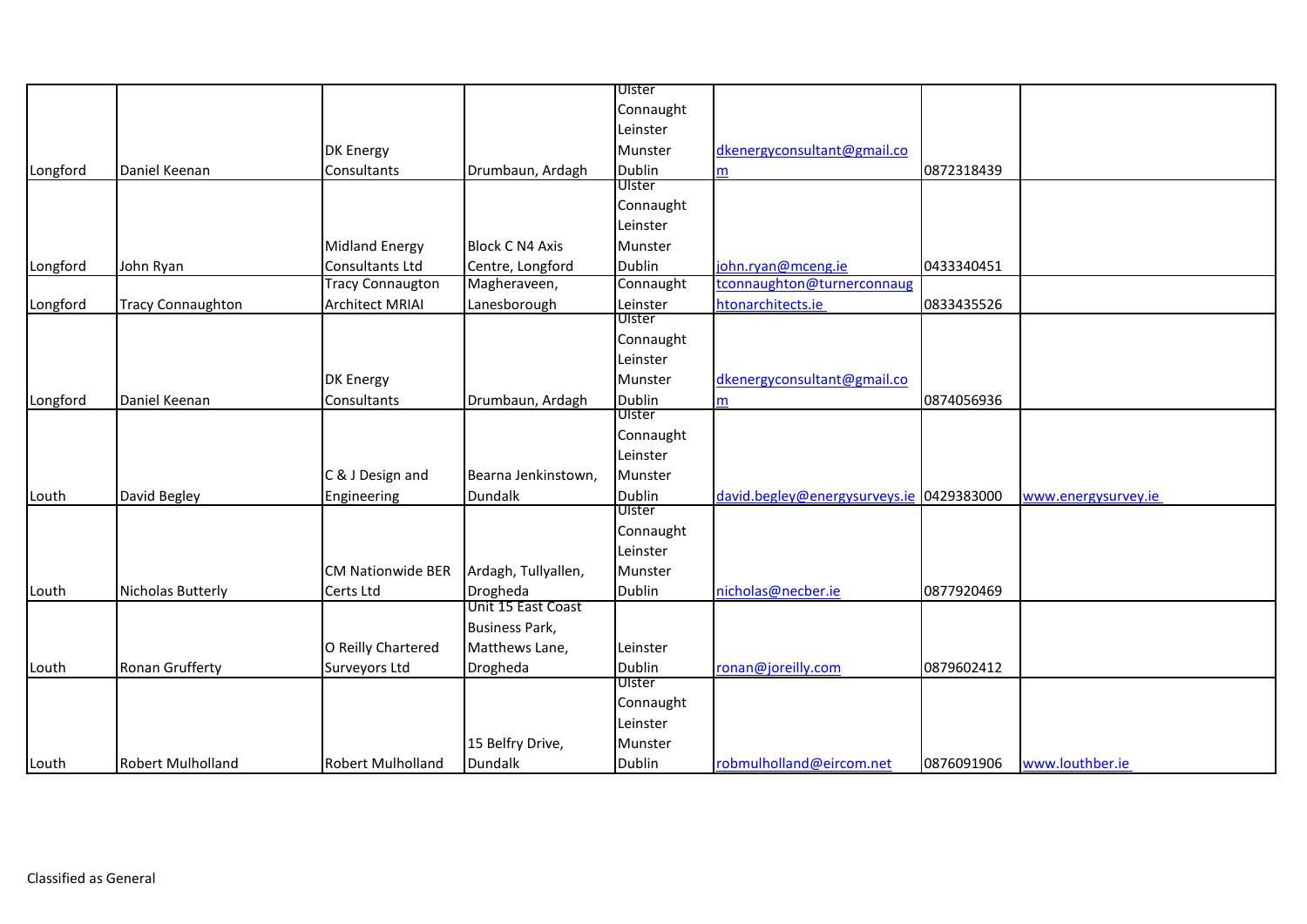|          |                          |                          |                        | Ulster        |                                          |            |                     |
|----------|--------------------------|--------------------------|------------------------|---------------|------------------------------------------|------------|---------------------|
|          |                          |                          |                        | Connaught     |                                          |            |                     |
|          |                          |                          |                        | Leinster      |                                          |            |                     |
|          |                          | DK Energy                |                        | Munster       | dkenergyconsultant@gmail.co              |            |                     |
| Longford | Daniel Keenan            | Consultants              | Drumbaun, Ardagh       | <b>Dublin</b> | m                                        | 0872318439 |                     |
|          |                          |                          |                        | Ulster        |                                          |            |                     |
|          |                          |                          |                        | Connaught     |                                          |            |                     |
|          |                          |                          |                        | Leinster      |                                          |            |                     |
|          |                          | <b>Midland Energy</b>    | <b>Block C N4 Axis</b> | Munster       |                                          |            |                     |
| Longford | John Ryan                | Consultants Ltd          | Centre, Longford       | Dublin        | john.ryan@mceng.ie                       | 0433340451 |                     |
|          |                          | Tracy Connaugton         | Magheraveen,           | Connaught     | tconnaughton@turnerconnaug               |            |                     |
| Longford | <b>Tracy Connaughton</b> | <b>Architect MRIAI</b>   | Lanesborough           | Leinster      | htonarchitects.ie                        | 0833435526 |                     |
|          |                          |                          |                        | Ulster        |                                          |            |                     |
|          |                          |                          |                        | Connaught     |                                          |            |                     |
|          |                          |                          |                        | Leinster      |                                          |            |                     |
|          |                          | <b>DK Energy</b>         |                        | Munster       | dkenergyconsultant@gmail.co              |            |                     |
| Longford | Daniel Keenan            | Consultants              | Drumbaun, Ardagh       | <b>Dublin</b> | m                                        | 0874056936 |                     |
|          |                          |                          |                        | UIster        |                                          |            |                     |
|          |                          |                          |                        | Connaught     |                                          |            |                     |
|          |                          |                          |                        | Leinster      |                                          |            |                     |
|          |                          | C & J Design and         | Bearna Jenkinstown,    | Munster       |                                          |            |                     |
| Louth    | David Begley             | Engineering              | Dundalk                | Dublin        | david.begley@energysurveys.ie 0429383000 |            | www.energysurvey.ie |
|          |                          |                          |                        | Ulster        |                                          |            |                     |
|          |                          |                          |                        | Connaught     |                                          |            |                     |
|          |                          |                          |                        | Leinster      |                                          |            |                     |
|          |                          | <b>CM Nationwide BER</b> | Ardagh, Tullyallen,    | Munster       |                                          |            |                     |
| Louth    | Nicholas Butterly        | Certs Ltd                | Drogheda               | <b>Dublin</b> | nicholas@necber.ie                       | 0877920469 |                     |
|          |                          |                          | Unit 15 East Coast     |               |                                          |            |                     |
|          |                          |                          | <b>Business Park,</b>  |               |                                          |            |                     |
|          |                          | O Reilly Chartered       | Matthews Lane,         | Leinster      |                                          |            |                     |
| Louth    | Ronan Grufferty          | Surveyors Ltd            | Drogheda               | Dublin        | ronan@joreilly.com                       | 0879602412 |                     |
|          |                          |                          |                        | Ulster        |                                          |            |                     |
|          |                          |                          |                        | Connaught     |                                          |            |                     |
|          |                          |                          |                        | Leinster      |                                          |            |                     |
|          |                          |                          | 15 Belfry Drive,       | Munster       |                                          |            |                     |
| Louth    | <b>Robert Mulholland</b> | <b>Robert Mulholland</b> | <b>Dundalk</b>         | Dublin        | robmulholland@eircom.net                 | 0876091906 | www.louthber.ie     |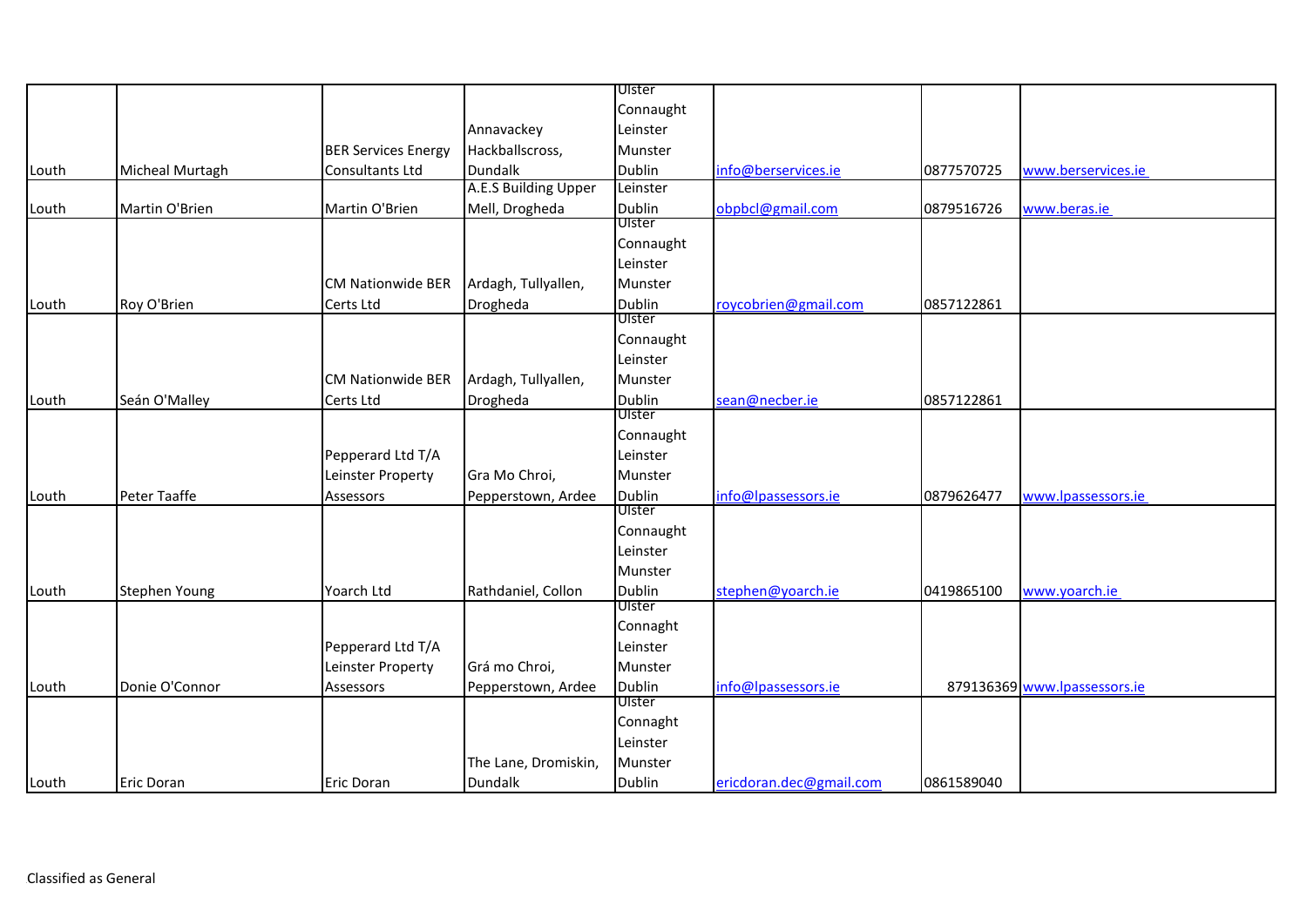|       |                   |                            |                      | Ulster                  |                         |            |                              |
|-------|-------------------|----------------------------|----------------------|-------------------------|-------------------------|------------|------------------------------|
|       |                   |                            |                      | Connaught               |                         |            |                              |
|       |                   |                            | Annavackey           | Leinster                |                         |            |                              |
|       |                   | <b>BER Services Energy</b> | Hackballscross,      | Munster                 |                         |            |                              |
| Louth | Micheal Murtagh   | Consultants Ltd            | <b>Dundalk</b>       | <b>Dublin</b>           | info@berservices.ie     | 0877570725 | www.berservices.ie           |
|       |                   |                            | A.E.S Building Upper | Leinster                |                         |            |                              |
| Louth | Martin O'Brien    | Martin O'Brien             | Mell, Drogheda       | Dublin                  | obpbcl@gmail.com        | 0879516726 | www.beras.ie                 |
|       |                   |                            |                      | Ulster                  |                         |            |                              |
|       |                   |                            |                      | Connaught               |                         |            |                              |
|       |                   |                            |                      | Leinster                |                         |            |                              |
|       |                   | <b>CM Nationwide BER</b>   | Ardagh, Tullyallen,  | Munster                 |                         |            |                              |
| Louth | Roy O'Brien       | Certs Ltd                  | Drogheda             | Dublin                  | roycobrien@gmail.com    | 0857122861 |                              |
|       |                   |                            |                      | Ulster                  |                         |            |                              |
|       |                   |                            |                      | Connaught               |                         |            |                              |
|       |                   |                            |                      | Leinster                |                         |            |                              |
|       |                   | <b>CM Nationwide BER</b>   | Ardagh, Tullyallen,  | Munster                 |                         |            |                              |
| Louth | Seán O'Malley     | Certs Ltd                  | Drogheda             | Dublin                  | sean@necber.ie          | 0857122861 |                              |
|       |                   |                            |                      | Ulster                  |                         |            |                              |
|       |                   |                            |                      | Connaught               |                         |            |                              |
|       |                   | Pepperard Ltd T/A          |                      | Leinster                |                         |            |                              |
|       |                   | Leinster Property          | Gra Mo Chroi,        | Munster                 |                         |            |                              |
| Louth | Peter Taaffe      | Assessors                  | Pepperstown, Ardee   | Dublin                  | info@lpassessors.ie     | 0879626477 | www.lpassessors.ie           |
|       |                   |                            |                      | Ulster                  |                         |            |                              |
|       |                   |                            |                      | Connaught               |                         |            |                              |
|       |                   |                            |                      | Leinster                |                         |            |                              |
|       |                   |                            |                      | Munster                 |                         |            |                              |
| Louth | Stephen Young     | Yoarch Ltd                 | Rathdaniel, Collon   | Dublin<br>Ulster        | stephen@yoarch.ie       | 0419865100 | www.yoarch.ie                |
|       |                   |                            |                      |                         |                         |            |                              |
|       |                   |                            |                      | Connaght                |                         |            |                              |
|       |                   | Pepperard Ltd T/A          |                      | Leinster                |                         |            |                              |
|       |                   | Leinster Property          | Grá mo Chroi,        | Munster                 |                         |            |                              |
| Louth | Donie O'Connor    | Assessors                  | Pepperstown, Ardee   | <b>Dublin</b><br>Ulster | info@lpassessors.ie     |            | 879136369 www.lpassessors.ie |
|       |                   |                            |                      |                         |                         |            |                              |
|       |                   |                            |                      | Connaght<br>Leinster    |                         |            |                              |
|       |                   |                            |                      |                         |                         |            |                              |
|       |                   |                            | The Lane, Dromiskin, | Munster                 |                         |            |                              |
| Louth | <b>Eric Doran</b> | <b>Eric Doran</b>          | <b>Dundalk</b>       | <b>Dublin</b>           | ericdoran.dec@gmail.com | 0861589040 |                              |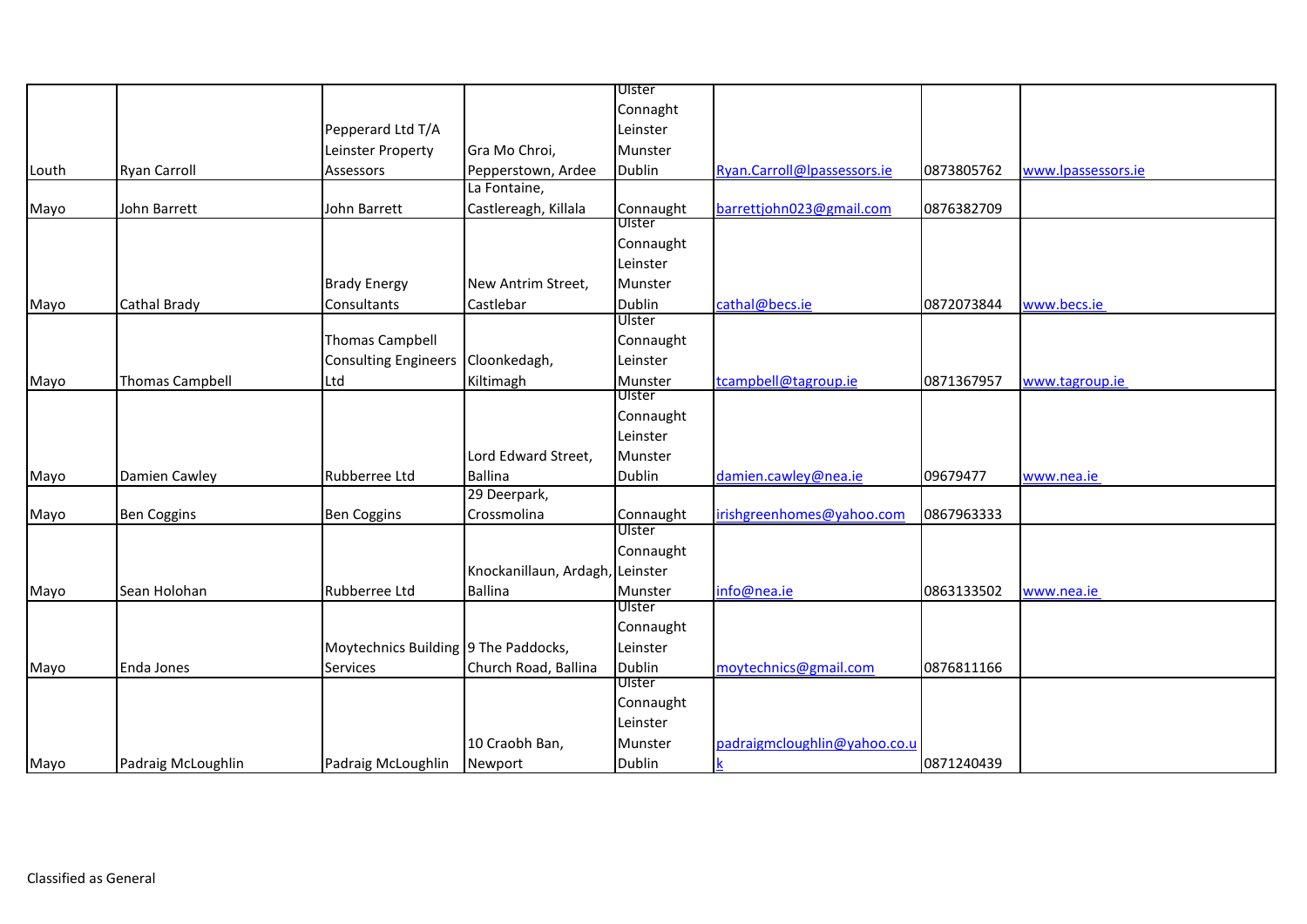|       |                        |                                      |                        | Ulster        |                              |            |                    |
|-------|------------------------|--------------------------------------|------------------------|---------------|------------------------------|------------|--------------------|
|       |                        |                                      |                        | Connaght      |                              |            |                    |
|       |                        | Pepperard Ltd T/A                    |                        | Leinster      |                              |            |                    |
|       |                        | Leinster Property                    | Gra Mo Chroi,          | Munster       |                              |            |                    |
| Louth | <b>Ryan Carroll</b>    | Assessors                            | Pepperstown, Ardee     | Dublin        | Ryan.Carroll@Ipassessors.ie  | 0873805762 | www.lpassessors.ie |
|       |                        |                                      | La Fontaine,           |               |                              |            |                    |
| Mayo  | John Barrett           | John Barrett                         | Castlereagh, Killala   | Connaught     | barrettjohn023@gmail.com     | 0876382709 |                    |
|       |                        |                                      |                        | Ulster        |                              |            |                    |
|       |                        |                                      |                        | Connaught     |                              |            |                    |
|       |                        |                                      |                        | Leinster      |                              |            |                    |
|       |                        | <b>Brady Energy</b>                  | New Antrim Street,     | Munster       |                              |            |                    |
| Mayo  | Cathal Brady           | Consultants                          | Castlebar              | Dublin        | cathal@becs.ie               | 0872073844 | www.becs.ie        |
|       |                        |                                      |                        | Ulster        |                              |            |                    |
|       |                        | <b>Thomas Campbell</b>               |                        | Connaught     |                              |            |                    |
|       |                        | <b>Consulting Engineers</b>          | Cloonkedagh,           | Leinster      |                              |            |                    |
| Mayo  | <b>Thomas Campbell</b> | Ltd                                  | Kiltimagh              | Munster       | tcampbell@tagroup.ie         | 0871367957 | www.tagroup.ie     |
|       |                        |                                      |                        | Ulster        |                              |            |                    |
|       |                        |                                      |                        | Connaught     |                              |            |                    |
|       |                        |                                      |                        | Leinster      |                              |            |                    |
|       |                        |                                      | Lord Edward Street,    | Munster       |                              |            |                    |
| Mayo  | Damien Cawley          | Rubberree Ltd                        | Ballina                | <b>Dublin</b> | damien.cawley@nea.ie         | 09679477   | www.nea.ie         |
|       |                        |                                      | 29 Deerpark,           |               |                              |            |                    |
| Mayo  | <b>Ben Coggins</b>     | <b>Ben Coggins</b>                   | Crossmolina            | Connaught     | irishgreenhomes@yahoo.com    | 0867963333 |                    |
|       |                        |                                      |                        | Ulster        |                              |            |                    |
|       |                        |                                      |                        | Connaught     |                              |            |                    |
|       |                        |                                      | Knockanillaun, Ardagh, | Leinster      |                              |            |                    |
| Mayo  | Sean Holohan           | Rubberree Ltd                        | <b>Ballina</b>         | Munster       | info@nea.ie                  | 0863133502 | www.nea.ie         |
|       |                        |                                      |                        | Ulster        |                              |            |                    |
|       |                        |                                      |                        | Connaught     |                              |            |                    |
|       |                        | Moytechnics Building 9 The Paddocks, |                        | Leinster      |                              |            |                    |
| Mayo  | Enda Jones             | Services                             | Church Road, Ballina   | Dublin        | moytechnics@gmail.com        | 0876811166 |                    |
|       |                        |                                      |                        | Ulster        |                              |            |                    |
|       |                        |                                      |                        | Connaught     |                              |            |                    |
|       |                        |                                      |                        | Leinster      |                              |            |                    |
|       |                        |                                      | 10 Craobh Ban,         | Munster       | padraigmcloughlin@yahoo.co.u |            |                    |
| Mayo  | Padraig McLoughlin     | Padraig McLoughlin                   | Newport                | Dublin        | $\overline{\mathbf{k}}$      | 0871240439 |                    |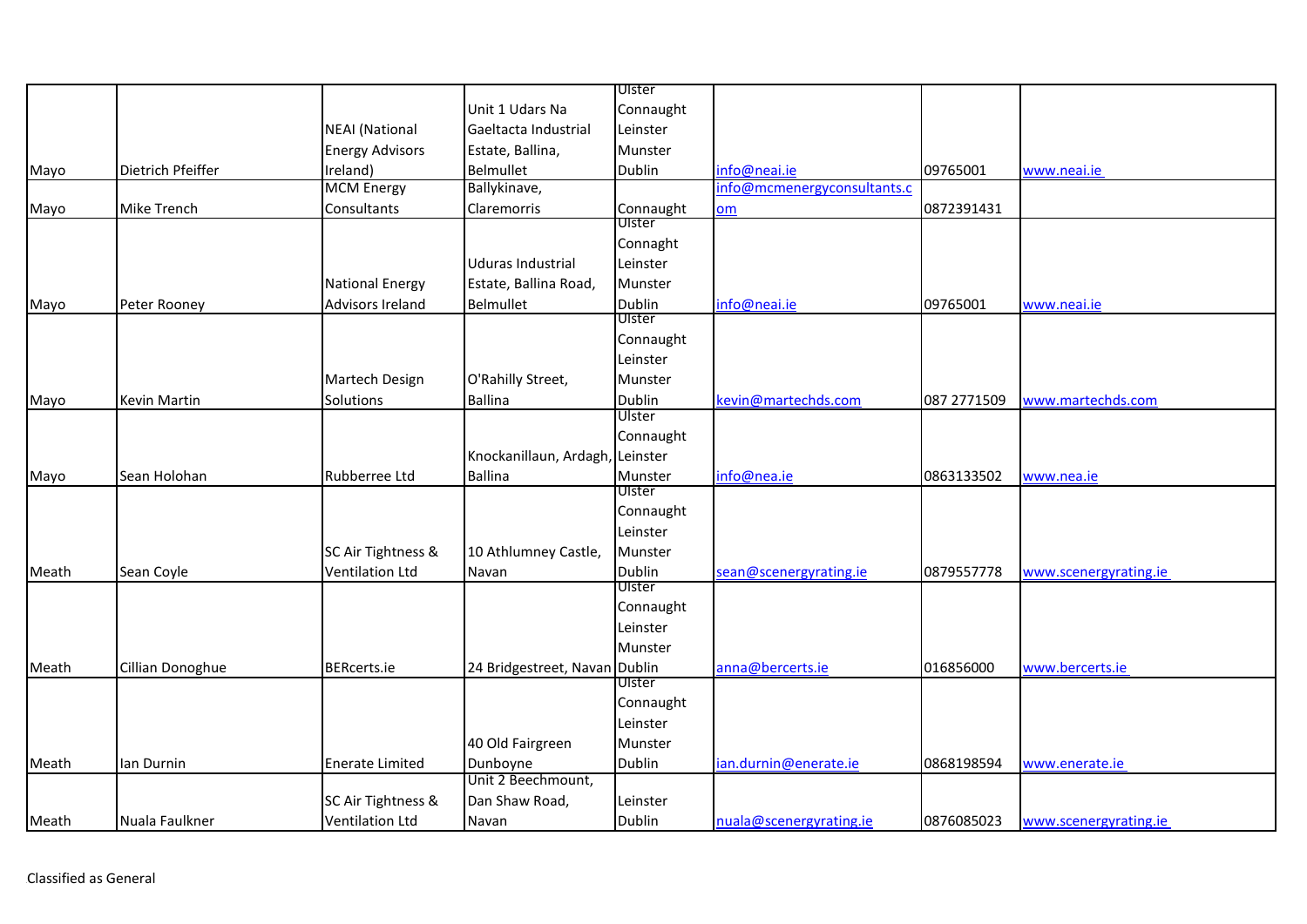|       |                     |                         |                               | Ulster    |                             |             |                       |
|-------|---------------------|-------------------------|-------------------------------|-----------|-----------------------------|-------------|-----------------------|
|       |                     |                         | Unit 1 Udars Na               | Connaught |                             |             |                       |
|       |                     | <b>NEAI</b> (National   | Gaeltacta Industrial          | Leinster  |                             |             |                       |
|       |                     | <b>Energy Advisors</b>  | Estate, Ballina,              | Munster   |                             |             |                       |
| Mayo  | Dietrich Pfeiffer   | Ireland)                | Belmullet                     | Dublin    | info@neai.ie                | 09765001    | www.neai.ie           |
|       |                     | <b>MCM Energy</b>       | Ballykinave,                  |           | info@mcmenergyconsultants.c |             |                       |
| Mayo  | <b>Mike Trench</b>  | Consultants             | Claremorris                   | Connaught | om                          | 0872391431  |                       |
|       |                     |                         |                               | Ulster    |                             |             |                       |
|       |                     |                         |                               | Connaght  |                             |             |                       |
|       |                     |                         | Uduras Industrial             | Leinster  |                             |             |                       |
|       |                     | <b>National Energy</b>  | Estate, Ballina Road,         | Munster   |                             |             |                       |
| Mayo  | Peter Rooney        | <b>Advisors Ireland</b> | Belmullet                     | Dublin    | info@neai.ie                | 09765001    | www.neai.ie           |
|       |                     |                         |                               | Ulster    |                             |             |                       |
|       |                     |                         |                               | Connaught |                             |             |                       |
|       |                     |                         |                               | Leinster  |                             |             |                       |
|       |                     | Martech Design          | O'Rahilly Street,             | Munster   |                             |             |                       |
| Mayo  | <b>Kevin Martin</b> | Solutions               | <b>Ballina</b>                | Dublin    | kevin@martechds.com         | 087 2771509 | www.martechds.com     |
|       |                     |                         |                               | Ulster    |                             |             |                       |
|       |                     |                         |                               | Connaught |                             |             |                       |
|       |                     |                         | Knockanillaun, Ardagh,        | Leinster  |                             |             |                       |
| Mayo  | Sean Holohan        | <b>Rubberree Ltd</b>    | <b>Ballina</b>                | Munster   | info@nea.ie                 | 0863133502  | www.nea.ie            |
|       |                     |                         |                               | Ulster    |                             |             |                       |
|       |                     |                         |                               | Connaught |                             |             |                       |
|       |                     |                         |                               | Leinster  |                             |             |                       |
|       |                     | SC Air Tightness &      | 10 Athlumney Castle,          | Munster   |                             |             |                       |
| Meath | Sean Coyle          | <b>Ventilation Ltd</b>  | Navan                         | Dublin    | sean@scenergyrating.ie      | 0879557778  | www.scenergyrating.ie |
|       |                     |                         |                               | Ulster    |                             |             |                       |
|       |                     |                         |                               | Connaught |                             |             |                       |
|       |                     |                         |                               | Leinster  |                             |             |                       |
|       |                     |                         |                               | Munster   |                             |             |                       |
| Meath | Cillian Donoghue    | <b>BERcerts.ie</b>      | 24 Bridgestreet, Navan Dublin |           | anna@bercerts.ie            | 016856000   | www.bercerts.ie       |
|       |                     |                         |                               | Ulster    |                             |             |                       |
|       |                     |                         |                               | Connaught |                             |             |                       |
|       |                     |                         |                               | Leinster  |                             |             |                       |
|       |                     |                         | 40 Old Fairgreen              | Munster   |                             |             |                       |
| Meath | lan Durnin          | <b>Enerate Limited</b>  | Dunboyne                      | Dublin    | ian.durnin@enerate.ie       | 0868198594  | www.enerate.ie        |
|       |                     |                         | Unit 2 Beechmount,            |           |                             |             |                       |
|       |                     | SC Air Tightness &      | Dan Shaw Road,                | Leinster  |                             |             |                       |
| Meath | Nuala Faulkner      | <b>Ventilation Ltd</b>  | Navan                         | Dublin    | nuala@scenergyrating.ie     | 0876085023  | www.scenergyrating.ie |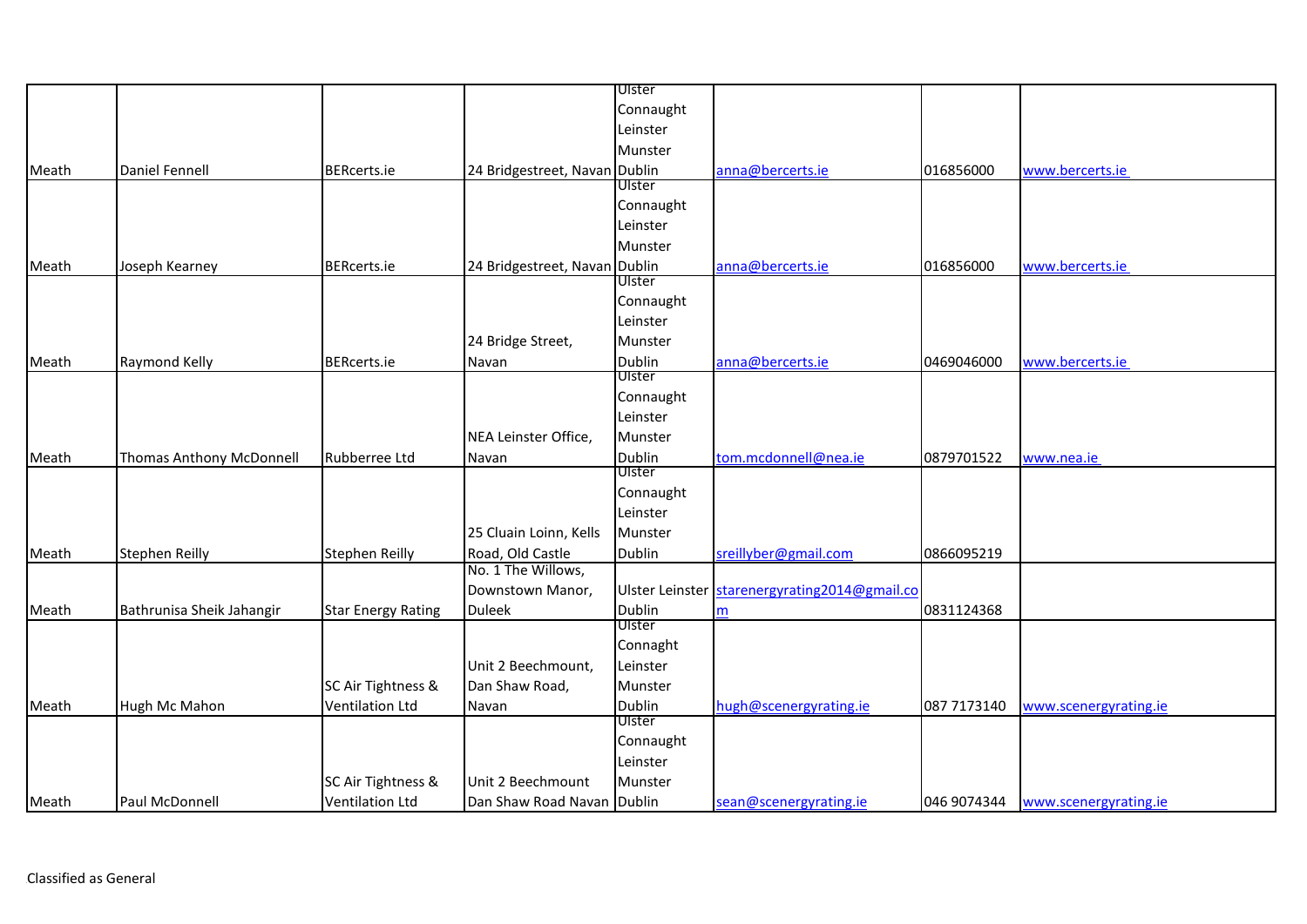|       |                           |                           |                                        | Ulster           |                               |             |                                   |
|-------|---------------------------|---------------------------|----------------------------------------|------------------|-------------------------------|-------------|-----------------------------------|
|       |                           |                           |                                        | Connaught        |                               |             |                                   |
|       |                           |                           |                                        | Leinster         |                               |             |                                   |
|       |                           |                           |                                        | Munster          |                               |             |                                   |
| Meath | <b>Daniel Fennell</b>     | <b>BERcerts.ie</b>        | 24 Bridgestreet, Navan Dublin          |                  | anna@bercerts.ie              | 016856000   | www.bercerts.ie                   |
|       |                           |                           |                                        | Ulster           |                               |             |                                   |
|       |                           |                           |                                        | Connaught        |                               |             |                                   |
|       |                           |                           |                                        | Leinster         |                               |             |                                   |
|       |                           |                           |                                        | Munster          |                               |             |                                   |
| Meath | Joseph Kearney            | <b>BERcerts.ie</b>        | 24 Bridgestreet, Navan Dublin          |                  | anna@bercerts.ie              | 016856000   | www.bercerts.ie                   |
|       |                           |                           |                                        | Ulster           |                               |             |                                   |
|       |                           |                           |                                        | Connaught        |                               |             |                                   |
|       |                           |                           |                                        | Leinster         |                               |             |                                   |
|       |                           |                           | 24 Bridge Street,                      | Munster          |                               |             |                                   |
| Meath | Raymond Kelly             | <b>BERcerts.ie</b>        | Navan                                  | Dublin           | anna@bercerts.ie              | 0469046000  | www.bercerts.ie                   |
|       |                           |                           |                                        | Ulster           |                               |             |                                   |
|       |                           |                           |                                        | Connaught        |                               |             |                                   |
|       |                           |                           |                                        | Leinster         |                               |             |                                   |
|       |                           |                           | NEA Leinster Office,                   | Munster          |                               |             |                                   |
| Meath | Thomas Anthony McDonnell  | Rubberree Ltd             | Navan                                  | Dublin<br>Ulster | tom.mcdonnell@nea.ie          | 0879701522  | www.nea.ie                        |
|       |                           |                           |                                        |                  |                               |             |                                   |
|       |                           |                           |                                        | Connaught        |                               |             |                                   |
|       |                           |                           |                                        | Leinster         |                               |             |                                   |
|       |                           |                           | 25 Cluain Loinn, Kells                 | Munster          |                               |             |                                   |
| Meath | <b>Stephen Reilly</b>     | <b>Stephen Reilly</b>     | Road, Old Castle<br>No. 1 The Willows, | <b>Dublin</b>    | sreillyber@gmail.com          | 0866095219  |                                   |
|       |                           |                           |                                        | Ulster Leinster  | starenergyrating2014@gmail.co |             |                                   |
|       |                           |                           | Downstown Manor,                       | <b>Dublin</b>    |                               | 0831124368  |                                   |
| Meath | Bathrunisa Sheik Jahangir | <b>Star Energy Rating</b> | <b>Duleek</b>                          | Ulster           | m                             |             |                                   |
|       |                           |                           |                                        | Connaght         |                               |             |                                   |
|       |                           |                           | Unit 2 Beechmount,                     | Leinster         |                               |             |                                   |
|       |                           | SC Air Tightness &        | Dan Shaw Road,                         | Munster          |                               |             |                                   |
| Meath | Hugh Mc Mahon             | <b>Ventilation Ltd</b>    | Navan                                  | Dublin           | hugh@scenergyrating.ie        | 087 7173140 | www.scenergyrating.ie             |
|       |                           |                           |                                        | Ulster           |                               |             |                                   |
|       |                           |                           |                                        | Connaught        |                               |             |                                   |
|       |                           |                           |                                        | Leinster         |                               |             |                                   |
|       |                           | SC Air Tightness &        | Unit 2 Beechmount                      | Munster          |                               |             |                                   |
| Meath | Paul McDonnell            | <b>Ventilation Ltd</b>    | Dan Shaw Road Navan Dublin             |                  | sean@scenergyrating.ie        |             | 046 9074344 www.scenergyrating.ie |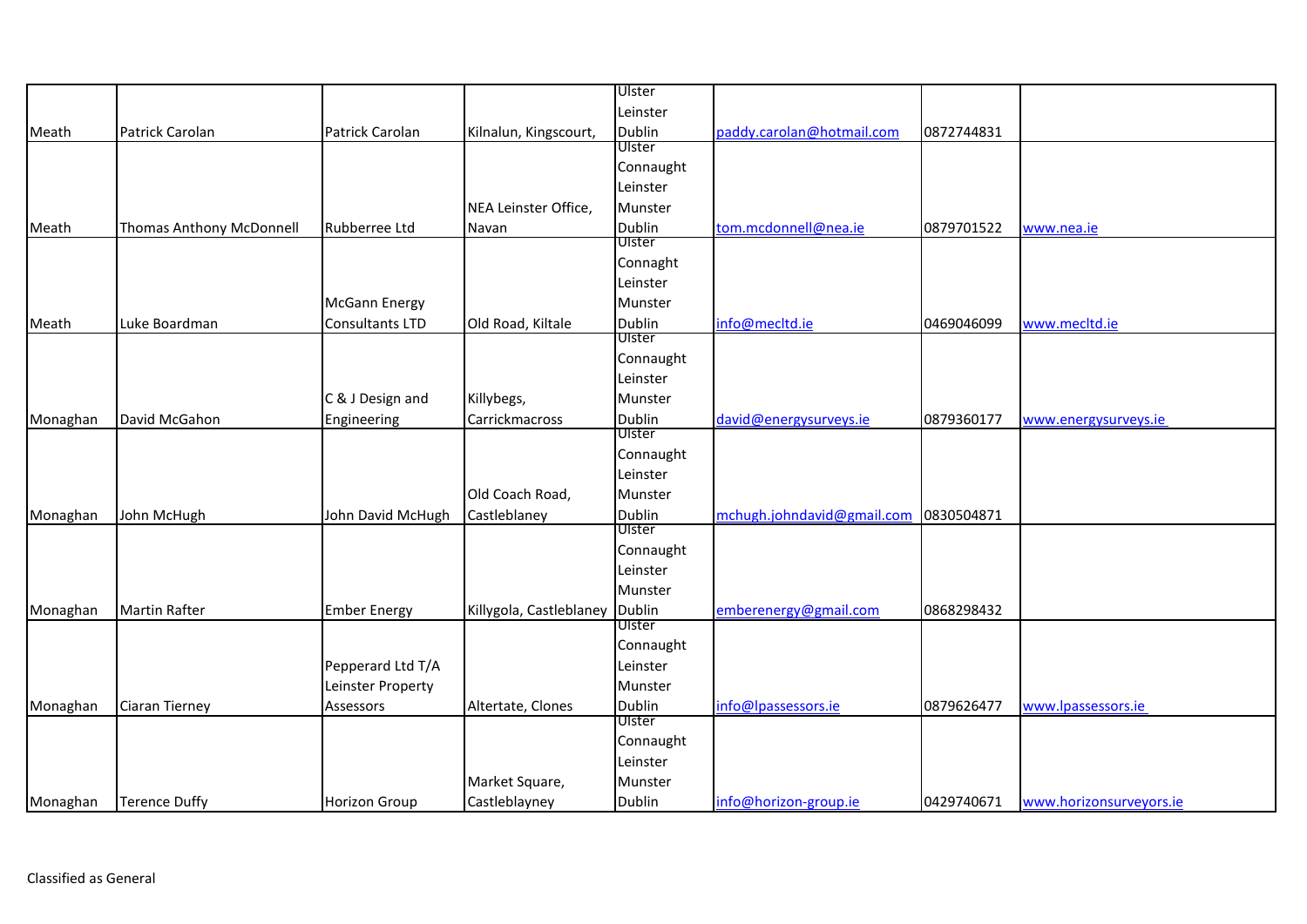|          |                                 |                      |                         | Ulster        |                            |            |                         |
|----------|---------------------------------|----------------------|-------------------------|---------------|----------------------------|------------|-------------------------|
|          |                                 |                      |                         | Leinster      |                            |            |                         |
| Meath    | Patrick Carolan                 | Patrick Carolan      | Kilnalun, Kingscourt,   | Dublin        | paddy.carolan@hotmail.com  | 0872744831 |                         |
|          |                                 |                      |                         | Ulster        |                            |            |                         |
|          |                                 |                      |                         | Connaught     |                            |            |                         |
|          |                                 |                      |                         | Leinster      |                            |            |                         |
|          |                                 |                      | NEA Leinster Office,    | Munster       |                            |            |                         |
| Meath    | <b>Thomas Anthony McDonnell</b> | Rubberree Ltd        | Navan                   | Dublin        | tom.mcdonnell@nea.ie       | 0879701522 | www.nea.ie              |
|          |                                 |                      |                         | <b>Ulster</b> |                            |            |                         |
|          |                                 |                      |                         | Connaght      |                            |            |                         |
|          |                                 |                      |                         | Leinster      |                            |            |                         |
|          |                                 | <b>McGann Energy</b> |                         | Munster       |                            |            |                         |
| Meath    | Luke Boardman                   | Consultants LTD      | Old Road, Kiltale       | Dublin        | info@mecltd.ie             | 0469046099 | www.mecltd.ie           |
|          |                                 |                      |                         | Ulster        |                            |            |                         |
|          |                                 |                      |                         | Connaught     |                            |            |                         |
|          |                                 |                      |                         | Leinster      |                            |            |                         |
|          |                                 | C & J Design and     | Killybegs,              | Munster       |                            |            |                         |
| Monaghan | David McGahon                   | Engineering          | Carrickmacross          | Dublin        | david@energysurveys.ie     | 0879360177 | www.energysurveys.ie    |
|          |                                 |                      |                         | Ulster        |                            |            |                         |
|          |                                 |                      |                         | Connaught     |                            |            |                         |
|          |                                 |                      |                         | Leinster      |                            |            |                         |
|          |                                 |                      | Old Coach Road,         | Munster       |                            |            |                         |
| Monaghan | John McHugh                     | John David McHugh    | Castleblaney            | Dublin        | mchugh.johndavid@gmail.com | 0830504871 |                         |
|          |                                 |                      |                         | Ulster        |                            |            |                         |
|          |                                 |                      |                         | Connaught     |                            |            |                         |
|          |                                 |                      |                         | Leinster      |                            |            |                         |
|          |                                 |                      |                         | Munster       |                            |            |                         |
| Monaghan | <b>Martin Rafter</b>            | <b>Ember Energy</b>  | Killygola, Castleblaney | Dublin        | emberenergy@gmail.com      | 0868298432 |                         |
|          |                                 |                      |                         | Ulster        |                            |            |                         |
|          |                                 |                      |                         | Connaught     |                            |            |                         |
|          |                                 | Pepperard Ltd T/A    |                         | Leinster      |                            |            |                         |
|          |                                 | Leinster Property    |                         | Munster       |                            |            |                         |
| Monaghan | Ciaran Tierney                  | Assessors            | Altertate, Clones       | Dublin        | info@lpassessors.ie        | 0879626477 | www.lpassessors.ie      |
|          |                                 |                      |                         | Ulster        |                            |            |                         |
|          |                                 |                      |                         | Connaught     |                            |            |                         |
|          |                                 |                      |                         | Leinster      |                            |            |                         |
|          |                                 |                      | Market Square,          | Munster       |                            |            |                         |
| Monaghan | <b>Terence Duffy</b>            | Horizon Group        | Castleblayney           | Dublin        | info@horizon-group.ie      | 0429740671 | www.horizonsurveyors.ie |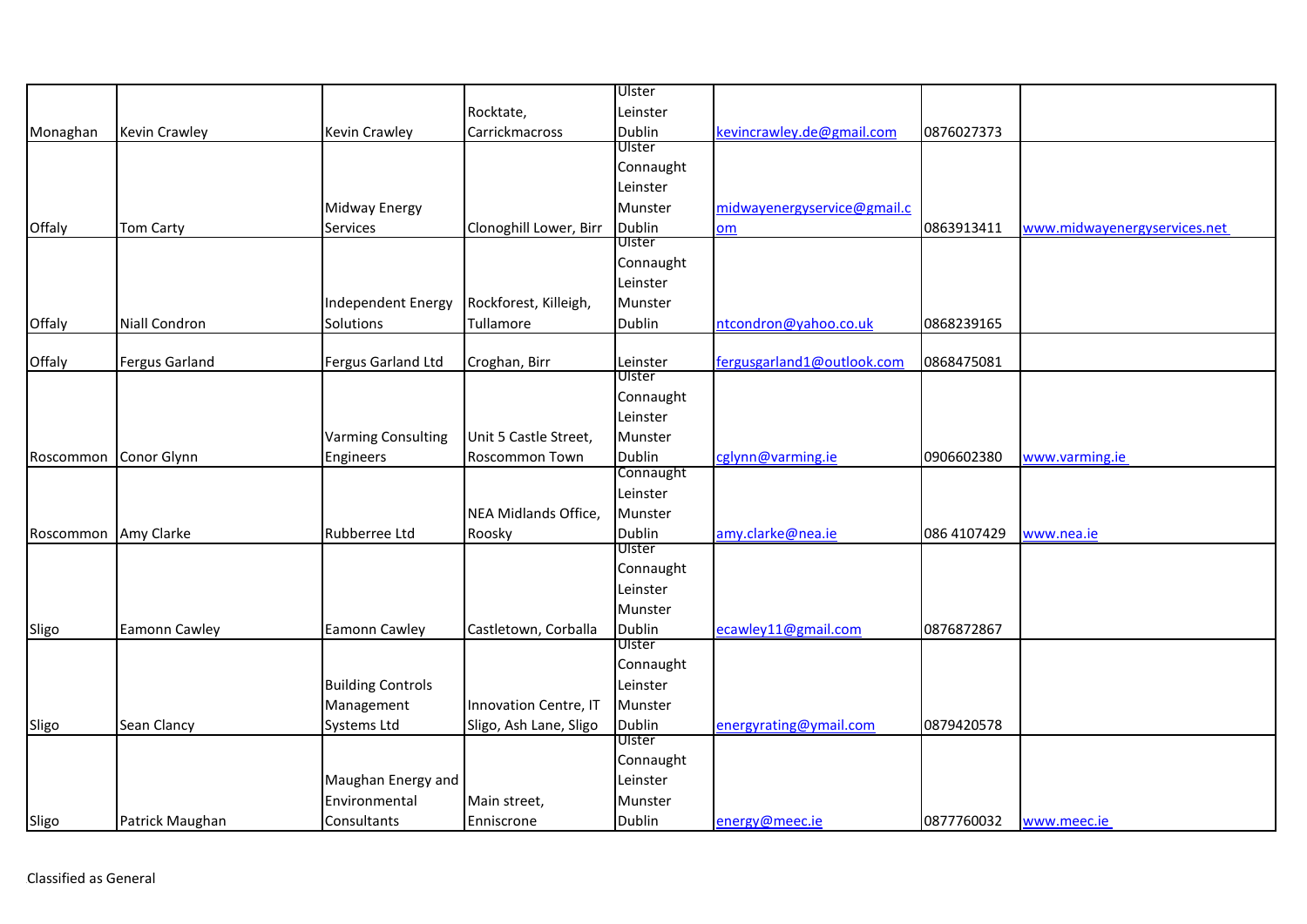|           |                       |                           |                        | Ulster              |                             |             |                              |
|-----------|-----------------------|---------------------------|------------------------|---------------------|-----------------------------|-------------|------------------------------|
|           |                       |                           | Rocktate,              | Leinster            |                             |             |                              |
| Monaghan  | Kevin Crawley         | Kevin Crawley             | Carrickmacross         | Dublin              | kevincrawley.de@gmail.com   | 0876027373  |                              |
|           |                       |                           |                        | Ulster              |                             |             |                              |
|           |                       |                           |                        | Connaught           |                             |             |                              |
|           |                       |                           |                        | Leinster            |                             |             |                              |
|           |                       | Midway Energy             |                        | Munster             | midwayenergyservice@gmail.c |             |                              |
| Offaly    | <b>Tom Carty</b>      | Services                  | Clonoghill Lower, Birr | Dublin              | om                          | 0863913411  | www.midwayenergyservices.net |
|           |                       |                           |                        | Ulster              |                             |             |                              |
|           |                       |                           |                        | Connaught           |                             |             |                              |
|           |                       |                           |                        | Leinster            |                             |             |                              |
|           |                       | Independent Energy        | Rockforest, Killeigh,  | Munster             |                             |             |                              |
| Offaly    | Niall Condron         | Solutions                 | Tullamore              | Dublin              | ntcondron@yahoo.co.uk       | 0868239165  |                              |
|           |                       |                           |                        |                     |                             |             |                              |
| Offaly    | <b>Fergus Garland</b> | Fergus Garland Ltd        | Croghan, Birr          | Leinster<br>Ulster  | fergusgarland1@outlook.com  | 0868475081  |                              |
|           |                       |                           |                        |                     |                             |             |                              |
|           |                       |                           |                        | Connaught           |                             |             |                              |
|           |                       |                           |                        | Leinster            |                             |             |                              |
|           |                       | <b>Varming Consulting</b> | Unit 5 Castle Street,  | Munster             |                             |             |                              |
| Roscommon | Conor Glynn           | Engineers                 | Roscommon Town         | Dublin<br>Connaught | cglynn@varming.ie           | 0906602380  | www.varming.ie               |
|           |                       |                           |                        | Leinster            |                             |             |                              |
|           |                       |                           |                        |                     |                             |             |                              |
|           |                       |                           | NEA Midlands Office,   | Munster             |                             |             |                              |
| Roscommon | Amy Clarke            | Rubberree Ltd             | Roosky                 | Dublin<br>Ulster    | amy.clarke@nea.ie           | 086 4107429 | www.nea.ie                   |
|           |                       |                           |                        | Connaught           |                             |             |                              |
|           |                       |                           |                        | Leinster            |                             |             |                              |
|           |                       |                           |                        | Munster             |                             |             |                              |
| Sligo     | <b>Eamonn Cawley</b>  | Eamonn Cawley             | Castletown, Corballa   | Dublin              | ecawley11@gmail.com         | 0876872867  |                              |
|           |                       |                           |                        | Ulster              |                             |             |                              |
|           |                       |                           |                        | Connaught           |                             |             |                              |
|           |                       | <b>Building Controls</b>  |                        | Leinster            |                             |             |                              |
|           |                       | Management                | Innovation Centre, IT  | Munster             |                             |             |                              |
| Sligo     | Sean Clancy           | <b>Systems Ltd</b>        | Sligo, Ash Lane, Sligo | Dublin              | energyrating@ymail.com      | 0879420578  |                              |
|           |                       |                           |                        | Ulster              |                             |             |                              |
|           |                       |                           |                        | Connaught           |                             |             |                              |
|           |                       | Maughan Energy and        |                        | Leinster            |                             |             |                              |
|           |                       | Environmental             | Main street,           | Munster             |                             |             |                              |
| Sligo     | Patrick Maughan       | Consultants               | Enniscrone             | Dublin              | energy@meec.ie              | 0877760032  | www.meec.ie                  |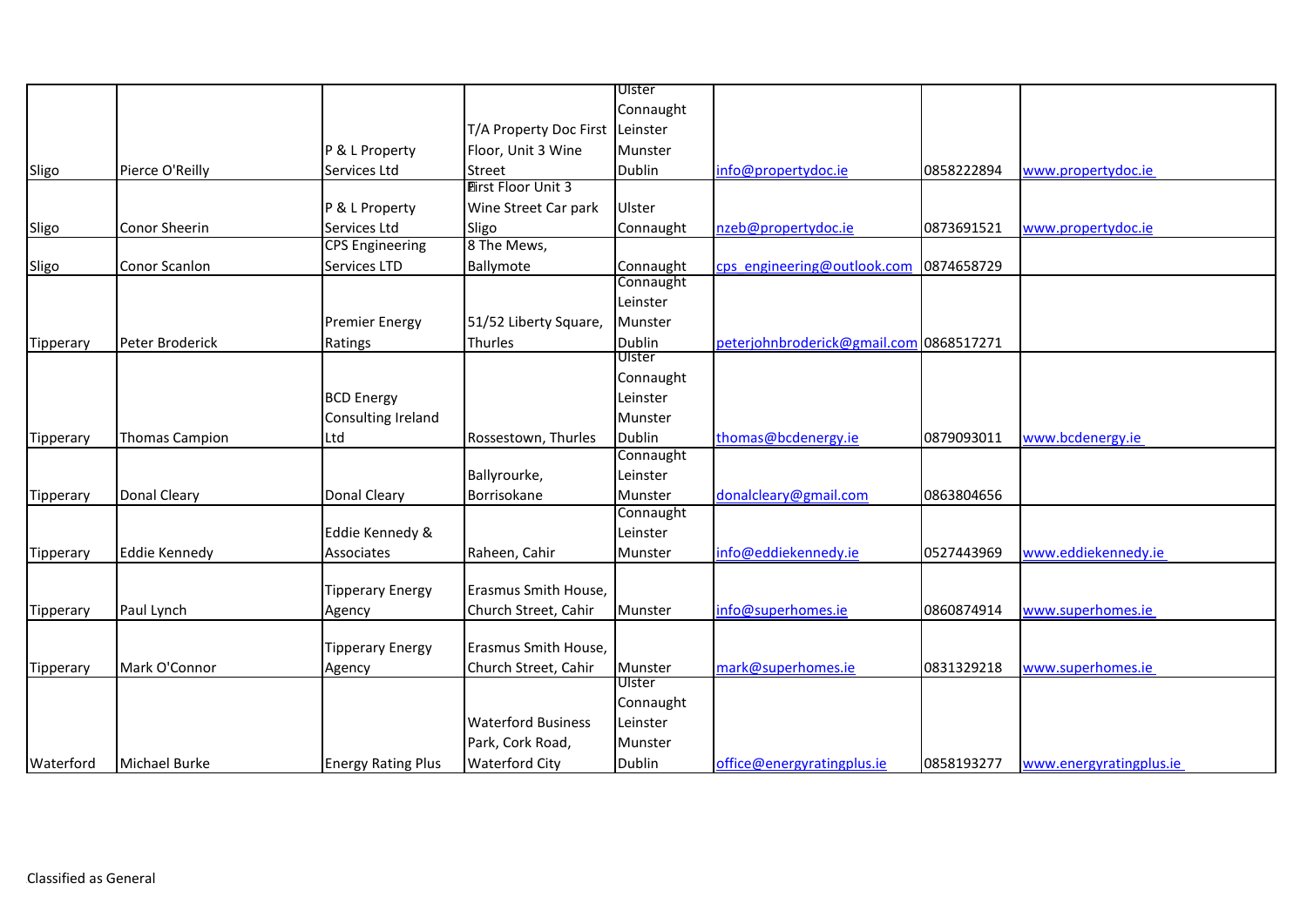| Connaught                                                                                                                                                                |  |
|--------------------------------------------------------------------------------------------------------------------------------------------------------------------------|--|
|                                                                                                                                                                          |  |
| T/A Property Doc First Leinster                                                                                                                                          |  |
| Munster<br>P & L Property<br>Floor, Unit 3 Wine                                                                                                                          |  |
| Pierce O'Reilly<br>0858222894<br>Sligo<br>Services Ltd<br>Street<br>Dublin<br>info@propertydoc.ie<br>www.propertydoc.ie                                                  |  |
| <b>Eirst Floor Unit 3</b>                                                                                                                                                |  |
| Wine Street Car park<br>P & L Property<br>Ulster                                                                                                                         |  |
| Conor Sheerin<br>Sligo<br>Services Ltd<br>Sligo<br>nzeb@propertydoc.ie<br>Connaught<br>0873691521<br>www.propertydoc.ie                                                  |  |
| 8 The Mews,<br><b>CPS Engineering</b>                                                                                                                                    |  |
| Conor Scanlon<br>Services LTD<br>Connaught<br>cps engineering@outlook.com 0874658729<br>Ballymote<br>Sligo                                                               |  |
| Connaught                                                                                                                                                                |  |
| Leinster                                                                                                                                                                 |  |
| <b>Premier Energy</b><br>51/52 Liberty Square,<br>Munster                                                                                                                |  |
| <b>Dublin</b><br>peterjohnbroderick@gmail.com 0868517271<br>Peter Broderick<br>Thurles<br>Tipperary<br>Ratings                                                           |  |
| Ulster                                                                                                                                                                   |  |
| Connaught                                                                                                                                                                |  |
| <b>BCD Energy</b><br>Leinster                                                                                                                                            |  |
| Consulting Ireland<br>Munster                                                                                                                                            |  |
| Dublin<br>thomas@bcdenergy.ie<br>0879093011<br>Ltd<br>Rossestown, Thurles<br>www.bcdenergy.ie<br><b>Thomas Campion</b><br>Tipperary                                      |  |
| Connaught                                                                                                                                                                |  |
| Ballyrourke,<br>Leinster                                                                                                                                                 |  |
| <b>Donal Cleary</b><br>donalcleary@gmail.com<br>0863804656<br><b>Donal Cleary</b><br>Borrisokane<br>Munster<br>Tipperary                                                 |  |
| Connaught                                                                                                                                                                |  |
| Eddie Kennedy &<br>Leinster                                                                                                                                              |  |
| Raheen, Cahir<br>info@eddiekennedy.ie<br>0527443969<br>www.eddiekennedy.ie<br><b>Eddie Kennedy</b><br>Associates<br>Munster<br>Tipperary                                 |  |
|                                                                                                                                                                          |  |
| Erasmus Smith House,<br><b>Tipperary Energy</b>                                                                                                                          |  |
| info@superhomes.ie<br>Church Street, Cahir<br>0860874914<br>www.superhomes.ie<br>Paul Lynch<br>Munster<br>Tipperary<br>Agency                                            |  |
| Erasmus Smith House,<br><b>Tipperary Energy</b>                                                                                                                          |  |
| Mark O'Connor<br>Church Street, Cahir<br>mark@superhomes.ie<br>Munster<br>0831329218<br>www.superhomes.ie<br>Tipperary<br>Agency                                         |  |
| Ulster                                                                                                                                                                   |  |
| Connaught                                                                                                                                                                |  |
| <b>Waterford Business</b><br>Leinster                                                                                                                                    |  |
| Park, Cork Road,<br>Munster                                                                                                                                              |  |
| <b>Waterford City</b><br>Waterford<br><b>Michael Burke</b><br><b>Energy Rating Plus</b><br>Dublin<br>office@energyratingplus.ie<br>0858193277<br>www.energyratingplus.ie |  |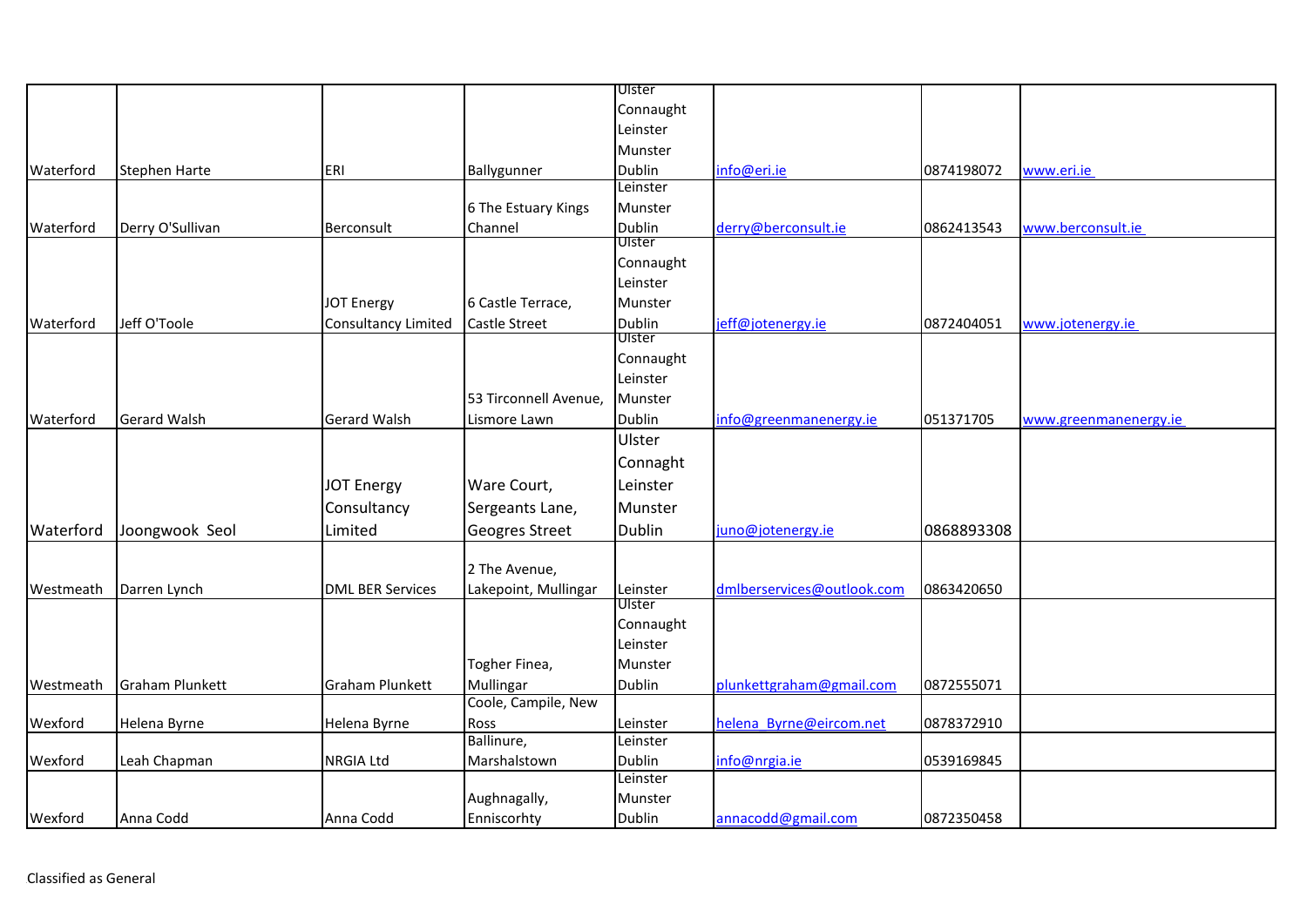|           |                        |                            |                       | Ulster        |                            |            |                       |
|-----------|------------------------|----------------------------|-----------------------|---------------|----------------------------|------------|-----------------------|
|           |                        |                            |                       | Connaught     |                            |            |                       |
|           |                        |                            |                       | Leinster      |                            |            |                       |
|           |                        |                            |                       | Munster       |                            |            |                       |
| Waterford | <b>Stephen Harte</b>   | ERI                        | Ballygunner           | Dublin        | info@eri.ie                | 0874198072 | www.eri.ie            |
|           |                        |                            |                       | Leinster      |                            |            |                       |
|           |                        |                            | 6 The Estuary Kings   | Munster       |                            |            |                       |
| Waterford | Derry O'Sullivan       | Berconsult                 | Channel               | Dublin        | derry@berconsult.ie        | 0862413543 | www.berconsult.ie     |
|           |                        |                            |                       | Ulster        |                            |            |                       |
|           |                        |                            |                       | Connaught     |                            |            |                       |
|           |                        |                            |                       | Leinster      |                            |            |                       |
|           |                        | <b>JOT Energy</b>          | 6 Castle Terrace,     | Munster       |                            |            |                       |
| Waterford | Jeff O'Toole           | <b>Consultancy Limited</b> | <b>Castle Street</b>  | Dublin        | jeff@jotenergy.ie          | 0872404051 | www.jotenergy.ie      |
|           |                        |                            |                       | Ulster        |                            |            |                       |
|           |                        |                            |                       | Connaught     |                            |            |                       |
|           |                        |                            |                       | Leinster      |                            |            |                       |
|           |                        |                            | 53 Tirconnell Avenue, | Munster       |                            |            |                       |
| Waterford | <b>Gerard Walsh</b>    | <b>Gerard Walsh</b>        | Lismore Lawn          | Dublin        | info@greenmanenergy.ie     | 051371705  | www.greenmanenergy.ie |
|           |                        |                            |                       | Ulster        |                            |            |                       |
|           |                        |                            |                       | Connaght      |                            |            |                       |
|           |                        | <b>JOT Energy</b>          | Ware Court,           | Leinster      |                            |            |                       |
|           |                        | Consultancy                | Sergeants Lane,       | Munster       |                            |            |                       |
| Waterford | Joongwook Seol         | Limited                    | Geogres Street        | Dublin        | juno@jotenergy.ie          | 0868893308 |                       |
|           |                        |                            |                       |               |                            |            |                       |
|           |                        |                            | 2 The Avenue,         |               |                            |            |                       |
| Westmeath | Darren Lynch           | <b>DML BER Services</b>    | Lakepoint, Mullingar  | Leinster      | dmlberservices@outlook.com | 0863420650 |                       |
|           |                        |                            |                       | <b>Ulster</b> |                            |            |                       |
|           |                        |                            |                       | Connaught     |                            |            |                       |
|           |                        |                            |                       | Leinster      |                            |            |                       |
|           |                        |                            | Togher Finea,         | Munster       |                            |            |                       |
| Westmeath | <b>Graham Plunkett</b> | <b>Graham Plunkett</b>     | Mullingar             | Dublin        | plunkettgraham@gmail.com   | 0872555071 |                       |
|           |                        |                            | Coole, Campile, New   |               |                            |            |                       |
| Wexford   | Helena Byrne           | Helena Byrne               | Ross                  | Leinster      | helena Byrne@eircom.net    | 0878372910 |                       |
|           |                        |                            | Ballinure,            | Leinster      |                            |            |                       |
| Wexford   | Leah Chapman           | <b>NRGIA Ltd</b>           | Marshalstown          | Dublin        | info@nrgia.ie              | 0539169845 |                       |
|           |                        |                            |                       | Leinster      |                            |            |                       |
|           |                        |                            | Aughnagally,          | Munster       |                            |            |                       |
| Wexford   | Anna Codd              | Anna Codd                  | Enniscorhty           | Dublin        | annacodd@gmail.com         | 0872350458 |                       |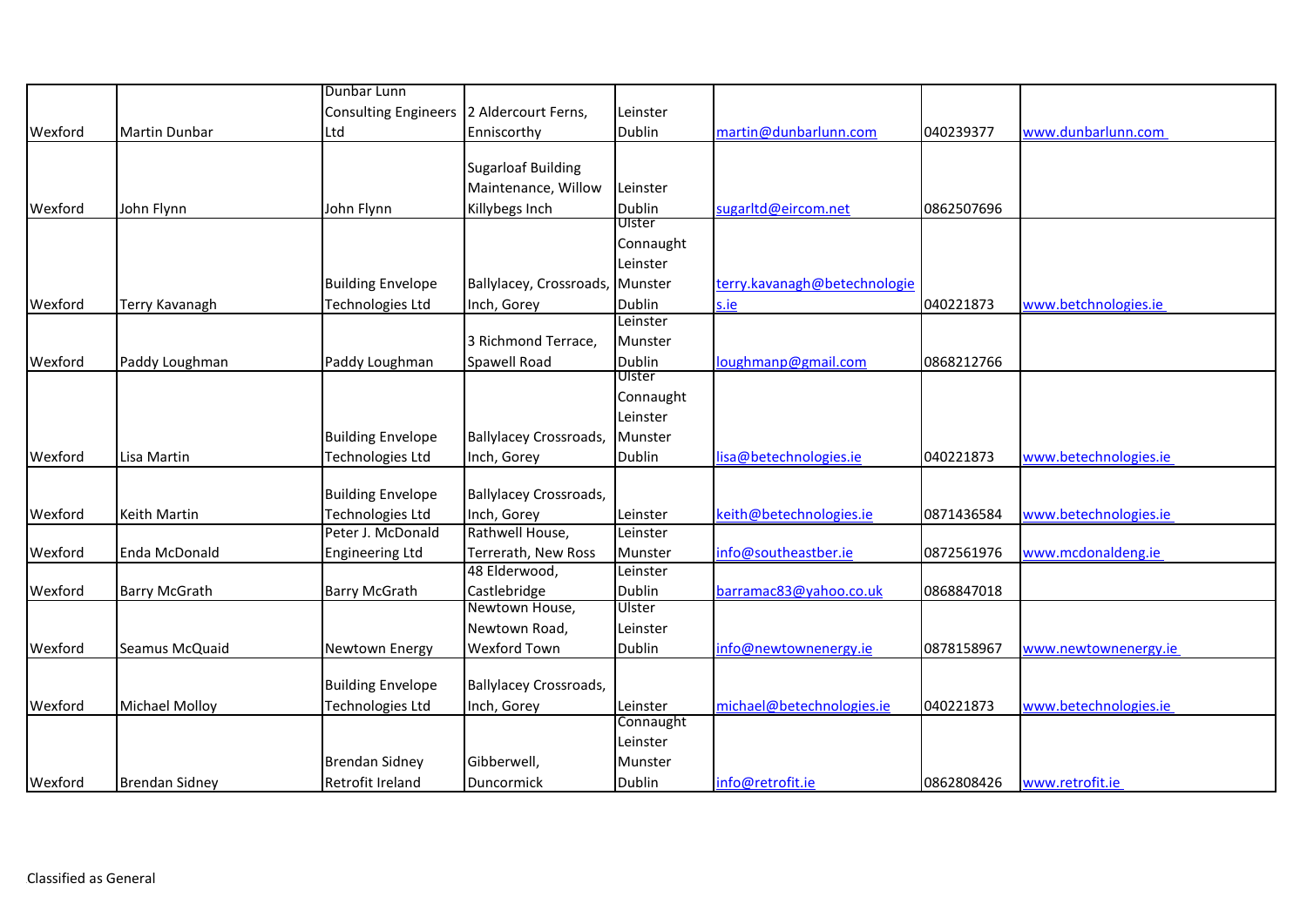|         |                       | Dunbar Lunn                 |                               |                         |                              |            |                       |
|---------|-----------------------|-----------------------------|-------------------------------|-------------------------|------------------------------|------------|-----------------------|
|         |                       | <b>Consulting Engineers</b> | 2 Aldercourt Ferns,           | Leinster                |                              |            |                       |
| Wexford | <b>Martin Dunbar</b>  | Ltd                         | Enniscorthy                   | <b>Dublin</b>           | martin@dunbarlunn.com        | 040239377  | www.dunbarlunn.com    |
|         |                       |                             |                               |                         |                              |            |                       |
|         |                       |                             | <b>Sugarloaf Building</b>     |                         |                              |            |                       |
|         |                       |                             | Maintenance, Willow           | Leinster                |                              |            |                       |
| Wexford | John Flynn            | John Flynn                  | Killybegs Inch                | <b>Dublin</b>           | sugarltd@eircom.net          | 0862507696 |                       |
|         |                       |                             |                               | Ulster                  |                              |            |                       |
|         |                       |                             |                               | Connaught               |                              |            |                       |
|         |                       |                             |                               | Leinster                |                              |            |                       |
|         |                       | <b>Building Envelope</b>    | Ballylacey, Crossroads,       | Munster                 | terry.kavanagh@betechnologie |            |                       |
| Wexford | Terry Kavanagh        | Technologies Ltd            | Inch, Gorey                   | Dublin                  | s.ie                         | 040221873  | www.betchnologies.ie  |
|         |                       |                             |                               | Leinster                |                              |            |                       |
|         |                       |                             | 3 Richmond Terrace,           | Munster                 |                              |            |                       |
| Wexford | Paddy Loughman        | Paddy Loughman              | Spawell Road                  | <b>Dublin</b><br>Ulster | loughmanp@gmail.com          | 0868212766 |                       |
|         |                       |                             |                               |                         |                              |            |                       |
|         |                       |                             |                               | Connaught<br>Leinster   |                              |            |                       |
|         |                       |                             |                               |                         |                              |            |                       |
|         |                       | <b>Building Envelope</b>    | <b>Ballylacey Crossroads,</b> | Munster                 |                              |            |                       |
| Wexford | Lisa Martin           | Technologies Ltd            | Inch, Gorey                   | <b>Dublin</b>           | lisa@betechnologies.ie       | 040221873  | www.betechnologies.ie |
|         |                       | <b>Building Envelope</b>    | <b>Ballylacey Crossroads,</b> |                         |                              |            |                       |
| Wexford | Keith Martin          | Technologies Ltd            | Inch, Gorey                   | Leinster                | keith@betechnologies.ie      | 0871436584 | www.betechnologies.ie |
|         |                       | Peter J. McDonald           | Rathwell House,               | Leinster                |                              |            |                       |
| Wexford | Enda McDonald         | <b>Engineering Ltd</b>      | Terrerath, New Ross           | Munster                 | info@southeastber.ie         | 0872561976 | www.mcdonaldeng.ie    |
|         |                       |                             | 48 Elderwood,                 | Leinster                |                              |            |                       |
| Wexford | <b>Barry McGrath</b>  | <b>Barry McGrath</b>        | Castlebridge                  | <b>Dublin</b>           | barramac83@yahoo.co.uk       | 0868847018 |                       |
|         |                       |                             | Newtown House,                | Ulster                  |                              |            |                       |
|         |                       |                             | Newtown Road,                 | Leinster                |                              |            |                       |
| Wexford | Seamus McQuaid        | Newtown Energy              | <b>Wexford Town</b>           | <b>Dublin</b>           | info@newtownenergy.ie        | 0878158967 | www.newtownenergy.ie  |
|         |                       |                             |                               |                         |                              |            |                       |
|         |                       | <b>Building Envelope</b>    | <b>Ballylacey Crossroads,</b> |                         |                              |            |                       |
| Wexford | Michael Molloy        | <b>Technologies Ltd</b>     | Inch, Gorey                   | Leinster                | michael@betechnologies.ie    | 040221873  | www.betechnologies.ie |
|         |                       |                             |                               | Connaught               |                              |            |                       |
|         |                       |                             |                               | Leinster                |                              |            |                       |
|         |                       | <b>Brendan Sidney</b>       | Gibberwell,                   | Munster                 |                              |            |                       |
| Wexford | <b>Brendan Sidney</b> | Retrofit Ireland            | Duncormick                    | Dublin                  | info@retrofit.ie             | 0862808426 | www.retrofit.ie       |